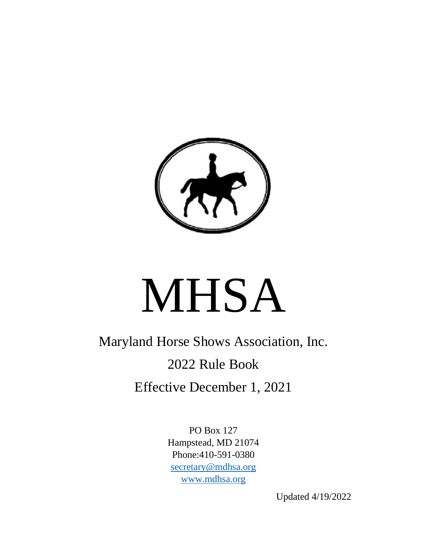

# MHSA

Maryland Horse Shows Association, Inc. 2022 Rule Book Effective December 1, 2021

> PO Box 127 Hampstead, MD 21074 Phone:410-591-0380 [secretary@mdhsa.org](mailto:secretary@mdhsa.org) [www.mdhsa.org](http://www.mdhsa.org/)

> > Updated 4/19/2022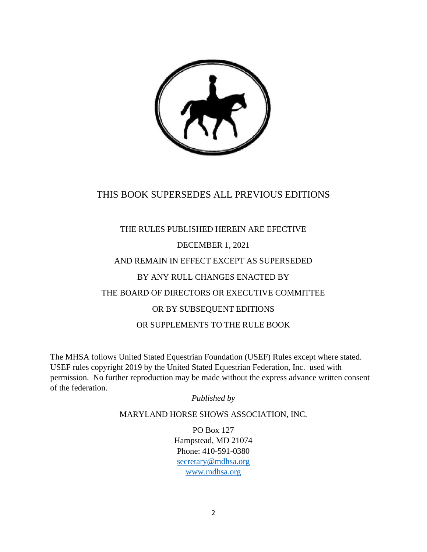

# THIS BOOK SUPERSEDES ALL PREVIOUS EDITIONS

# THE RULES PUBLISHED HEREIN ARE EFECTIVE DECEMBER 1, 2021 AND REMAIN IN EFFECT EXCEPT AS SUPERSEDED BY ANY RULL CHANGES ENACTED BY THE BOARD OF DIRECTORS OR EXECUTIVE COMMITTEE OR BY SUBSEQUENT EDITIONS OR SUPPLEMENTS TO THE RULE BOOK

The MHSA follows United Stated Equestrian Foundation (USEF) Rules except where stated. USEF rules copyright 2019 by the United Stated Equestrian Federation, Inc. used with permission. No further reproduction may be made without the express advance written consent of the federation.

#### *Published by*

#### MARYLAND HORSE SHOWS ASSOCIATION, INC.

PO Box 127 Hampstead, MD 21074 Phone: 410-591-0380 [secretary@mdhsa.org](mailto:secretary@mdhsa.org) [www.mdhsa.org](http://www.mdhsa.org/)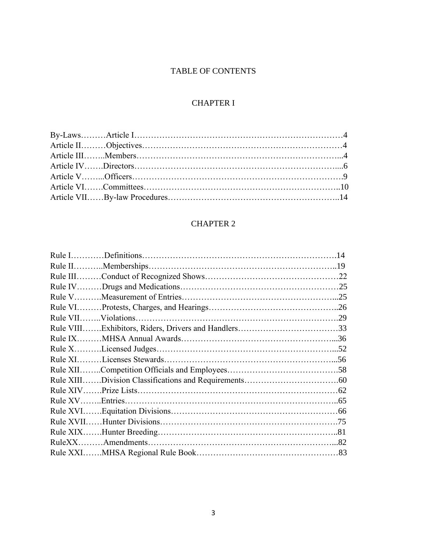# TABLE OF CONTENTS

# CHAPTER I

# CHAPTER 2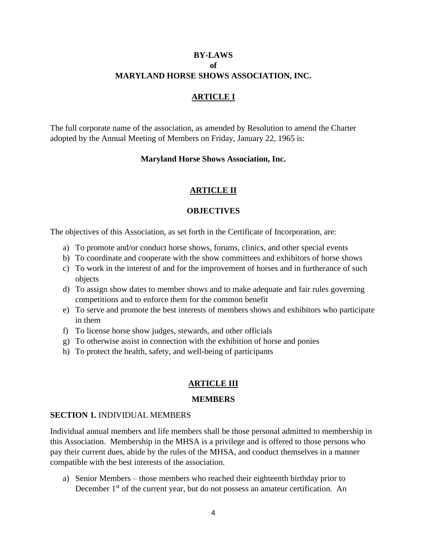# **BY-LAWS of MARYLAND HORSE SHOWS ASSOCIATION, INC.**

#### **ARTICLE I**

The full corporate name of the association, as amended by Resolution to amend the Charter adopted by the Annual Meeting of Members on Friday, January 22, 1965 is:

#### **Maryland Horse Shows Association, Inc.**

#### **ARTICLE II**

#### **OBJECTIVES**

The objectives of this Association, as set forth in the Certificate of Incorporation, are:

- a) To promote and/or conduct horse shows, forums, clinics, and other special events
- b) To coordinate and cooperate with the show committees and exhibitors of horse shows
- c) To work in the interest of and for the improvement of horses and in furtherance of such objects
- d) To assign show dates to member shows and to make adequate and fair rules governing competitions and to enforce them for the common benefit
- e) To serve and promote the best interests of members shows and exhibitors who participate in them
- f) To license horse show judges, stewards, and other officials
- g) To otherwise assist in connection with the exhibition of horse and ponies
- h) To protect the health, safety, and well-being of participants

#### **ARTICLE III**

#### **MEMBERS**

#### **SECTION 1.** INDIVIDUAL MEMBERS

Individual annual members and life members shall be those personal admitted to membership in this Association. Membership in the MHSA is a privilege and is offered to those persons who pay their current dues, abide by the rules of the MHSA, and conduct themselves in a manner compatible with the best interests of the association.

a) Senior Members – those members who reached their eighteenth birthday prior to December 1<sup>st</sup> of the current year, but do not possess an amateur certification. An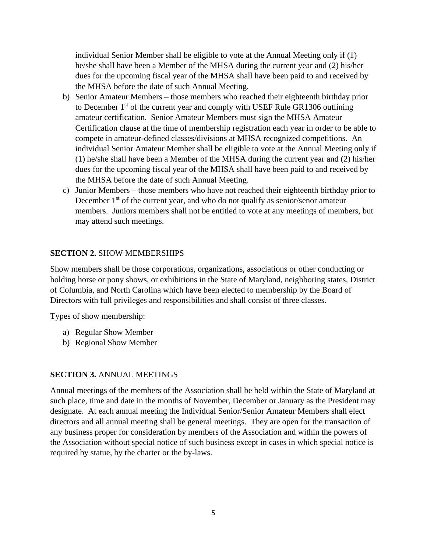individual Senior Member shall be eligible to vote at the Annual Meeting only if (1) he/she shall have been a Member of the MHSA during the current year and (2) his/her dues for the upcoming fiscal year of the MHSA shall have been paid to and received by the MHSA before the date of such Annual Meeting.

- b) Senior Amateur Members those members who reached their eighteenth birthday prior to December  $1<sup>st</sup>$  of the current year and comply with USEF Rule GR1306 outlining amateur certification. Senior Amateur Members must sign the MHSA Amateur Certification clause at the time of membership registration each year in order to be able to compete in amateur-defined classes/divisions at MHSA recognized competitions. An individual Senior Amateur Member shall be eligible to vote at the Annual Meeting only if (1) he/she shall have been a Member of the MHSA during the current year and (2) his/her dues for the upcoming fiscal year of the MHSA shall have been paid to and received by the MHSA before the date of such Annual Meeting.
- c) Junior Members those members who have not reached their eighteenth birthday prior to December  $1<sup>st</sup>$  of the current year, and who do not qualify as senior/senor amateur members. Juniors members shall not be entitled to vote at any meetings of members, but may attend such meetings.

#### **SECTION 2.** SHOW MEMBERSHIPS

Show members shall be those corporations, organizations, associations or other conducting or holding horse or pony shows, or exhibitions in the State of Maryland, neighboring states, District of Columbia, and North Carolina which have been elected to membership by the Board of Directors with full privileges and responsibilities and shall consist of three classes.

Types of show membership:

- a) Regular Show Member
- b) Regional Show Member

#### **SECTION 3.** ANNUAL MEETINGS

Annual meetings of the members of the Association shall be held within the State of Maryland at such place, time and date in the months of November, December or January as the President may designate. At each annual meeting the Individual Senior/Senior Amateur Members shall elect directors and all annual meeting shall be general meetings. They are open for the transaction of any business proper for consideration by members of the Association and within the powers of the Association without special notice of such business except in cases in which special notice is required by statue, by the charter or the by-laws.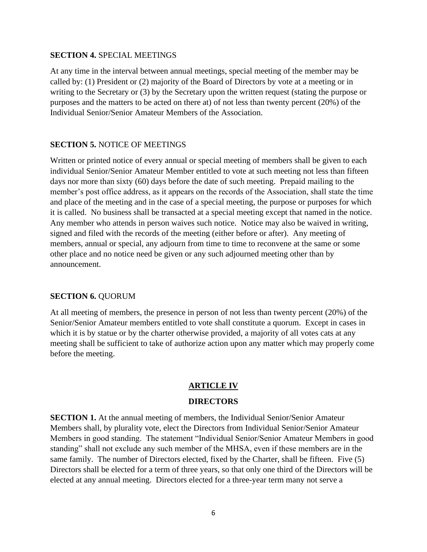#### **SECTION 4.** SPECIAL MEETINGS

At any time in the interval between annual meetings, special meeting of the member may be called by: (1) President or (2) majority of the Board of Directors by vote at a meeting or in writing to the Secretary or (3) by the Secretary upon the written request (stating the purpose or purposes and the matters to be acted on there at) of not less than twenty percent (20%) of the Individual Senior/Senior Amateur Members of the Association.

#### **SECTION 5.** NOTICE OF MEETINGS

Written or printed notice of every annual or special meeting of members shall be given to each individual Senior/Senior Amateur Member entitled to vote at such meeting not less than fifteen days nor more than sixty (60) days before the date of such meeting. Prepaid mailing to the member's post office address, as it appears on the records of the Association, shall state the time and place of the meeting and in the case of a special meeting, the purpose or purposes for which it is called. No business shall be transacted at a special meeting except that named in the notice. Any member who attends in person waives such notice. Notice may also be waived in writing, signed and filed with the records of the meeting (either before or after). Any meeting of members, annual or special, any adjourn from time to time to reconvene at the same or some other place and no notice need be given or any such adjourned meeting other than by announcement.

#### **SECTION 6.** QUORUM

At all meeting of members, the presence in person of not less than twenty percent (20%) of the Senior/Senior Amateur members entitled to vote shall constitute a quorum. Except in cases in which it is by statue or by the charter otherwise provided, a majority of all votes cats at any meeting shall be sufficient to take of authorize action upon any matter which may properly come before the meeting.

#### **ARTICLE IV**

#### **DIRECTORS**

**SECTION 1.** At the annual meeting of members, the Individual Senior/Senior Amateur Members shall, by plurality vote, elect the Directors from Individual Senior/Senior Amateur Members in good standing. The statement "Individual Senior/Senior Amateur Members in good standing" shall not exclude any such member of the MHSA, even if these members are in the same family. The number of Directors elected, fixed by the Charter, shall be fifteen. Five (5) Directors shall be elected for a term of three years, so that only one third of the Directors will be elected at any annual meeting. Directors elected for a three-year term many not serve a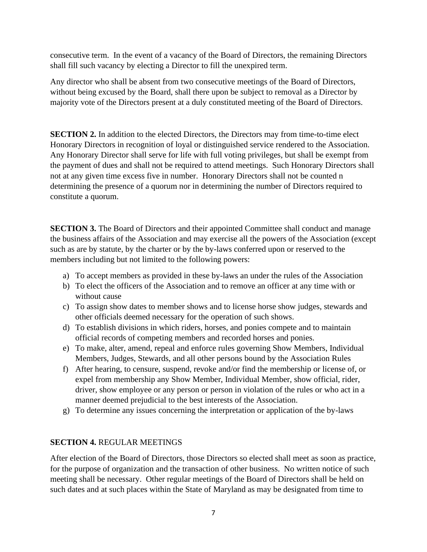consecutive term. In the event of a vacancy of the Board of Directors, the remaining Directors shall fill such vacancy by electing a Director to fill the unexpired term.

Any director who shall be absent from two consecutive meetings of the Board of Directors, without being excused by the Board, shall there upon be subject to removal as a Director by majority vote of the Directors present at a duly constituted meeting of the Board of Directors.

**SECTION 2.** In addition to the elected Directors, the Directors may from time-to-time elect Honorary Directors in recognition of loyal or distinguished service rendered to the Association. Any Honorary Director shall serve for life with full voting privileges, but shall be exempt from the payment of dues and shall not be required to attend meetings. Such Honorary Directors shall not at any given time excess five in number. Honorary Directors shall not be counted n determining the presence of a quorum nor in determining the number of Directors required to constitute a quorum.

**SECTION 3.** The Board of Directors and their appointed Committee shall conduct and manage the business affairs of the Association and may exercise all the powers of the Association (except such as are by statute, by the charter or by the by-laws conferred upon or reserved to the members including but not limited to the following powers:

- a) To accept members as provided in these by-laws an under the rules of the Association
- b) To elect the officers of the Association and to remove an officer at any time with or without cause
- c) To assign show dates to member shows and to license horse show judges, stewards and other officials deemed necessary for the operation of such shows.
- d) To establish divisions in which riders, horses, and ponies compete and to maintain official records of competing members and recorded horses and ponies.
- e) To make, alter, amend, repeal and enforce rules governing Show Members, Individual Members, Judges, Stewards, and all other persons bound by the Association Rules
- f) After hearing, to censure, suspend, revoke and/or find the membership or license of, or expel from membership any Show Member, Individual Member, show official, rider, driver, show employee or any person or person in violation of the rules or who act in a manner deemed prejudicial to the best interests of the Association.
- g) To determine any issues concerning the interpretation or application of the by-laws

# **SECTION 4.** REGULAR MEETINGS

After election of the Board of Directors, those Directors so elected shall meet as soon as practice, for the purpose of organization and the transaction of other business. No written notice of such meeting shall be necessary. Other regular meetings of the Board of Directors shall be held on such dates and at such places within the State of Maryland as may be designated from time to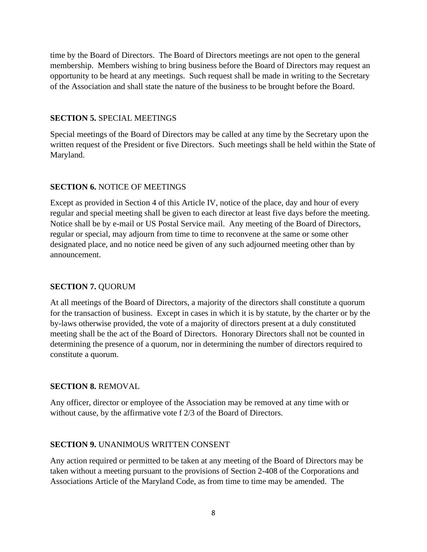time by the Board of Directors. The Board of Directors meetings are not open to the general membership. Members wishing to bring business before the Board of Directors may request an opportunity to be heard at any meetings. Such request shall be made in writing to the Secretary of the Association and shall state the nature of the business to be brought before the Board.

#### **SECTION 5.** SPECIAL MEETINGS

Special meetings of the Board of Directors may be called at any time by the Secretary upon the written request of the President or five Directors. Such meetings shall be held within the State of Maryland.

# **SECTION 6.** NOTICE OF MEETINGS

Except as provided in Section 4 of this Article IV, notice of the place, day and hour of every regular and special meeting shall be given to each director at least five days before the meeting. Notice shall be by e-mail or US Postal Service mail. Any meeting of the Board of Directors, regular or special, may adjourn from time to time to reconvene at the same or some other designated place, and no notice need be given of any such adjourned meeting other than by announcement.

# **SECTION 7.** QUORUM

At all meetings of the Board of Directors, a majority of the directors shall constitute a quorum for the transaction of business. Except in cases in which it is by statute, by the charter or by the by-laws otherwise provided, the vote of a majority of directors present at a duly constituted meeting shall be the act of the Board of Directors. Honorary Directors shall not be counted in determining the presence of a quorum, nor in determining the number of directors required to constitute a quorum.

#### **SECTION 8.** REMOVAL

Any officer, director or employee of the Association may be removed at any time with or without cause, by the affirmative vote f 2/3 of the Board of Directors.

# **SECTION 9.** UNANIMOUS WRITTEN CONSENT

Any action required or permitted to be taken at any meeting of the Board of Directors may be taken without a meeting pursuant to the provisions of Section 2-408 of the Corporations and Associations Article of the Maryland Code, as from time to time may be amended. The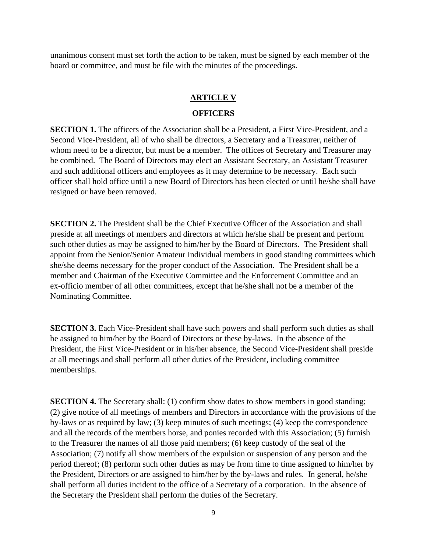unanimous consent must set forth the action to be taken, must be signed by each member of the board or committee, and must be file with the minutes of the proceedings.

#### **ARTICLE V**

#### **OFFICERS**

**SECTION 1.** The officers of the Association shall be a President, a First Vice-President, and a Second Vice-President, all of who shall be directors, a Secretary and a Treasurer, neither of whom need to be a director, but must be a member. The offices of Secretary and Treasurer may be combined. The Board of Directors may elect an Assistant Secretary, an Assistant Treasurer and such additional officers and employees as it may determine to be necessary. Each such officer shall hold office until a new Board of Directors has been elected or until he/she shall have resigned or have been removed.

**SECTION 2.** The President shall be the Chief Executive Officer of the Association and shall preside at all meetings of members and directors at which he/she shall be present and perform such other duties as may be assigned to him/her by the Board of Directors. The President shall appoint from the Senior/Senior Amateur Individual members in good standing committees which she/she deems necessary for the proper conduct of the Association. The President shall be a member and Chairman of the Executive Committee and the Enforcement Committee and an ex-officio member of all other committees, except that he/she shall not be a member of the Nominating Committee.

**SECTION 3.** Each Vice-President shall have such powers and shall perform such duties as shall be assigned to him/her by the Board of Directors or these by-laws. In the absence of the President, the First Vice-President or in his/her absence, the Second Vice-President shall preside at all meetings and shall perform all other duties of the President, including committee memberships.

**SECTION 4.** The Secretary shall: (1) confirm show dates to show members in good standing; (2) give notice of all meetings of members and Directors in accordance with the provisions of the by-laws or as required by law; (3) keep minutes of such meetings; (4) keep the correspondence and all the records of the members horse, and ponies recorded with this Association; (5) furnish to the Treasurer the names of all those paid members; (6) keep custody of the seal of the Association; (7) notify all show members of the expulsion or suspension of any person and the period thereof; (8) perform such other duties as may be from time to time assigned to him/her by the President, Directors or are assigned to him/her by the by-laws and rules. In general, he/she shall perform all duties incident to the office of a Secretary of a corporation. In the absence of the Secretary the President shall perform the duties of the Secretary.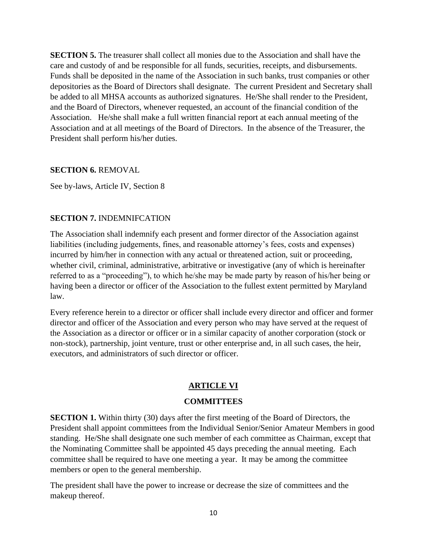**SECTION 5.** The treasurer shall collect all monies due to the Association and shall have the care and custody of and be responsible for all funds, securities, receipts, and disbursements. Funds shall be deposited in the name of the Association in such banks, trust companies or other depositories as the Board of Directors shall designate. The current President and Secretary shall be added to all MHSA accounts as authorized signatures. He/She shall render to the President, and the Board of Directors, whenever requested, an account of the financial condition of the Association. He/she shall make a full written financial report at each annual meeting of the Association and at all meetings of the Board of Directors. In the absence of the Treasurer, the President shall perform his/her duties.

#### **SECTION 6.** REMOVAL

See by-laws, Article IV, Section 8

# **SECTION 7.** INDEMNIFCATION

The Association shall indemnify each present and former director of the Association against liabilities (including judgements, fines, and reasonable attorney's fees, costs and expenses) incurred by him/her in connection with any actual or threatened action, suit or proceeding, whether civil, criminal, administrative, arbitrative or investigative (any of which is hereinafter referred to as a "proceeding"), to which he/she may be made party by reason of his/her being or having been a director or officer of the Association to the fullest extent permitted by Maryland law.

Every reference herein to a director or officer shall include every director and officer and former director and officer of the Association and every person who may have served at the request of the Association as a director or officer or in a similar capacity of another corporation (stock or non-stock), partnership, joint venture, trust or other enterprise and, in all such cases, the heir, executors, and administrators of such director or officer.

# **ARTICLE VI**

#### **COMMITTEES**

**SECTION 1.** Within thirty (30) days after the first meeting of the Board of Directors, the President shall appoint committees from the Individual Senior/Senior Amateur Members in good standing. He/She shall designate one such member of each committee as Chairman, except that the Nominating Committee shall be appointed 45 days preceding the annual meeting. Each committee shall be required to have one meeting a year. It may be among the committee members or open to the general membership.

The president shall have the power to increase or decrease the size of committees and the makeup thereof.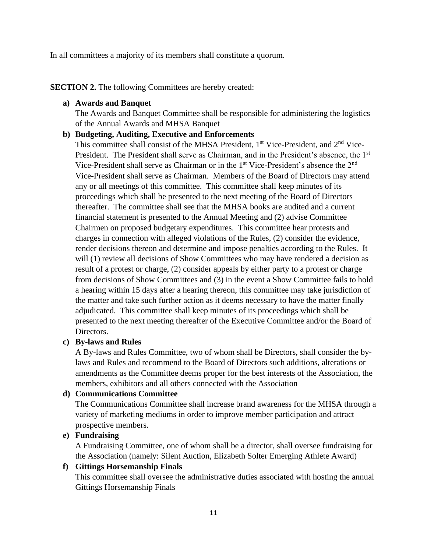In all committees a majority of its members shall constitute a quorum.

#### **SECTION 2.** The following Committees are hereby created:

#### **a) Awards and Banquet**

The Awards and Banquet Committee shall be responsible for administering the logistics of the Annual Awards and MHSA Banquet

#### **b) Budgeting, Auditing, Executive and Enforcements**

This committee shall consist of the MHSA President, 1<sup>st</sup> Vice-President, and 2<sup>nd</sup> Vice-President. The President shall serve as Chairman, and in the President's absence, the 1<sup>st</sup> Vice-President shall serve as Chairman or in the 1<sup>st</sup> Vice-President's absence the 2<sup>nd</sup> Vice-President shall serve as Chairman. Members of the Board of Directors may attend any or all meetings of this committee. This committee shall keep minutes of its proceedings which shall be presented to the next meeting of the Board of Directors thereafter. The committee shall see that the MHSA books are audited and a current financial statement is presented to the Annual Meeting and (2) advise Committee Chairmen on proposed budgetary expenditures. This committee hear protests and charges in connection with alleged violations of the Rules, (2) consider the evidence, render decisions thereon and determine and impose penalties according to the Rules. It will (1) review all decisions of Show Committees who may have rendered a decision as result of a protest or charge, (2) consider appeals by either party to a protest or charge from decisions of Show Committees and (3) in the event a Show Committee fails to hold a hearing within 15 days after a hearing thereon, this committee may take jurisdiction of the matter and take such further action as it deems necessary to have the matter finally adjudicated. This committee shall keep minutes of its proceedings which shall be presented to the next meeting thereafter of the Executive Committee and/or the Board of Directors.

# **c) By-laws and Rules**

A By-laws and Rules Committee, two of whom shall be Directors, shall consider the bylaws and Rules and recommend to the Board of Directors such additions, alterations or amendments as the Committee deems proper for the best interests of the Association, the members, exhibitors and all others connected with the Association

# **d) Communications Committee**

The Communications Committee shall increase brand awareness for the MHSA through a variety of marketing mediums in order to improve member participation and attract prospective members.

# **e) Fundraising**

A Fundraising Committee, one of whom shall be a director, shall oversee fundraising for the Association (namely: Silent Auction, Elizabeth Solter Emerging Athlete Award)

# **f) Gittings Horsemanship Finals**

This committee shall oversee the administrative duties associated with hosting the annual Gittings Horsemanship Finals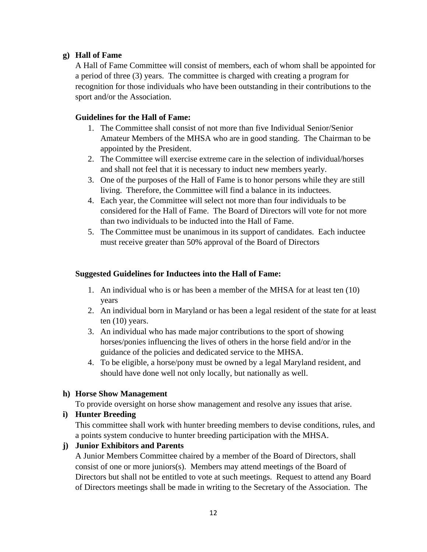# **g) Hall of Fame**

A Hall of Fame Committee will consist of members, each of whom shall be appointed for a period of three (3) years. The committee is charged with creating a program for recognition for those individuals who have been outstanding in their contributions to the sport and/or the Association.

# **Guidelines for the Hall of Fame:**

- 1. The Committee shall consist of not more than five Individual Senior/Senior Amateur Members of the MHSA who are in good standing. The Chairman to be appointed by the President.
- 2. The Committee will exercise extreme care in the selection of individual/horses and shall not feel that it is necessary to induct new members yearly.
- 3. One of the purposes of the Hall of Fame is to honor persons while they are still living. Therefore, the Committee will find a balance in its inductees.
- 4. Each year, the Committee will select not more than four individuals to be considered for the Hall of Fame. The Board of Directors will vote for not more than two individuals to be inducted into the Hall of Fame.
- 5. The Committee must be unanimous in its support of candidates. Each inductee must receive greater than 50% approval of the Board of Directors

# **Suggested Guidelines for Inductees into the Hall of Fame:**

- 1. An individual who is or has been a member of the MHSA for at least ten (10) years
- 2. An individual born in Maryland or has been a legal resident of the state for at least ten (10) years.
- 3. An individual who has made major contributions to the sport of showing horses/ponies influencing the lives of others in the horse field and/or in the guidance of the policies and dedicated service to the MHSA.
- 4. To be eligible, a horse/pony must be owned by a legal Maryland resident, and should have done well not only locally, but nationally as well.

# **h) Horse Show Management**

To provide oversight on horse show management and resolve any issues that arise.

# **i) Hunter Breeding**

This committee shall work with hunter breeding members to devise conditions, rules, and a points system conducive to hunter breeding participation with the MHSA.

# **j) Junior Exhibitors and Parents**

A Junior Members Committee chaired by a member of the Board of Directors, shall consist of one or more juniors(s). Members may attend meetings of the Board of Directors but shall not be entitled to vote at such meetings. Request to attend any Board of Directors meetings shall be made in writing to the Secretary of the Association. The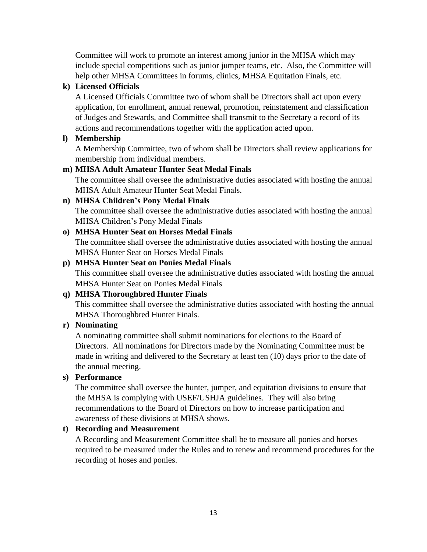Committee will work to promote an interest among junior in the MHSA which may include special competitions such as junior jumper teams, etc. Also, the Committee will help other MHSA Committees in forums, clinics, MHSA Equitation Finals, etc.

# **k) Licensed Officials**

A Licensed Officials Committee two of whom shall be Directors shall act upon every application, for enrollment, annual renewal, promotion, reinstatement and classification of Judges and Stewards, and Committee shall transmit to the Secretary a record of its actions and recommendations together with the application acted upon.

# **l) Membership**

A Membership Committee, two of whom shall be Directors shall review applications for membership from individual members.

# **m) MHSA Adult Amateur Hunter Seat Medal Finals**

The committee shall oversee the administrative duties associated with hosting the annual MHSA Adult Amateur Hunter Seat Medal Finals.

# **n) MHSA Children's Pony Medal Finals**

The committee shall oversee the administrative duties associated with hosting the annual MHSA Children's Pony Medal Finals

# **o) MHSA Hunter Seat on Horses Medal Finals**

The committee shall oversee the administrative duties associated with hosting the annual MHSA Hunter Seat on Horses Medal Finals

# **p) MHSA Hunter Seat on Ponies Medal Finals**

This committee shall oversee the administrative duties associated with hosting the annual MHSA Hunter Seat on Ponies Medal Finals

# **q) MHSA Thoroughbred Hunter Finals**

This committee shall oversee the administrative duties associated with hosting the annual MHSA Thoroughbred Hunter Finals.

# **r) Nominating**

A nominating committee shall submit nominations for elections to the Board of Directors. All nominations for Directors made by the Nominating Committee must be made in writing and delivered to the Secretary at least ten (10) days prior to the date of the annual meeting.

# **s) Performance**

The committee shall oversee the hunter, jumper, and equitation divisions to ensure that the MHSA is complying with USEF/USHJA guidelines. They will also bring recommendations to the Board of Directors on how to increase participation and awareness of these divisions at MHSA shows.

# **t) Recording and Measurement**

A Recording and Measurement Committee shall be to measure all ponies and horses required to be measured under the Rules and to renew and recommend procedures for the recording of hoses and ponies.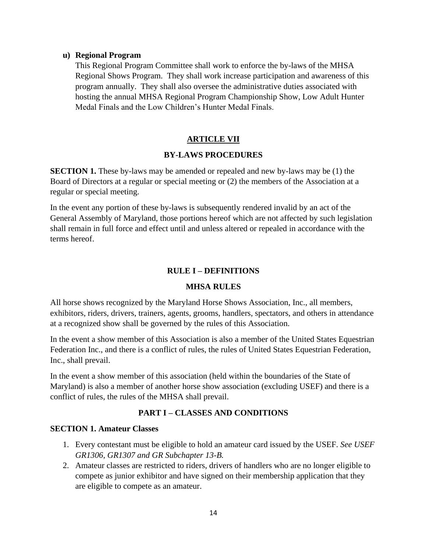#### **u) Regional Program**

This Regional Program Committee shall work to enforce the by-laws of the MHSA Regional Shows Program. They shall work increase participation and awareness of this program annually. They shall also oversee the administrative duties associated with hosting the annual MHSA Regional Program Championship Show, Low Adult Hunter Medal Finals and the Low Children's Hunter Medal Finals.

#### **ARTICLE VII**

#### **BY-LAWS PROCEDURES**

**SECTION 1.** These by-laws may be amended or repealed and new by-laws may be (1) the Board of Directors at a regular or special meeting or (2) the members of the Association at a regular or special meeting.

In the event any portion of these by-laws is subsequently rendered invalid by an act of the General Assembly of Maryland, those portions hereof which are not affected by such legislation shall remain in full force and effect until and unless altered or repealed in accordance with the terms hereof.

#### **RULE I – DEFINITIONS**

#### **MHSA RULES**

All horse shows recognized by the Maryland Horse Shows Association, Inc., all members, exhibitors, riders, drivers, trainers, agents, grooms, handlers, spectators, and others in attendance at a recognized show shall be governed by the rules of this Association.

In the event a show member of this Association is also a member of the United States Equestrian Federation Inc., and there is a conflict of rules, the rules of United States Equestrian Federation, Inc., shall prevail.

In the event a show member of this association (held within the boundaries of the State of Maryland) is also a member of another horse show association (excluding USEF) and there is a conflict of rules, the rules of the MHSA shall prevail.

#### **PART I – CLASSES AND CONDITIONS**

#### **SECTION 1. Amateur Classes**

- 1. Every contestant must be eligible to hold an amateur card issued by the USEF. *See USEF GR1306, GR1307 and GR Subchapter 13-B.*
- 2. Amateur classes are restricted to riders, drivers of handlers who are no longer eligible to compete as junior exhibitor and have signed on their membership application that they are eligible to compete as an amateur.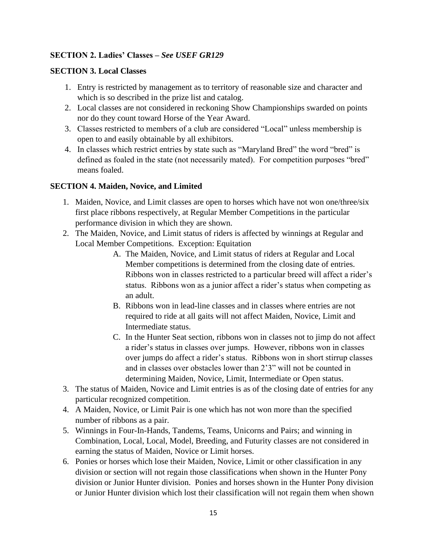# **SECTION 2. Ladies' Classes –** *See USEF GR129*

# **SECTION 3. Local Classes**

- 1. Entry is restricted by management as to territory of reasonable size and character and which is so described in the prize list and catalog.
- 2. Local classes are not considered in reckoning Show Championships swarded on points nor do they count toward Horse of the Year Award.
- 3. Classes restricted to members of a club are considered "Local" unless membership is open to and easily obtainable by all exhibitors.
- 4. In classes which restrict entries by state such as "Maryland Bred" the word "bred" is defined as foaled in the state (not necessarily mated). For competition purposes "bred" means foaled.

#### **SECTION 4. Maiden, Novice, and Limited**

- 1. Maiden, Novice, and Limit classes are open to horses which have not won one/three/six first place ribbons respectively, at Regular Member Competitions in the particular performance division in which they are shown.
- 2. The Maiden, Novice, and Limit status of riders is affected by winnings at Regular and Local Member Competitions. Exception: Equitation
	- A. The Maiden, Novice, and Limit status of riders at Regular and Local Member competitions is determined from the closing date of entries. Ribbons won in classes restricted to a particular breed will affect a rider's status. Ribbons won as a junior affect a rider's status when competing as an adult.
	- B. Ribbons won in lead-line classes and in classes where entries are not required to ride at all gaits will not affect Maiden, Novice, Limit and Intermediate status.
	- C. In the Hunter Seat section, ribbons won in classes not to jimp do not affect a rider's status in classes over jumps. However, ribbons won in classes over jumps do affect a rider's status. Ribbons won in short stirrup classes and in classes over obstacles lower than 2'3" will not be counted in determining Maiden, Novice, Limit, Intermediate or Open status.
- 3. The status of Maiden, Novice and Limit entries is as of the closing date of entries for any particular recognized competition.
- 4. A Maiden, Novice, or Limit Pair is one which has not won more than the specified number of ribbons as a pair.
- 5. Winnings in Four-In-Hands, Tandems, Teams, Unicorns and Pairs; and winning in Combination, Local, Local, Model, Breeding, and Futurity classes are not considered in earning the status of Maiden, Novice or Limit horses.
- 6. Ponies or horses which lose their Maiden, Novice, Limit or other classification in any division or section will not regain those classifications when shown in the Hunter Pony division or Junior Hunter division. Ponies and horses shown in the Hunter Pony division or Junior Hunter division which lost their classification will not regain them when shown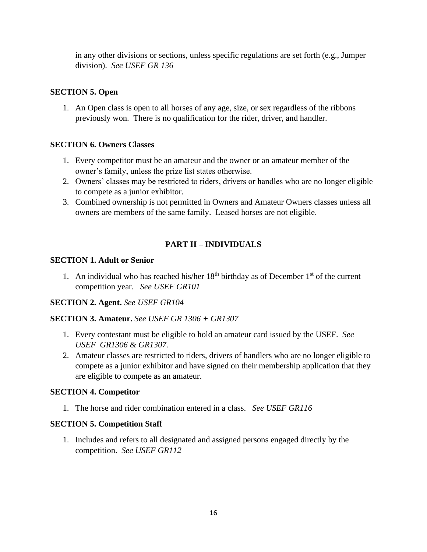in any other divisions or sections, unless specific regulations are set forth (e.g., Jumper division). *See USEF GR 136*

# **SECTION 5. Open**

1. An Open class is open to all horses of any age, size, or sex regardless of the ribbons previously won. There is no qualification for the rider, driver, and handler.

# **SECTION 6. Owners Classes**

- 1. Every competitor must be an amateur and the owner or an amateur member of the owner's family, unless the prize list states otherwise.
- 2. Owners' classes may be restricted to riders, drivers or handles who are no longer eligible to compete as a junior exhibitor.
- 3. Combined ownership is not permitted in Owners and Amateur Owners classes unless all owners are members of the same family. Leased horses are not eligible.

# **PART II – INDIVIDUALS**

#### **SECTION 1. Adult or Senior**

1. An individual who has reached his/her  $18<sup>th</sup>$  birthday as of December  $1<sup>st</sup>$  of the current competition year. *See USEF GR101*

# **SECTION 2. Agent.** *See USEF GR104*

# **SECTION 3. Amateur.** *See USEF GR 1306 + GR1307*

- 1. Every contestant must be eligible to hold an amateur card issued by the USEF. *See USEF GR1306 & GR1307.*
- 2. Amateur classes are restricted to riders, drivers of handlers who are no longer eligible to compete as a junior exhibitor and have signed on their membership application that they are eligible to compete as an amateur.

# **SECTION 4. Competitor**

1. The horse and rider combination entered in a class. *See USEF GR116*

# **SECTION 5. Competition Staff**

1. Includes and refers to all designated and assigned persons engaged directly by the competition. *See USEF GR112*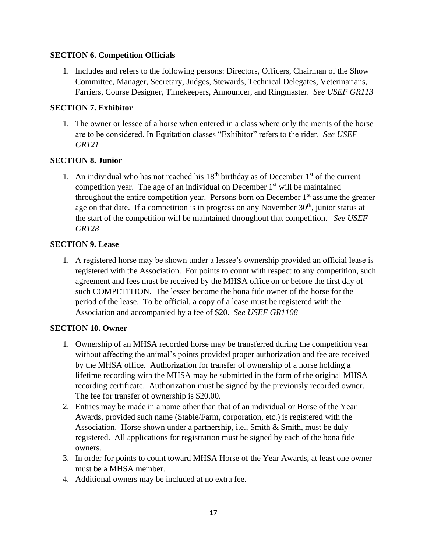# **SECTION 6. Competition Officials**

1. Includes and refers to the following persons: Directors, Officers, Chairman of the Show Committee, Manager, Secretary, Judges, Stewards, Technical Delegates, Veterinarians, Farriers, Course Designer, Timekeepers, Announcer, and Ringmaster. *See USEF GR113*

# **SECTION 7. Exhibitor**

1. The owner or lessee of a horse when entered in a class where only the merits of the horse are to be considered. In Equitation classes "Exhibitor" refers to the rider. *See USEF GR121*

# **SECTION 8. Junior**

1. An individual who has not reached his  $18<sup>th</sup>$  birthday as of December  $1<sup>st</sup>$  of the current competition year. The age of an individual on December  $1<sup>st</sup>$  will be maintained throughout the entire competition year. Persons born on December  $1<sup>st</sup>$  assume the greater age on that date. If a competition is in progress on any November  $30<sup>th</sup>$ , junior status at the start of the competition will be maintained throughout that competition. *See USEF GR128*

# **SECTION 9. Lease**

1. A registered horse may be shown under a lessee's ownership provided an official lease is registered with the Association. For points to count with respect to any competition, such agreement and fees must be received by the MHSA office on or before the first day of such COMPETITION. The lessee become the bona fide owner of the horse for the period of the lease. To be official, a copy of a lease must be registered with the Association and accompanied by a fee of \$20. *See USEF GR1108*

# **SECTION 10. Owner**

- 1. Ownership of an MHSA recorded horse may be transferred during the competition year without affecting the animal's points provided proper authorization and fee are received by the MHSA office. Authorization for transfer of ownership of a horse holding a lifetime recording with the MHSA may be submitted in the form of the original MHSA recording certificate. Authorization must be signed by the previously recorded owner. The fee for transfer of ownership is \$20.00.
- 2. Entries may be made in a name other than that of an individual or Horse of the Year Awards, provided such name (Stable/Farm, corporation, etc.) is registered with the Association. Horse shown under a partnership, i.e., Smith  $\&$  Smith, must be duly registered. All applications for registration must be signed by each of the bona fide owners.
- 3. In order for points to count toward MHSA Horse of the Year Awards, at least one owner must be a MHSA member.
- 4. Additional owners may be included at no extra fee.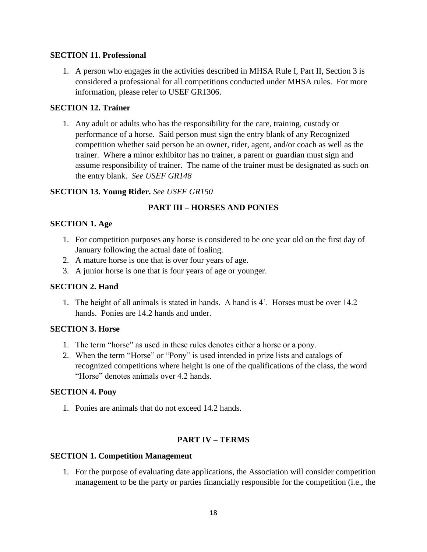#### **SECTION 11. Professional**

1. A person who engages in the activities described in MHSA Rule I, Part II, Section 3 is considered a professional for all competitions conducted under MHSA rules. For more information, please refer to USEF GR1306.

#### **SECTION 12. Trainer**

1. Any adult or adults who has the responsibility for the care, training, custody or performance of a horse. Said person must sign the entry blank of any Recognized competition whether said person be an owner, rider, agent, and/or coach as well as the trainer. Where a minor exhibitor has no trainer, a parent or guardian must sign and assume responsibility of trainer. The name of the trainer must be designated as such on the entry blank. *See USEF GR148*

#### **SECTION 13. Young Rider.** *See USEF GR150*

# **PART III – HORSES AND PONIES**

#### **SECTION 1. Age**

- 1. For competition purposes any horse is considered to be one year old on the first day of January following the actual date of foaling.
- 2. A mature horse is one that is over four years of age.
- 3. A junior horse is one that is four years of age or younger.

#### **SECTION 2. Hand**

1. The height of all animals is stated in hands. A hand is 4'. Horses must be over 14.2 hands. Ponies are 14.2 hands and under.

#### **SECTION 3. Horse**

- 1. The term "horse" as used in these rules denotes either a horse or a pony.
- 2. When the term "Horse" or "Pony" is used intended in prize lists and catalogs of recognized competitions where height is one of the qualifications of the class, the word "Horse" denotes animals over 4.2 hands.

#### **SECTION 4. Pony**

1. Ponies are animals that do not exceed 14.2 hands.

# **PART IV – TERMS**

#### **SECTION 1. Competition Management**

1. For the purpose of evaluating date applications, the Association will consider competition management to be the party or parties financially responsible for the competition (i.e., the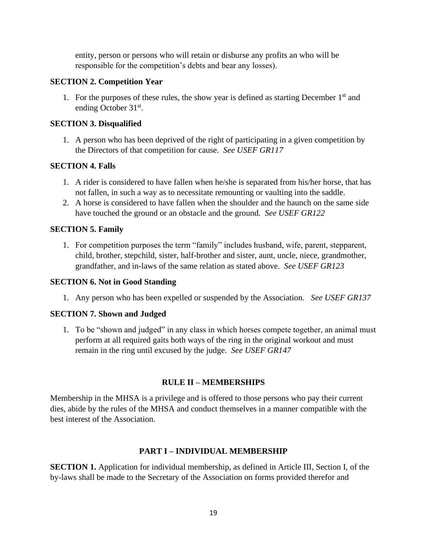entity, person or persons who will retain or disburse any profits an who will be responsible for the competition's debts and bear any losses).

#### **SECTION 2. Competition Year**

1. For the purposes of these rules, the show year is defined as starting December  $1<sup>st</sup>$  and ending October 31<sup>st</sup>.

#### **SECTION 3. Disqualified**

1. A person who has been deprived of the right of participating in a given competition by the Directors of that competition for cause. *See USEF GR117*

#### **SECTION 4. Falls**

- 1. A rider is considered to have fallen when he/she is separated from his/her horse, that has not fallen, in such a way as to necessitate remounting or vaulting into the saddle.
- 2. A horse is considered to have fallen when the shoulder and the haunch on the same side have touched the ground or an obstacle and the ground. *See USEF GR122*

# **SECTION 5. Family**

1. For competition purposes the term "family" includes husband, wife, parent, stepparent, child, brother, stepchild, sister, half-brother and sister, aunt, uncle, niece, grandmother, grandfather, and in-laws of the same relation as stated above. *See USEF GR123*

#### **SECTION 6. Not in Good Standing**

1. Any person who has been expelled or suspended by the Association. *See USEF GR137*

# **SECTION 7. Shown and Judged**

1. To be "shown and judged" in any class in which horses compete together, an animal must perform at all required gaits both ways of the ring in the original workout and must remain in the ring until excused by the judge. *See USEF GR147*

# **RULE II – MEMBERSHIPS**

Membership in the MHSA is a privilege and is offered to those persons who pay their current dies, abide by the rules of the MHSA and conduct themselves in a manner compatible with the best interest of the Association.

# **PART I – INDIVIDUAL MEMBERSHIP**

**SECTION 1.** Application for individual membership, as defined in Article III, Section I, of the by-laws shall be made to the Secretary of the Association on forms provided therefor and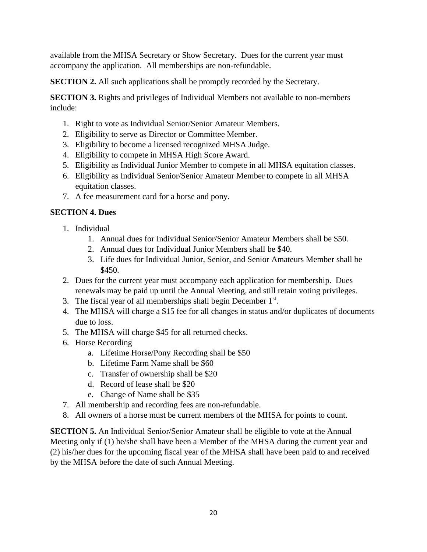available from the MHSA Secretary or Show Secretary. Dues for the current year must accompany the application. All memberships are non-refundable.

**SECTION 2.** All such applications shall be promptly recorded by the Secretary.

**SECTION 3.** Rights and privileges of Individual Members not available to non-members include:

- 1. Right to vote as Individual Senior/Senior Amateur Members.
- 2. Eligibility to serve as Director or Committee Member.
- 3. Eligibility to become a licensed recognized MHSA Judge.
- 4. Eligibility to compete in MHSA High Score Award.
- 5. Eligibility as Individual Junior Member to compete in all MHSA equitation classes.
- 6. Eligibility as Individual Senior/Senior Amateur Member to compete in all MHSA equitation classes.
- 7. A fee measurement card for a horse and pony.

# **SECTION 4. Dues**

- 1. Individual
	- 1. Annual dues for Individual Senior/Senior Amateur Members shall be \$50.
	- 2. Annual dues for Individual Junior Members shall be \$40.
	- 3. Life dues for Individual Junior, Senior, and Senior Amateurs Member shall be \$450.
- 2. Dues for the current year must accompany each application for membership. Dues renewals may be paid up until the Annual Meeting, and still retain voting privileges.
- 3. The fiscal year of all memberships shall begin December 1<sup>st</sup>.
- 4. The MHSA will charge a \$15 fee for all changes in status and/or duplicates of documents due to loss.
- 5. The MHSA will charge \$45 for all returned checks.
- 6. Horse Recording
	- a. Lifetime Horse/Pony Recording shall be \$50
	- b. Lifetime Farm Name shall be \$60
	- c. Transfer of ownership shall be \$20
	- d. Record of lease shall be \$20
	- e. Change of Name shall be \$35
- 7. All membership and recording fees are non-refundable.
- 8. All owners of a horse must be current members of the MHSA for points to count.

**SECTION 5.** An Individual Senior/Senior Amateur shall be eligible to vote at the Annual Meeting only if (1) he/she shall have been a Member of the MHSA during the current year and (2) his/her dues for the upcoming fiscal year of the MHSA shall have been paid to and received by the MHSA before the date of such Annual Meeting.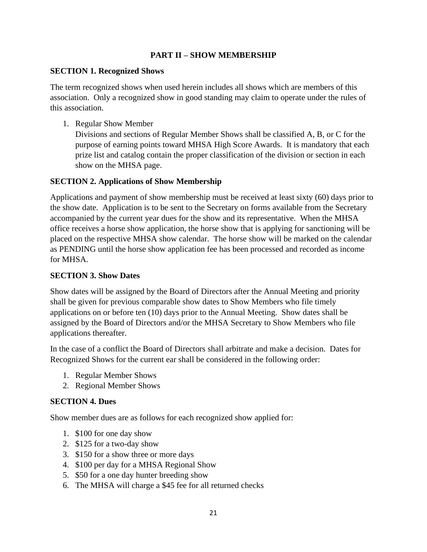# **PART II – SHOW MEMBERSHIP**

# **SECTION 1. Recognized Shows**

The term recognized shows when used herein includes all shows which are members of this association. Only a recognized show in good standing may claim to operate under the rules of this association.

1. Regular Show Member

Divisions and sections of Regular Member Shows shall be classified A, B, or C for the purpose of earning points toward MHSA High Score Awards. It is mandatory that each prize list and catalog contain the proper classification of the division or section in each show on the MHSA page.

#### **SECTION 2. Applications of Show Membership**

Applications and payment of show membership must be received at least sixty (60) days prior to the show date. Application is to be sent to the Secretary on forms available from the Secretary accompanied by the current year dues for the show and its representative. When the MHSA office receives a horse show application, the horse show that is applying for sanctioning will be placed on the respective MHSA show calendar. The horse show will be marked on the calendar as PENDING until the horse show application fee has been processed and recorded as income for MHSA.

#### **SECTION 3. Show Dates**

Show dates will be assigned by the Board of Directors after the Annual Meeting and priority shall be given for previous comparable show dates to Show Members who file timely applications on or before ten (10) days prior to the Annual Meeting. Show dates shall be assigned by the Board of Directors and/or the MHSA Secretary to Show Members who file applications thereafter.

In the case of a conflict the Board of Directors shall arbitrate and make a decision. Dates for Recognized Shows for the current ear shall be considered in the following order:

- 1. Regular Member Shows
- 2. Regional Member Shows

# **SECTION 4. Dues**

Show member dues are as follows for each recognized show applied for:

- 1. \$100 for one day show
- 2. \$125 for a two-day show
- 3. \$150 for a show three or more days
- 4. \$100 per day for a MHSA Regional Show
- 5. \$50 for a one day hunter breeding show
- 6. The MHSA will charge a \$45 fee for all returned checks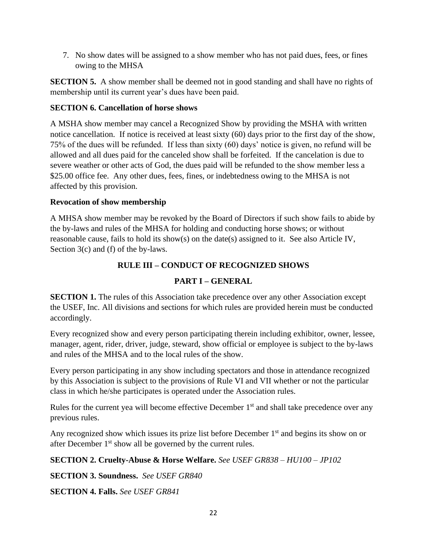7. No show dates will be assigned to a show member who has not paid dues, fees, or fines owing to the MHSA

**SECTION 5.** A show member shall be deemed not in good standing and shall have no rights of membership until its current year's dues have been paid.

# **SECTION 6. Cancellation of horse shows**

A MSHA show member may cancel a Recognized Show by providing the MSHA with written notice cancellation. If notice is received at least sixty (60) days prior to the first day of the show, 75% of the dues will be refunded. If less than sixty (60) days' notice is given, no refund will be allowed and all dues paid for the canceled show shall be forfeited. If the cancelation is due to severe weather or other acts of God, the dues paid will be refunded to the show member less a \$25.00 office fee. Any other dues, fees, fines, or indebtedness owing to the MHSA is not affected by this provision.

# **Revocation of show membership**

A MHSA show member may be revoked by the Board of Directors if such show fails to abide by the by-laws and rules of the MHSA for holding and conducting horse shows; or without reasonable cause, fails to hold its show(s) on the date(s) assigned to it. See also Article IV, Section 3(c) and (f) of the by-laws.

# **RULE III – CONDUCT OF RECOGNIZED SHOWS**

# **PART I – GENERAL**

**SECTION 1.** The rules of this Association take precedence over any other Association except the USEF, Inc. All divisions and sections for which rules are provided herein must be conducted accordingly.

Every recognized show and every person participating therein including exhibitor, owner, lessee, manager, agent, rider, driver, judge, steward, show official or employee is subject to the by-laws and rules of the MHSA and to the local rules of the show.

Every person participating in any show including spectators and those in attendance recognized by this Association is subject to the provisions of Rule VI and VII whether or not the particular class in which he/she participates is operated under the Association rules.

Rules for the current yea will become effective December  $1<sup>st</sup>$  and shall take precedence over any previous rules.

Any recognized show which issues its prize list before December 1<sup>st</sup> and begins its show on or after December 1<sup>st</sup> show all be governed by the current rules.

# **SECTION 2. Cruelty-Abuse & Horse Welfare.** *See USEF GR838 – HU100 – JP102*

**SECTION 3. Soundness.** *See USEF GR840*

**SECTION 4. Falls.** *See USEF GR841*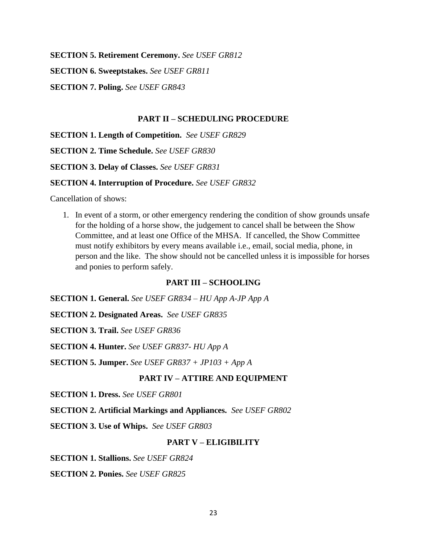**SECTION 5. Retirement Ceremony.** *See USEF GR812*

**SECTION 6. Sweeptstakes.** *See USEF GR811*

**SECTION 7. Poling.** *See USEF GR843*

#### **PART II – SCHEDULING PROCEDURE**

**SECTION 1. Length of Competition.** *See USEF GR829*

**SECTION 2. Time Schedule.** *See USEF GR830*

**SECTION 3. Delay of Classes.** *See USEF GR831*

#### **SECTION 4. Interruption of Procedure.** *See USEF GR832*

Cancellation of shows:

1. In event of a storm, or other emergency rendering the condition of show grounds unsafe for the holding of a horse show, the judgement to cancel shall be between the Show Committee, and at least one Office of the MHSA. If cancelled, the Show Committee must notify exhibitors by every means available i.e., email, social media, phone, in person and the like. The show should not be cancelled unless it is impossible for horses and ponies to perform safely.

#### **PART III – SCHOOLING**

**SECTION 1. General.** *See USEF GR834 – HU App A-JP App A*

**SECTION 2. Designated Areas.** *See USEF GR835*

**SECTION 3. Trail.** *See USEF GR836*

**SECTION 4. Hunter.** *See USEF GR837- HU App A*

**SECTION 5. Jumper.** *See USEF GR837 + JP103 + App A*

#### **PART IV – ATTIRE AND EQUIPMENT**

**SECTION 1. Dress.** *See USEF GR801*

**SECTION 2. Artificial Markings and Appliances.** *See USEF GR802*

**SECTION 3. Use of Whips.** *See USEF GR803*

#### **PART V – ELIGIBILITY**

**SECTION 1. Stallions.** *See USEF GR824*

**SECTION 2. Ponies.** *See USEF GR825*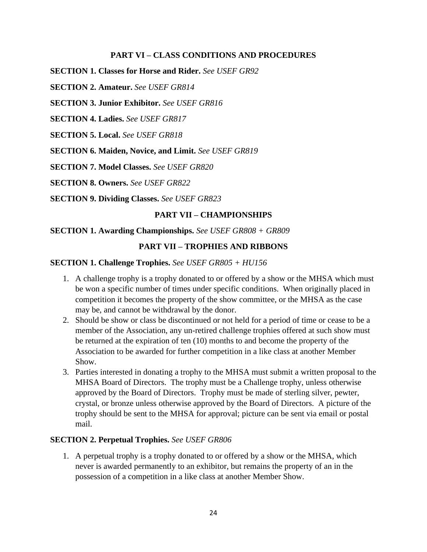#### **PART VI – CLASS CONDITIONS AND PROCEDURES**

**SECTION 1. Classes for Horse and Rider.** *See USEF GR92*

**SECTION 2. Amateur.** *See USEF GR814*

**SECTION 3. Junior Exhibitor.** *See USEF GR816*

**SECTION 4. Ladies.** *See USEF GR817*

**SECTION 5. Local.** *See USEF GR818*

**SECTION 6. Maiden, Novice, and Limit.** *See USEF GR819*

**SECTION 7. Model Classes.** *See USEF GR820*

**SECTION 8. Owners.** *See USEF GR822*

**SECTION 9. Dividing Classes.** *See USEF GR823*

#### **PART VII – CHAMPIONSHIPS**

#### **SECTION 1. Awarding Championships.** *See USEF GR808 + GR809*

#### **PART VII – TROPHIES AND RIBBONS**

**SECTION 1. Challenge Trophies.** *See USEF GR805 + HU156*

- 1. A challenge trophy is a trophy donated to or offered by a show or the MHSA which must be won a specific number of times under specific conditions. When originally placed in competition it becomes the property of the show committee, or the MHSA as the case may be, and cannot be withdrawal by the donor.
- 2. Should be show or class be discontinued or not held for a period of time or cease to be a member of the Association, any un-retired challenge trophies offered at such show must be returned at the expiration of ten (10) months to and become the property of the Association to be awarded for further competition in a like class at another Member Show.
- 3. Parties interested in donating a trophy to the MHSA must submit a written proposal to the MHSA Board of Directors. The trophy must be a Challenge trophy, unless otherwise approved by the Board of Directors. Trophy must be made of sterling silver, pewter, crystal, or bronze unless otherwise approved by the Board of Directors. A picture of the trophy should be sent to the MHSA for approval; picture can be sent via email or postal mail.

#### **SECTION 2. Perpetual Trophies.** *See USEF GR806*

1. A perpetual trophy is a trophy donated to or offered by a show or the MHSA, which never is awarded permanently to an exhibitor, but remains the property of an in the possession of a competition in a like class at another Member Show.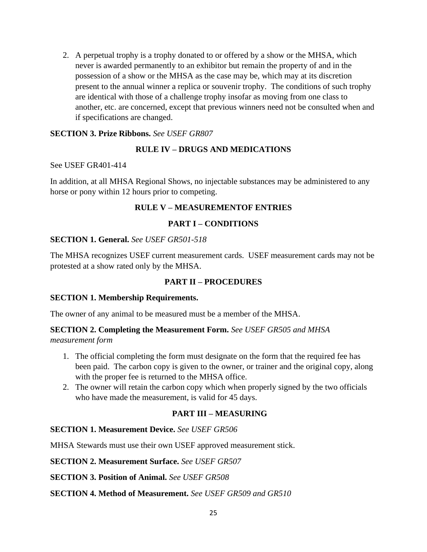2. A perpetual trophy is a trophy donated to or offered by a show or the MHSA, which never is awarded permanently to an exhibitor but remain the property of and in the possession of a show or the MHSA as the case may be, which may at its discretion present to the annual winner a replica or souvenir trophy. The conditions of such trophy are identical with those of a challenge trophy insofar as moving from one class to another, etc. are concerned, except that previous winners need not be consulted when and if specifications are changed.

# **SECTION 3. Prize Ribbons.** *See USEF GR807*

# **RULE IV – DRUGS AND MEDICATIONS**

#### See USEF GR401-414

In addition, at all MHSA Regional Shows, no injectable substances may be administered to any horse or pony within 12 hours prior to competing.

# **RULE V – MEASUREMENTOF ENTRIES**

# **PART I – CONDITIONS**

# **SECTION 1. General.** *See USEF GR501-518*

The MHSA recognizes USEF current measurement cards. USEF measurement cards may not be protested at a show rated only by the MHSA.

# **PART II – PROCEDURES**

# **SECTION 1. Membership Requirements.**

The owner of any animal to be measured must be a member of the MHSA.

# **SECTION 2. Completing the Measurement Form.** *See USEF GR505 and MHSA*

*measurement form*

- 1. The official completing the form must designate on the form that the required fee has been paid. The carbon copy is given to the owner, or trainer and the original copy, along with the proper fee is returned to the MHSA office.
- 2. The owner will retain the carbon copy which when properly signed by the two officials who have made the measurement, is valid for 45 days.

# **PART III – MEASURING**

# **SECTION 1. Measurement Device.** *See USEF GR506*

MHSA Stewards must use their own USEF approved measurement stick.

**SECTION 2. Measurement Surface.** *See USEF GR507*

**SECTION 3. Position of Animal.** *See USEF GR508*

# **SECTION 4. Method of Measurement.** *See USEF GR509 and GR510*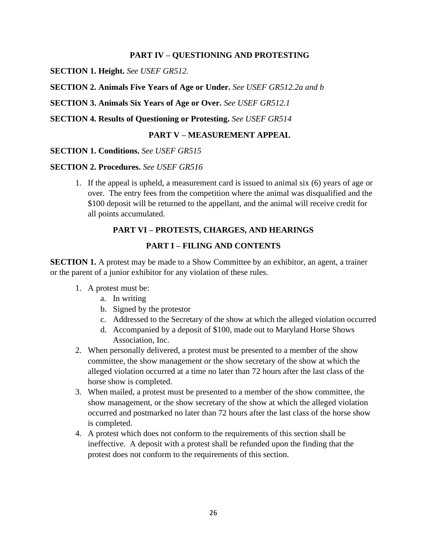#### **PART IV – QUESTIONING AND PROTESTING**

**SECTION 1. Height.** *See USEF GR512.*

**SECTION 2. Animals Five Years of Age or Under.** *See USEF GR512.2a and b*

**SECTION 3. Animals Six Years of Age or Over.** *See USEF GR512.1*

**SECTION 4. Results of Questioning or Protesting.** *See USEF GR514*

#### **PART V – MEASUREMENT APPEAL**

#### **SECTION 1. Conditions.** *See USEF GR515*

#### **SECTION 2. Procedures.** *See USEF GR516*

1. If the appeal is upheld, a measurement card is issued to animal six (6) years of age or over. The entry fees from the competition where the animal was disqualified and the \$100 deposit will be returned to the appellant, and the animal will receive credit for all points accumulated.

#### **PART VI – PROTESTS, CHARGES, AND HEARINGS**

#### **PART I – FILING AND CONTENTS**

**SECTION 1.** A protest may be made to a Show Committee by an exhibitor, an agent, a trainer or the parent of a junior exhibitor for any violation of these rules.

- 1. A protest must be:
	- a. In writing
	- b. Signed by the protestor
	- c. Addressed to the Secretary of the show at which the alleged violation occurred
	- d. Accompanied by a deposit of \$100, made out to Maryland Horse Shows Association, Inc.
- 2. When personally delivered, a protest must be presented to a member of the show committee, the show management or the show secretary of the show at which the alleged violation occurred at a time no later than 72 hours after the last class of the horse show is completed.
- 3. When mailed, a protest must be presented to a member of the show committee, the show management, or the show secretary of the show at which the alleged violation occurred and postmarked no later than 72 hours after the last class of the horse show is completed.
- 4. A protest which does not conform to the requirements of this section shall be ineffective. A deposit with a protest shall be refunded upon the finding that the protest does not conform to the requirements of this section.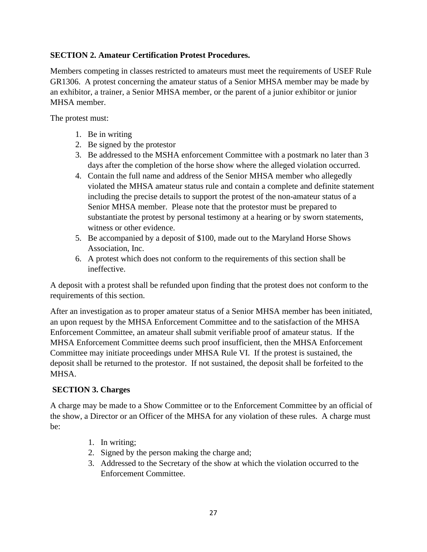# **SECTION 2. Amateur Certification Protest Procedures.**

Members competing in classes restricted to amateurs must meet the requirements of USEF Rule GR1306. A protest concerning the amateur status of a Senior MHSA member may be made by an exhibitor, a trainer, a Senior MHSA member, or the parent of a junior exhibitor or junior MHSA member.

The protest must:

- 1. Be in writing
- 2. Be signed by the protestor
- 3. Be addressed to the MSHA enforcement Committee with a postmark no later than 3 days after the completion of the horse show where the alleged violation occurred.
- 4. Contain the full name and address of the Senior MHSA member who allegedly violated the MHSA amateur status rule and contain a complete and definite statement including the precise details to support the protest of the non-amateur status of a Senior MHSA member. Please note that the protestor must be prepared to substantiate the protest by personal testimony at a hearing or by sworn statements, witness or other evidence.
- 5. Be accompanied by a deposit of \$100, made out to the Maryland Horse Shows Association, Inc.
- 6. A protest which does not conform to the requirements of this section shall be ineffective.

A deposit with a protest shall be refunded upon finding that the protest does not conform to the requirements of this section.

After an investigation as to proper amateur status of a Senior MHSA member has been initiated, an upon request by the MHSA Enforcement Committee and to the satisfaction of the MHSA Enforcement Committee, an amateur shall submit verifiable proof of amateur status. If the MHSA Enforcement Committee deems such proof insufficient, then the MHSA Enforcement Committee may initiate proceedings under MHSA Rule VI. If the protest is sustained, the deposit shall be returned to the protestor. If not sustained, the deposit shall be forfeited to the MHSA.

# **SECTION 3. Charges**

A charge may be made to a Show Committee or to the Enforcement Committee by an official of the show, a Director or an Officer of the MHSA for any violation of these rules. A charge must be:

- 1. In writing;
- 2. Signed by the person making the charge and;
- 3. Addressed to the Secretary of the show at which the violation occurred to the Enforcement Committee.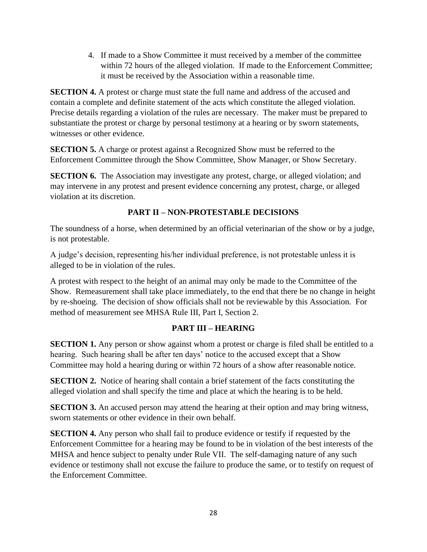4. If made to a Show Committee it must received by a member of the committee within 72 hours of the alleged violation. If made to the Enforcement Committee; it must be received by the Association within a reasonable time.

**SECTION 4.** A protest or charge must state the full name and address of the accused and contain a complete and definite statement of the acts which constitute the alleged violation. Precise details regarding a violation of the rules are necessary. The maker must be prepared to substantiate the protest or charge by personal testimony at a hearing or by sworn statements, witnesses or other evidence.

**SECTION 5.** A charge or protest against a Recognized Show must be referred to the Enforcement Committee through the Show Committee, Show Manager, or Show Secretary.

**SECTION 6.** The Association may investigate any protest, charge, or alleged violation; and may intervene in any protest and present evidence concerning any protest, charge, or alleged violation at its discretion.

# **PART II – NON-PROTESTABLE DECISIONS**

The soundness of a horse, when determined by an official veterinarian of the show or by a judge, is not protestable.

A judge's decision, representing his/her individual preference, is not protestable unless it is alleged to be in violation of the rules.

A protest with respect to the height of an animal may only be made to the Committee of the Show. Remeasurement shall take place immediately, to the end that there be no change in height by re-shoeing. The decision of show officials shall not be reviewable by this Association. For method of measurement see MHSA Rule III, Part I, Section 2.

# **PART III – HEARING**

**SECTION 1.** Any person or show against whom a protest or charge is filed shall be entitled to a hearing. Such hearing shall be after ten days' notice to the accused except that a Show Committee may hold a hearing during or within 72 hours of a show after reasonable notice.

**SECTION 2.** Notice of hearing shall contain a brief statement of the facts constituting the alleged violation and shall specify the time and place at which the hearing is to be held.

**SECTION 3.** An accused person may attend the hearing at their option and may bring witness, sworn statements or other evidence in their own behalf.

**SECTION 4.** Any person who shall fail to produce evidence or testify if requested by the Enforcement Committee for a hearing may be found to be in violation of the best interests of the MHSA and hence subject to penalty under Rule VII. The self-damaging nature of any such evidence or testimony shall not excuse the failure to produce the same, or to testify on request of the Enforcement Committee.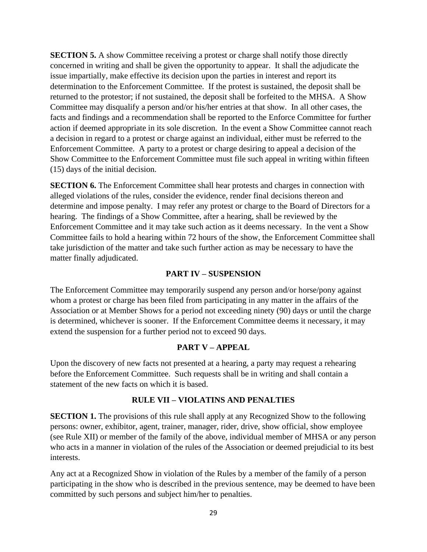**SECTION 5.** A show Committee receiving a protest or charge shall notify those directly concerned in writing and shall be given the opportunity to appear. It shall the adjudicate the issue impartially, make effective its decision upon the parties in interest and report its determination to the Enforcement Committee. If the protest is sustained, the deposit shall be returned to the protestor; if not sustained, the deposit shall be forfeited to the MHSA. A Show Committee may disqualify a person and/or his/her entries at that show. In all other cases, the facts and findings and a recommendation shall be reported to the Enforce Committee for further action if deemed appropriate in its sole discretion. In the event a Show Committee cannot reach a decision in regard to a protest or charge against an individual, either must be referred to the Enforcement Committee. A party to a protest or charge desiring to appeal a decision of the Show Committee to the Enforcement Committee must file such appeal in writing within fifteen (15) days of the initial decision.

**SECTION 6.** The Enforcement Committee shall hear protests and charges in connection with alleged violations of the rules, consider the evidence, render final decisions thereon and determine and impose penalty. I may refer any protest or charge to the Board of Directors for a hearing. The findings of a Show Committee, after a hearing, shall be reviewed by the Enforcement Committee and it may take such action as it deems necessary. In the vent a Show Committee fails to hold a hearing within 72 hours of the show, the Enforcement Committee shall take jurisdiction of the matter and take such further action as may be necessary to have the matter finally adjudicated.

#### **PART IV – SUSPENSION**

The Enforcement Committee may temporarily suspend any person and/or horse/pony against whom a protest or charge has been filed from participating in any matter in the affairs of the Association or at Member Shows for a period not exceeding ninety (90) days or until the charge is determined, whichever is sooner. If the Enforcement Committee deems it necessary, it may extend the suspension for a further period not to exceed 90 days.

#### **PART V – APPEAL**

Upon the discovery of new facts not presented at a hearing, a party may request a rehearing before the Enforcement Committee. Such requests shall be in writing and shall contain a statement of the new facts on which it is based.

#### **RULE VII – VIOLATINS AND PENALTIES**

**SECTION 1.** The provisions of this rule shall apply at any Recognized Show to the following persons: owner, exhibitor, agent, trainer, manager, rider, drive, show official, show employee (see Rule XII) or member of the family of the above, individual member of MHSA or any person who acts in a manner in violation of the rules of the Association or deemed prejudicial to its best interests.

Any act at a Recognized Show in violation of the Rules by a member of the family of a person participating in the show who is described in the previous sentence, may be deemed to have been committed by such persons and subject him/her to penalties.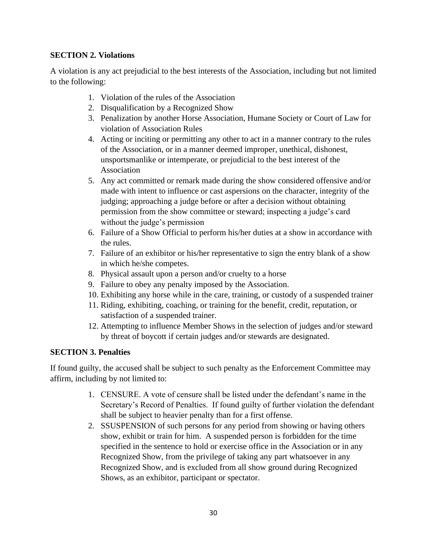# **SECTION 2. Violations**

A violation is any act prejudicial to the best interests of the Association, including but not limited to the following:

- 1. Violation of the rules of the Association
- 2. Disqualification by a Recognized Show
- 3. Penalization by another Horse Association, Humane Society or Court of Law for violation of Association Rules
- 4. Acting or inciting or permitting any other to act in a manner contrary to the rules of the Association, or in a manner deemed improper, unethical, dishonest, unsportsmanlike or intemperate, or prejudicial to the best interest of the Association
- 5. Any act committed or remark made during the show considered offensive and/or made with intent to influence or cast aspersions on the character, integrity of the judging; approaching a judge before or after a decision without obtaining permission from the show committee or steward; inspecting a judge's card without the judge's permission
- 6. Failure of a Show Official to perform his/her duties at a show in accordance with the rules.
- 7. Failure of an exhibitor or his/her representative to sign the entry blank of a show in which he/she competes.
- 8. Physical assault upon a person and/or cruelty to a horse
- 9. Failure to obey any penalty imposed by the Association.
- 10. Exhibiting any horse while in the care, training, or custody of a suspended trainer
- 11. Riding, exhibiting, coaching, or training for the benefit, credit, reputation, or satisfaction of a suspended trainer.
- 12. Attempting to influence Member Shows in the selection of judges and/or steward by threat of boycott if certain judges and/or stewards are designated.

# **SECTION 3. Penalties**

If found guilty, the accused shall be subject to such penalty as the Enforcement Committee may affirm, including by not limited to:

- 1. CENSURE. A vote of censure shall be listed under the defendant's name in the Secretary's Record of Penalties. If found guilty of further violation the defendant shall be subject to heavier penalty than for a first offense.
- 2. SSUSPENSION of such persons for any period from showing or having others show, exhibit or train for him. A suspended person is forbidden for the time specified in the sentence to hold or exercise office in the Association or in any Recognized Show, from the privilege of taking any part whatsoever in any Recognized Show, and is excluded from all show ground during Recognized Shows, as an exhibitor, participant or spectator.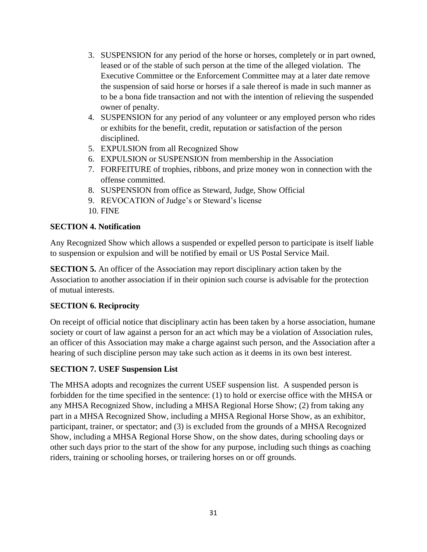- 3. SUSPENSION for any period of the horse or horses, completely or in part owned, leased or of the stable of such person at the time of the alleged violation. The Executive Committee or the Enforcement Committee may at a later date remove the suspension of said horse or horses if a sale thereof is made in such manner as to be a bona fide transaction and not with the intention of relieving the suspended owner of penalty.
- 4. SUSPENSION for any period of any volunteer or any employed person who rides or exhibits for the benefit, credit, reputation or satisfaction of the person disciplined.
- 5. EXPULSION from all Recognized Show
- 6. EXPULSION or SUSPENSION from membership in the Association
- 7. FORFEITURE of trophies, ribbons, and prize money won in connection with the offense committed.
- 8. SUSPENSION from office as Steward, Judge, Show Official
- 9. REVOCATION of Judge's or Steward's license
- 10. FINE

#### **SECTION 4. Notification**

Any Recognized Show which allows a suspended or expelled person to participate is itself liable to suspension or expulsion and will be notified by email or US Postal Service Mail.

**SECTION 5.** An officer of the Association may report disciplinary action taken by the Association to another association if in their opinion such course is advisable for the protection of mutual interests.

# **SECTION 6. Reciprocity**

On receipt of official notice that disciplinary actin has been taken by a horse association, humane society or court of law against a person for an act which may be a violation of Association rules, an officer of this Association may make a charge against such person, and the Association after a hearing of such discipline person may take such action as it deems in its own best interest.

# **SECTION 7. USEF Suspension List**

The MHSA adopts and recognizes the current USEF suspension list. A suspended person is forbidden for the time specified in the sentence: (1) to hold or exercise office with the MHSA or any MHSA Recognized Show, including a MHSA Regional Horse Show; (2) from taking any part in a MHSA Recognized Show, including a MHSA Regional Horse Show, as an exhibitor, participant, trainer, or spectator; and (3) is excluded from the grounds of a MHSA Recognized Show, including a MHSA Regional Horse Show, on the show dates, during schooling days or other such days prior to the start of the show for any purpose, including such things as coaching riders, training or schooling horses, or trailering horses on or off grounds.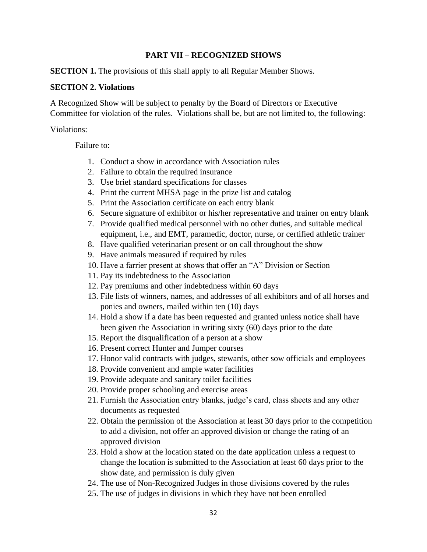#### **PART VII – RECOGNIZED SHOWS**

**SECTION 1.** The provisions of this shall apply to all Regular Member Shows.

#### **SECTION 2. Violations**

A Recognized Show will be subject to penalty by the Board of Directors or Executive Committee for violation of the rules. Violations shall be, but are not limited to, the following:

Violations:

Failure to:

- 1. Conduct a show in accordance with Association rules
- 2. Failure to obtain the required insurance
- 3. Use brief standard specifications for classes
- 4. Print the current MHSA page in the prize list and catalog
- 5. Print the Association certificate on each entry blank
- 6. Secure signature of exhibitor or his/her representative and trainer on entry blank
- 7. Provide qualified medical personnel with no other duties, and suitable medical equipment, i.e., and EMT, paramedic, doctor, nurse, or certified athletic trainer
- 8. Have qualified veterinarian present or on call throughout the show
- 9. Have animals measured if required by rules
- 10. Have a farrier present at shows that offer an "A" Division or Section
- 11. Pay its indebtedness to the Association
- 12. Pay premiums and other indebtedness within 60 days
- 13. File lists of winners, names, and addresses of all exhibitors and of all horses and ponies and owners, mailed within ten (10) days
- 14. Hold a show if a date has been requested and granted unless notice shall have been given the Association in writing sixty (60) days prior to the date
- 15. Report the disqualification of a person at a show
- 16. Present correct Hunter and Jumper courses
- 17. Honor valid contracts with judges, stewards, other sow officials and employees
- 18. Provide convenient and ample water facilities
- 19. Provide adequate and sanitary toilet facilities
- 20. Provide proper schooling and exercise areas
- 21. Furnish the Association entry blanks, judge's card, class sheets and any other documents as requested
- 22. Obtain the permission of the Association at least 30 days prior to the competition to add a division, not offer an approved division or change the rating of an approved division
- 23. Hold a show at the location stated on the date application unless a request to change the location is submitted to the Association at least 60 days prior to the show date, and permission is duly given
- 24. The use of Non-Recognized Judges in those divisions covered by the rules
- 25. The use of judges in divisions in which they have not been enrolled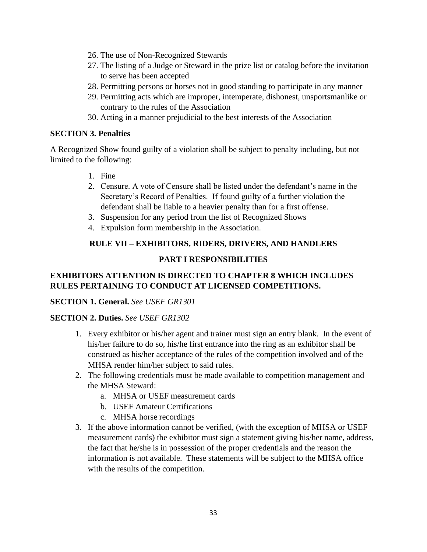- 26. The use of Non-Recognized Stewards
- 27. The listing of a Judge or Steward in the prize list or catalog before the invitation to serve has been accepted
- 28. Permitting persons or horses not in good standing to participate in any manner
- 29. Permitting acts which are improper, intemperate, dishonest, unsportsmanlike or contrary to the rules of the Association
- 30. Acting in a manner prejudicial to the best interests of the Association

# **SECTION 3. Penalties**

A Recognized Show found guilty of a violation shall be subject to penalty including, but not limited to the following:

- 1. Fine
- 2. Censure. A vote of Censure shall be listed under the defendant's name in the Secretary's Record of Penalties. If found guilty of a further violation the defendant shall be liable to a heavier penalty than for a first offense.
- 3. Suspension for any period from the list of Recognized Shows
- 4. Expulsion form membership in the Association.

# **RULE VII – EXHIBITORS, RIDERS, DRIVERS, AND HANDLERS**

# **PART I RESPONSIBILITIES**

# **EXHIBITORS ATTENTION IS DIRECTED TO CHAPTER 8 WHICH INCLUDES RULES PERTAINING TO CONDUCT AT LICENSED COMPETITIONS.**

# **SECTION 1. General.** *See USEF GR1301*

# **SECTION 2. Duties.** *See USEF GR1302*

- 1. Every exhibitor or his/her agent and trainer must sign an entry blank. In the event of his/her failure to do so, his/he first entrance into the ring as an exhibitor shall be construed as his/her acceptance of the rules of the competition involved and of the MHSA render him/her subject to said rules.
- 2. The following credentials must be made available to competition management and the MHSA Steward:
	- a. MHSA or USEF measurement cards
	- b. USEF Amateur Certifications
	- c. MHSA horse recordings
- 3. If the above information cannot be verified, (with the exception of MHSA or USEF measurement cards) the exhibitor must sign a statement giving his/her name, address, the fact that he/she is in possession of the proper credentials and the reason the information is not available. These statements will be subject to the MHSA office with the results of the competition.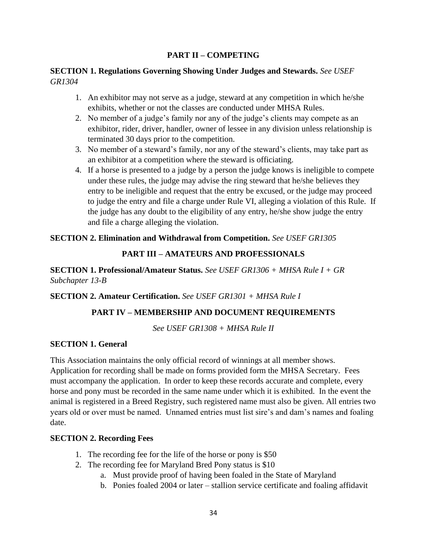# **PART II – COMPETING**

#### **SECTION 1. Regulations Governing Showing Under Judges and Stewards.** *See USEF GR1304*

- 1. An exhibitor may not serve as a judge, steward at any competition in which he/she exhibits, whether or not the classes are conducted under MHSA Rules.
- 2. No member of a judge's family nor any of the judge's clients may compete as an exhibitor, rider, driver, handler, owner of lessee in any division unless relationship is terminated 30 days prior to the competition.
- 3. No member of a steward's family, nor any of the steward's clients, may take part as an exhibitor at a competition where the steward is officiating.
- 4. If a horse is presented to a judge by a person the judge knows is ineligible to compete under these rules, the judge may advise the ring steward that he/she believes they entry to be ineligible and request that the entry be excused, or the judge may proceed to judge the entry and file a charge under Rule VI, alleging a violation of this Rule. If the judge has any doubt to the eligibility of any entry, he/she show judge the entry and file a charge alleging the violation.

# **SECTION 2. Elimination and Withdrawal from Competition.** *See USEF GR1305*

# **PART III – AMATEURS AND PROFESSIONALS**

**SECTION 1. Professional/Amateur Status.** *See USEF GR1306 + MHSA Rule I + GR Subchapter 13-B*

# **SECTION 2. Amateur Certification.** *See USEF GR1301 + MHSA Rule I*

# **PART IV – MEMBERSHIP AND DOCUMENT REQUIREMENTS**

*See USEF GR1308 + MHSA Rule II*

# **SECTION 1. General**

This Association maintains the only official record of winnings at all member shows. Application for recording shall be made on forms provided form the MHSA Secretary. Fees must accompany the application. In order to keep these records accurate and complete, every horse and pony must be recorded in the same name under which it is exhibited. In the event the animal is registered in a Breed Registry, such registered name must also be given. All entries two years old or over must be named. Unnamed entries must list sire's and dam's names and foaling date.

#### **SECTION 2. Recording Fees**

- 1. The recording fee for the life of the horse or pony is \$50
- 2. The recording fee for Maryland Bred Pony status is \$10
	- a. Must provide proof of having been foaled in the State of Maryland
	- b. Ponies foaled 2004 or later stallion service certificate and foaling affidavit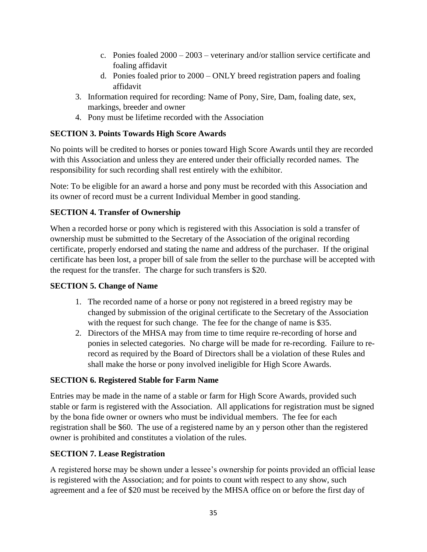- c. Ponies foaled 2000 2003 veterinary and/or stallion service certificate and foaling affidavit
- d. Ponies foaled prior to 2000 ONLY breed registration papers and foaling affidavit
- 3. Information required for recording: Name of Pony, Sire, Dam, foaling date, sex, markings, breeder and owner
- 4. Pony must be lifetime recorded with the Association

# **SECTION 3. Points Towards High Score Awards**

No points will be credited to horses or ponies toward High Score Awards until they are recorded with this Association and unless they are entered under their officially recorded names. The responsibility for such recording shall rest entirely with the exhibitor.

Note: To be eligible for an award a horse and pony must be recorded with this Association and its owner of record must be a current Individual Member in good standing.

# **SECTION 4. Transfer of Ownership**

When a recorded horse or pony which is registered with this Association is sold a transfer of ownership must be submitted to the Secretary of the Association of the original recording certificate, properly endorsed and stating the name and address of the purchaser. If the original certificate has been lost, a proper bill of sale from the seller to the purchase will be accepted with the request for the transfer. The charge for such transfers is \$20.

# **SECTION 5. Change of Name**

- 1. The recorded name of a horse or pony not registered in a breed registry may be changed by submission of the original certificate to the Secretary of the Association with the request for such change. The fee for the change of name is \$35.
- 2. Directors of the MHSA may from time to time require re-recording of horse and ponies in selected categories. No charge will be made for re-recording. Failure to rerecord as required by the Board of Directors shall be a violation of these Rules and shall make the horse or pony involved ineligible for High Score Awards.

# **SECTION 6. Registered Stable for Farm Name**

Entries may be made in the name of a stable or farm for High Score Awards, provided such stable or farm is registered with the Association. All applications for registration must be signed by the bona fide owner or owners who must be individual members. The fee for each registration shall be \$60. The use of a registered name by an y person other than the registered owner is prohibited and constitutes a violation of the rules.

# **SECTION 7. Lease Registration**

A registered horse may be shown under a lessee's ownership for points provided an official lease is registered with the Association; and for points to count with respect to any show, such agreement and a fee of \$20 must be received by the MHSA office on or before the first day of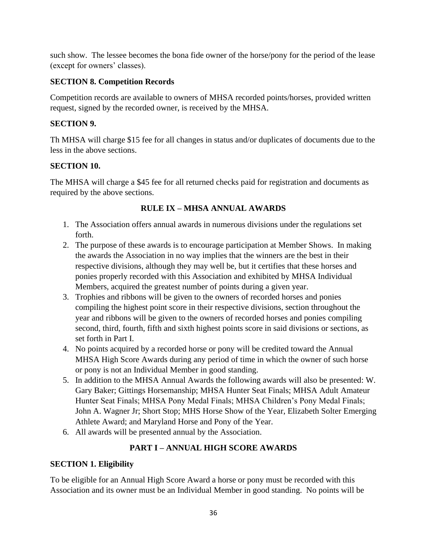such show. The lessee becomes the bona fide owner of the horse/pony for the period of the lease (except for owners' classes).

# **SECTION 8. Competition Records**

Competition records are available to owners of MHSA recorded points/horses, provided written request, signed by the recorded owner, is received by the MHSA.

# **SECTION 9.**

Th MHSA will charge \$15 fee for all changes in status and/or duplicates of documents due to the less in the above sections.

# **SECTION 10.**

The MHSA will charge a \$45 fee for all returned checks paid for registration and documents as required by the above sections.

# **RULE IX – MHSA ANNUAL AWARDS**

- 1. The Association offers annual awards in numerous divisions under the regulations set forth.
- 2. The purpose of these awards is to encourage participation at Member Shows. In making the awards the Association in no way implies that the winners are the best in their respective divisions, although they may well be, but it certifies that these horses and ponies properly recorded with this Association and exhibited by MHSA Individual Members, acquired the greatest number of points during a given year.
- 3. Trophies and ribbons will be given to the owners of recorded horses and ponies compiling the highest point score in their respective divisions, section throughout the year and ribbons will be given to the owners of recorded horses and ponies compiling second, third, fourth, fifth and sixth highest points score in said divisions or sections, as set forth in Part I.
- 4. No points acquired by a recorded horse or pony will be credited toward the Annual MHSA High Score Awards during any period of time in which the owner of such horse or pony is not an Individual Member in good standing.
- 5. In addition to the MHSA Annual Awards the following awards will also be presented: W. Gary Baker; Gittings Horsemanship; MHSA Hunter Seat Finals; MHSA Adult Amateur Hunter Seat Finals; MHSA Pony Medal Finals; MHSA Children's Pony Medal Finals; John A. Wagner Jr; Short Stop; MHS Horse Show of the Year, Elizabeth Solter Emerging Athlete Award; and Maryland Horse and Pony of the Year.
- 6. All awards will be presented annual by the Association.

# **PART I – ANNUAL HIGH SCORE AWARDS**

# **SECTION 1. Eligibility**

To be eligible for an Annual High Score Award a horse or pony must be recorded with this Association and its owner must be an Individual Member in good standing. No points will be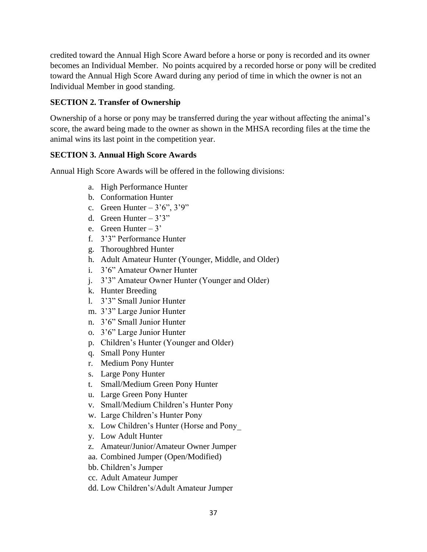credited toward the Annual High Score Award before a horse or pony is recorded and its owner becomes an Individual Member. No points acquired by a recorded horse or pony will be credited toward the Annual High Score Award during any period of time in which the owner is not an Individual Member in good standing.

## **SECTION 2. Transfer of Ownership**

Ownership of a horse or pony may be transferred during the year without affecting the animal's score, the award being made to the owner as shown in the MHSA recording files at the time the animal wins its last point in the competition year.

## **SECTION 3. Annual High Score Awards**

Annual High Score Awards will be offered in the following divisions:

- a. High Performance Hunter
- b. Conformation Hunter
- c. Green Hunter  $-3'6''$ ,  $3'9''$
- d. Green Hunter  $-3'3''$
- e. Green Hunter 3'
- f. 3'3" Performance Hunter
- g. Thoroughbred Hunter
- h. Adult Amateur Hunter (Younger, Middle, and Older)
- i. 3'6" Amateur Owner Hunter
- j. 3'3" Amateur Owner Hunter (Younger and Older)
- k. Hunter Breeding
- l. 3'3" Small Junior Hunter
- m. 3'3" Large Junior Hunter
- n. 3'6" Small Junior Hunter
- o. 3'6" Large Junior Hunter
- p. Children's Hunter (Younger and Older)
- q. Small Pony Hunter
- r. Medium Pony Hunter
- s. Large Pony Hunter
- t. Small/Medium Green Pony Hunter
- u. Large Green Pony Hunter
- v. Small/Medium Children's Hunter Pony
- w. Large Children's Hunter Pony
- x. Low Children's Hunter (Horse and Pony\_
- y. Low Adult Hunter
- z. Amateur/Junior/Amateur Owner Jumper
- aa. Combined Jumper (Open/Modified)
- bb. Children's Jumper
- cc. Adult Amateur Jumper
- dd. Low Children's/Adult Amateur Jumper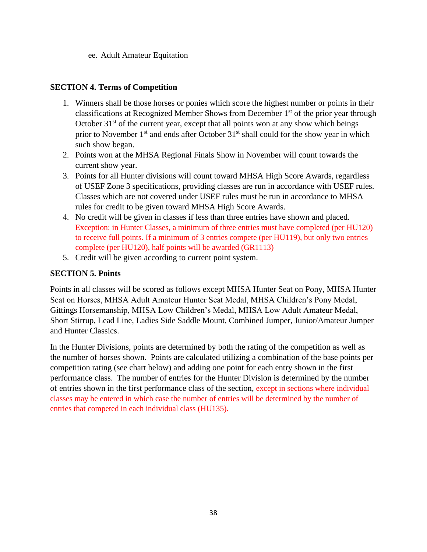ee. Adult Amateur Equitation

## **SECTION 4. Terms of Competition**

- 1. Winners shall be those horses or ponies which score the highest number or points in their classifications at Recognized Member Shows from December  $1<sup>st</sup>$  of the prior year through October  $31<sup>st</sup>$  of the current year, except that all points won at any show which beings prior to November  $1<sup>st</sup>$  and ends after October  $31<sup>st</sup>$  shall could for the show year in which such show began.
- 2. Points won at the MHSA Regional Finals Show in November will count towards the current show year.
- 3. Points for all Hunter divisions will count toward MHSA High Score Awards, regardless of USEF Zone 3 specifications, providing classes are run in accordance with USEF rules. Classes which are not covered under USEF rules must be run in accordance to MHSA rules for credit to be given toward MHSA High Score Awards.
- 4. No credit will be given in classes if less than three entries have shown and placed. Exception: in Hunter Classes, a minimum of three entries must have completed (per HU120) to receive full points. If a minimum of 3 entries compete (per HU119), but only two entries complete (per HU120), half points will be awarded (GR1113)
- 5. Credit will be given according to current point system.

## **SECTION 5. Points**

Points in all classes will be scored as follows except MHSA Hunter Seat on Pony, MHSA Hunter Seat on Horses, MHSA Adult Amateur Hunter Seat Medal, MHSA Children's Pony Medal, Gittings Horsemanship, MHSA Low Children's Medal, MHSA Low Adult Amateur Medal, Short Stirrup, Lead Line, Ladies Side Saddle Mount, Combined Jumper, Junior/Amateur Jumper and Hunter Classics.

In the Hunter Divisions, points are determined by both the rating of the competition as well as the number of horses shown. Points are calculated utilizing a combination of the base points per competition rating (see chart below) and adding one point for each entry shown in the first performance class. The number of entries for the Hunter Division is determined by the number of entries shown in the first performance class of the section, except in sections where individual classes may be entered in which case the number of entries will be determined by the number of entries that competed in each individual class (HU135).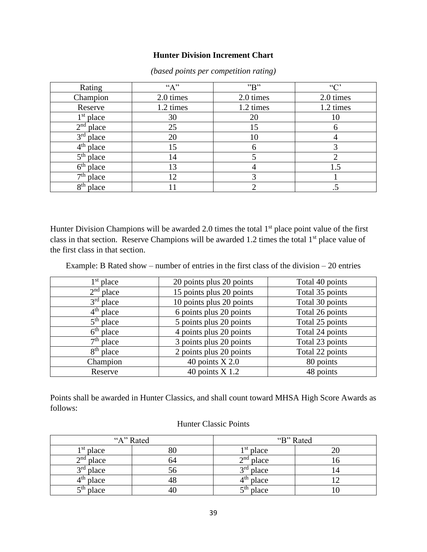#### **Hunter Division Increment Chart**

| Rating                   | "A"       | "B"       | $\lq\lq\lq\lq$ |
|--------------------------|-----------|-----------|----------------|
| Champion                 | 2.0 times | 2.0 times | 2.0 times      |
| Reserve                  | 1.2 times | 1.2 times | 1.2 times      |
| $1st$ place              | 30        | 20        | 10             |
| 2 <sup>nd</sup><br>place | 25        | 15        |                |
| $3rd$ place              | 20        | 10        |                |
| $4^{\rm th}$<br>place    | 15        | 6         |                |
| 5 <sup>th</sup><br>place | 14        |           |                |
| 6 <sup>th</sup><br>place | 13        |           | 1.5            |
| $\tau$ th<br>place       | 12        |           |                |
| $8th$ place              |           |           |                |

*(based points per competition rating)*

Hunter Division Champions will be awarded 2.0 times the total  $1<sup>st</sup>$  place point value of the first class in that section. Reserve Champions will be awarded 1.2 times the total  $1<sup>st</sup>$  place value of the first class in that section.

Example: B Rated show – number of entries in the first class of the division – 20 entries

| $1st$ place | 20 points plus 20 points | Total 40 points |
|-------------|--------------------------|-----------------|
| $2nd$ place | 15 points plus 20 points | Total 35 points |
| $3rd$ place | 10 points plus 20 points | Total 30 points |
| $4th$ place | 6 points plus 20 points  | Total 26 points |
| $5th$ place | 5 points plus 20 points  | Total 25 points |
| $6th$ place | 4 points plus 20 points  | Total 24 points |
| $7th$ place | 3 points plus 20 points  | Total 23 points |
| $8th$ place | 2 points plus 20 points  | Total 22 points |
| Champion    | 40 points $X$ 2.0        | 80 points       |
| Reserve     | 40 points $X$ 1.2        | 48 points       |

Points shall be awarded in Hunter Classics, and shall count toward MHSA High Score Awards as follows:

| "A" Rated            |              | "B" Rated   |                |  |
|----------------------|--------------|-------------|----------------|--|
| <sup>1st</sup> place | 80           | $1st$ place |                |  |
| $2nd$ place          | 64           | $2nd$ place |                |  |
| $3rd$ place          | $50^{\circ}$ | $3rd$ place | $\overline{4}$ |  |
| $4th$ place          | 48           | $4th$ place |                |  |
| $5th$ place          | 40           | $5th$ place |                |  |

#### Hunter Classic Points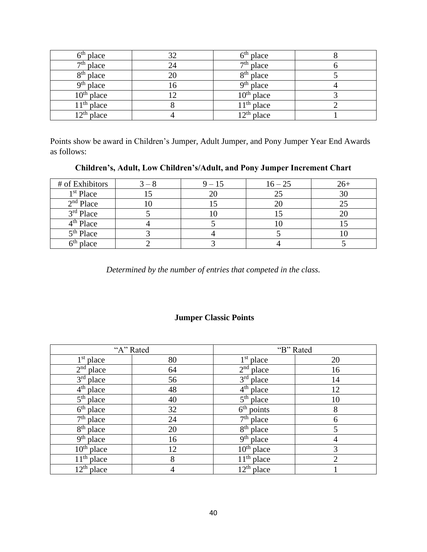| 5 <sup>th</sup> place | 32  | $6th$ place     |  |
|-----------------------|-----|-----------------|--|
| $7th$ place           | 24  | $7th$ place     |  |
| $8th$ place           |     | $8th$ place     |  |
| $9th$ place           | l b | $9th$ place     |  |
| $10^{th}$ place       |     | $10^{th}$ place |  |
| $11th$ place          |     | $11th$ place    |  |
| $12^{th}$ place       |     | $12th$ place    |  |

Points show be award in Children's Jumper, Adult Jumper, and Pony Jumper Year End Awards as follows:

**Children's, Adult, Low Children's/Adult, and Pony Jumper Increment Chart**

| # of Exhibitors       | $9 - 15$ | $16 - 25$ | $26+$ |
|-----------------------|----------|-----------|-------|
| 1 <sup>st</sup> Place |          |           |       |
| $2nd$ Place           |          |           |       |
| 3rd Place             |          |           |       |
| 4 <sup>th</sup> Place |          | w         |       |
| 5 <sup>th</sup> Place |          |           |       |
| place                 |          |           |       |

*Determined by the number of entries that competed in the class.*

## **Jumper Classic Points**

|                                     | "A" Rated      |                            | "B" Rated      |
|-------------------------------------|----------------|----------------------------|----------------|
| $1st$ place                         | 80             | $1st$ place                | 20             |
| 2 <sup>nd</sup><br>place            | 64             | 2 <sup>nd</sup><br>place   | 16             |
| 3 <sup>rd</sup><br>place            | 56             | 3 <sup>rd</sup><br>place   | 14             |
| $4th$ place                         | 48             | $4th$ place                | 12             |
| 5 <sup>th</sup><br>place            | 40             | $5^{\text{th}}$<br>place   | 10             |
| $6th$ place                         | 32             | $6th$ points               | 8              |
| $7th$ place                         | 24             | $7th$ place                | 6              |
| 8 <sup>th</sup><br>place            | 20             | 8 <sup>th</sup><br>place   | 5              |
| 9 <sup>th</sup><br>place            | 16             | 9 <sup>th</sup><br>place   | 4              |
| $10^{th}$ place                     | 12             | 10 <sup>th</sup><br>place  | 3              |
| $11th$ place                        | 8              | $\overline{11^{th}}$ place | $\overline{2}$ |
| $\overline{12}$ <sup>th</sup> place | $\overline{4}$ | $12th$ place               |                |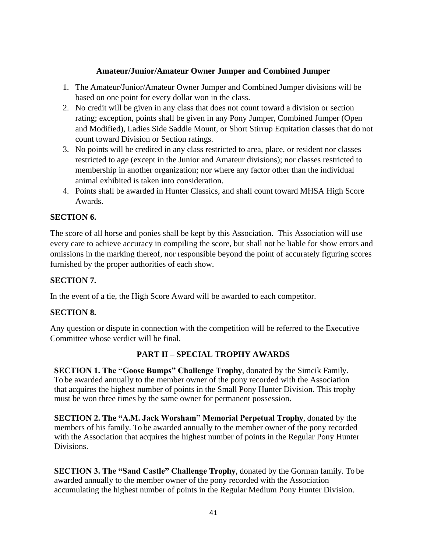### **Amateur/Junior/Amateur Owner Jumper and Combined Jumper**

- 1. The Amateur/Junior/Amateur Owner Jumper and Combined Jumper divisions will be based on one point for every dollar won in the class.
- 2. No credit will be given in any class that does not count toward a division or section rating; exception, points shall be given in any Pony Jumper, Combined Jumper (Open and Modified), Ladies Side Saddle Mount, or Short Stirrup Equitation classes that do not count toward Division or Section ratings.
- 3. No points will be credited in any class restricted to area, place, or resident nor classes restricted to age (except in the Junior and Amateur divisions); nor classes restricted to membership in another organization; nor where any factor other than the individual animal exhibited is taken into consideration.
- 4. Points shall be awarded in Hunter Classics, and shall count toward MHSA High Score Awards.

## **SECTION 6.**

The score of all horse and ponies shall be kept by this Association. This Association will use every care to achieve accuracy in compiling the score, but shall not be liable for show errors and omissions in the marking thereof, nor responsible beyond the point of accurately figuring scores furnished by the proper authorities of each show.

## **SECTION 7.**

In the event of a tie, the High Score Award will be awarded to each competitor.

## **SECTION 8.**

Any question or dispute in connection with the competition will be referred to the Executive Committee whose verdict will be final.

## **PART II – SPECIAL TROPHY AWARDS**

**SECTION 1. The "Goose Bumps" Challenge Trophy**, donated by the Simcik Family. To be awarded annually to the member owner of the pony recorded with the Association that acquires the highest number of points in the Small Pony Hunter Division. This trophy must be won three times by the same owner for permanent possession.

**SECTION 2. The "A.M. Jack Worsham" Memorial Perpetual Trophy**, donated by the members of his family. To be awarded annually to the member owner of the pony recorded with the Association that acquires the highest number of points in the Regular Pony Hunter Divisions.

**SECTION 3. The "Sand Castle" Challenge Trophy**, donated by the Gorman family. To be awarded annually to the member owner of the pony recorded with the Association accumulating the highest number of points in the Regular Medium Pony Hunter Division.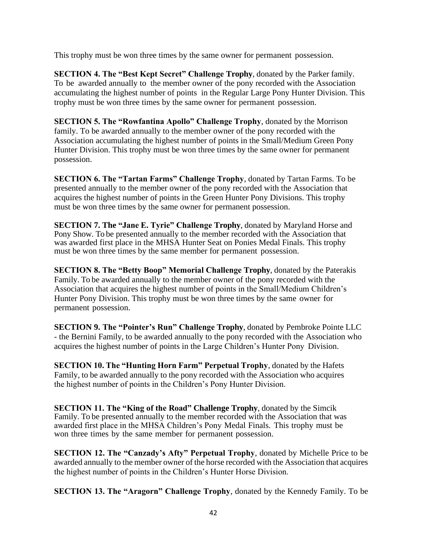This trophy must be won three times by the same owner for permanent possession.

**SECTION 4. The "Best Kept Secret" Challenge Trophy**, donated by the Parker family. To be awarded annually to the member owner of the pony recorded with the Association accumulating the highest number of points in the Regular Large Pony Hunter Division. This trophy must be won three times by the same owner for permanent possession.

**SECTION 5. The "Rowfantina Apollo" Challenge Trophy**, donated by the Morrison family. To be awarded annually to the member owner of the pony recorded with the Association accumulating the highest number of points in the Small/Medium Green Pony Hunter Division. This trophy must be won three times by the same owner for permanent possession.

**SECTION 6. The "Tartan Farms" Challenge Trophy**, donated by Tartan Farms. To be presented annually to the member owner of the pony recorded with the Association that acquires the highest number of points in the Green Hunter Pony Divisions. This trophy must be won three times by the same owner for permanent possession.

**SECTION 7. The "Jane E. Tyrie" Challenge Trophy**, donated by Maryland Horse and Pony Show. To be presented annually to the member recorded with the Association that was awarded first place in the MHSA Hunter Seat on Ponies Medal Finals. This trophy must be won three times by the same member for permanent possession.

**SECTION 8. The "Betty Boop" Memorial Challenge Trophy**, donated by the Paterakis Family. To be awarded annually to the member owner of the pony recorded with the Association that acquires the highest number of points in the Small/Medium Children's Hunter Pony Division. This trophy must be won three times by the same owner for permanent possession.

**SECTION 9. The "Pointer's Run" Challenge Trophy**, donated by Pembroke Pointe LLC - the Bernini Family, to be awarded annually to the pony recorded with the Association who acquires the highest number of points in the Large Children's Hunter Pony Division.

**SECTION 10. The "Hunting Horn Farm" Perpetual Trophy**, donated by the Hafets Family, to be awarded annually to the pony recorded with the Association who acquires the highest number of points in the Children's Pony Hunter Division.

**SECTION 11. The "King of the Road" Challenge Trophy**, donated by the Simcik Family. To be presented annually to the member recorded with the Association that was awarded first place in the MHSA Children's Pony Medal Finals. This trophy must be won three times by the same member for permanent possession.

**SECTION 12. The "Canzady's Afty" Perpetual Trophy**, donated by Michelle Price to be awarded annually to the member owner of the horse recorded with the Association that acquires the highest number of points in the Children's Hunter Horse Division.

**SECTION 13. The "Aragorn" Challenge Trophy**, donated by the Kennedy Family. To be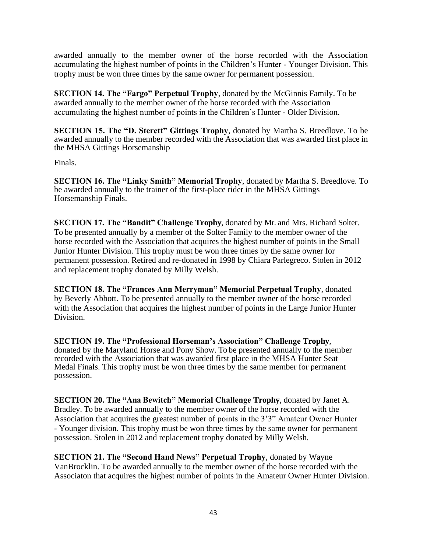awarded annually to the member owner of the horse recorded with the Association accumulating the highest number of points in the Children's Hunter - Younger Division. This trophy must be won three times by the same owner for permanent possession.

**SECTION 14. The "Fargo" Perpetual Trophy**, donated by the McGinnis Family. To be awarded annually to the member owner of the horse recorded with the Association accumulating the highest number of points in the Children's Hunter - Older Division.

**SECTION 15. The "D. Sterett" Gittings Trophy**, donated by Martha S. Breedlove. To be awarded annually to the member recorded with the Association that was awarded first place in the MHSA Gittings Horsemanship

Finals.

**SECTION 16. The "Linky Smith" Memorial Trophy**, donated by Martha S. Breedlove. To be awarded annually to the trainer of the first-place rider in the MHSA Gittings Horsemanship Finals.

**SECTION 17. The "Bandit" Challenge Trophy**, donated by Mr. and Mrs. Richard Solter. To be presented annually by a member of the Solter Family to the member owner of the horse recorded with the Association that acquires the highest number of points in the Small Junior Hunter Division. This trophy must be won three times by the same owner for permanent possession. Retired and re-donated in 1998 by Chiara Parlegreco. Stolen in 2012 and replacement trophy donated by Milly Welsh.

**SECTION 18. The "Frances Ann Merryman" Memorial Perpetual Trophy**, donated by Beverly Abbott. To be presented annually to the member owner of the horse recorded with the Association that acquires the highest number of points in the Large Junior Hunter Division.

**SECTION 19. The "Professional Horseman's Association" Challenge Trophy**, donated by the Maryland Horse and Pony Show. To be presented annually to the member recorded with the Association that was awarded first place in the MHSA Hunter Seat Medal Finals. This trophy must be won three times by the same member for permanent possession.

**SECTION 20. The "Ana Bewitch" Memorial Challenge Trophy**, donated by Janet A. Bradley. To be awarded annually to the member owner of the horse recorded with the Association that acquires the greatest number of points in the 3'3" Amateur Owner Hunter - Younger division. This trophy must be won three times by the same owner for permanent possession. Stolen in 2012 and replacement trophy donated by Milly Welsh.

**SECTION 21. The "Second Hand News" Perpetual Trophy**, donated by Wayne VanBrocklin. To be awarded annually to the member owner of the horse recorded with the Associaton that acquires the highest number of points in the Amateur Owner Hunter Division.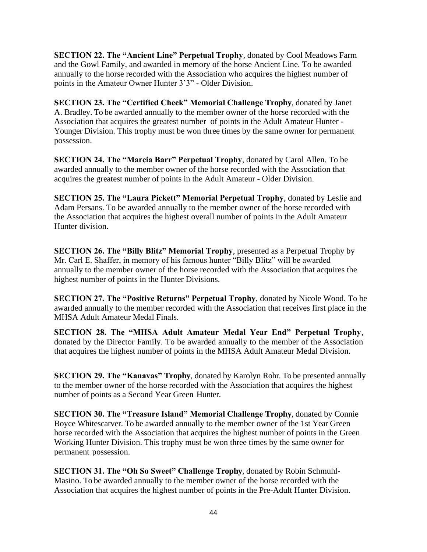**SECTION 22. The "Ancient Line" Perpetual Trophy**, donated by Cool Meadows Farm and the Gowl Family, and awarded in memory of the horse Ancient Line. To be awarded annually to the horse recorded with the Association who acquires the highest number of points in the Amateur Owner Hunter 3'3" - Older Division.

**SECTION 23. The "Certified Check" Memorial Challenge Trophy**, donated by Janet A. Bradley. To be awarded annually to the member owner of the horse recorded with the Association that acquires the greatest number of points in the Adult Amateur Hunter - Younger Division. This trophy must be won three times by the same owner for permanent possession.

**SECTION 24. The "Marcia Barr" Perpetual Trophy**, donated by Carol Allen. To be awarded annually to the member owner of the horse recorded with the Association that acquires the greatest number of points in the Adult Amateur - Older Division.

**SECTION 25. The "Laura Pickett" Memorial Perpetual Trophy**, donated by Leslie and Adam Persans. To be awarded annually to the member owner of the horse recorded with the Association that acquires the highest overall number of points in the Adult Amateur Hunter division.

**SECTION 26. The "Billy Blitz" Memorial Trophy**, presented as a Perpetual Trophy by Mr. Carl E. Shaffer, in memory of his famous hunter "Billy Blitz" will be awarded annually to the member owner of the horse recorded with the Association that acquires the highest number of points in the Hunter Divisions.

**SECTION 27. The "Positive Returns" Perpetual Trophy**, donated by Nicole Wood. To be awarded annually to the member recorded with the Association that receives first place in the MHSA Adult Amateur Medal Finals.

**SECTION 28. The "MHSA Adult Amateur Medal Year End" Perpetual Trophy**, donated by the Director Family. To be awarded annually to the member of the Association that acquires the highest number of points in the MHSA Adult Amateur Medal Division.

**SECTION 29. The "Kanavas" Trophy**, donated by Karolyn Rohr. To be presented annually to the member owner of the horse recorded with the Association that acquires the highest number of points as a Second Year Green Hunter.

**SECTION 30. The "Treasure Island" Memorial Challenge Trophy**, donated by Connie Boyce Whitescarver. To be awarded annually to the member owner of the 1st Year Green horse recorded with the Association that acquires the highest number of points in the Green Working Hunter Division. This trophy must be won three times by the same owner for permanent possession.

**SECTION 31. The "Oh So Sweet" Challenge Trophy**, donated by Robin Schmuhl-Masino. To be awarded annually to the member owner of the horse recorded with the Association that acquires the highest number of points in the Pre-Adult Hunter Division.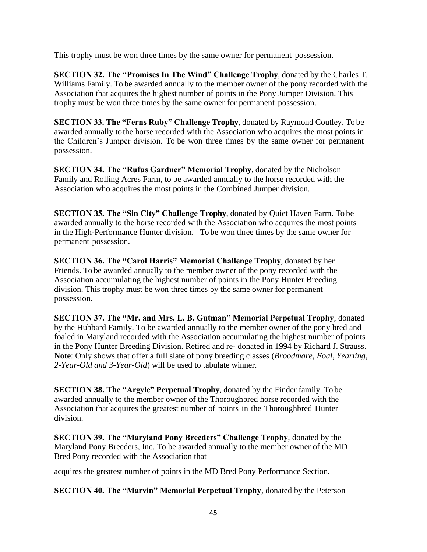This trophy must be won three times by the same owner for permanent possession.

**SECTION 32. The "Promises In The Wind" Challenge Trophy**, donated by the Charles T. Williams Family. To be awarded annually to the member owner of the pony recorded with the Association that acquires the highest number of points in the Pony Jumper Division. This trophy must be won three times by the same owner for permanent possession.

**SECTION 33. The "Ferns Ruby" Challenge Trophy**, donated by Raymond Coutley. To be awarded annually tothe horse recorded with the Association who acquires the most points in the Children's Jumper division. To be won three times by the same owner for permanent possession.

**SECTION 34. The "Rufus Gardner" Memorial Trophy**, donated by the Nicholson Family and Rolling Acres Farm, to be awarded annually to the horse recorded with the Association who acquires the most points in the Combined Jumper division.

**SECTION 35. The "Sin City" Challenge Trophy**, donated by Quiet Haven Farm. To be awarded annually to the horse recorded with the Association who acquires the most points in the High-Performance Hunter division. To be won three times by the same owner for permanent possession.

**SECTION 36. The "Carol Harris" Memorial Challenge Trophy**, donated by her Friends. To be awarded annually to the member owner of the pony recorded with the Association accumulating the highest number of points in the Pony Hunter Breeding division. This trophy must be won three times by the same owner for permanent possession.

**SECTION 37. The "Mr. and Mrs. L. B. Gutman" Memorial Perpetual Trophy**, donated by the Hubbard Family. To be awarded annually to the member owner of the pony bred and foaled in Maryland recorded with the Association accumulating the highest number of points in the Pony Hunter Breeding Division. Retired and re- donated in 1994 by Richard J. Strauss. **Note**: Only shows that offer a full slate of pony breeding classes (*Broodmare, Foal, Yearling, 2-Year-Old and 3-Year-Old*) will be used to tabulate winner.

**SECTION 38. The "Argyle" Perpetual Trophy**, donated by the Finder family. To be awarded annually to the member owner of the Thoroughbred horse recorded with the Association that acquires the greatest number of points in the Thoroughbred Hunter division.

**SECTION 39. The "Maryland Pony Breeders" Challenge Trophy**, donated by the Maryland Pony Breeders, Inc. To be awarded annually to the member owner of the MD Bred Pony recorded with the Association that

acquires the greatest number of points in the MD Bred Pony Performance Section.

**SECTION 40. The "Marvin" Memorial Perpetual Trophy**, donated by the Peterson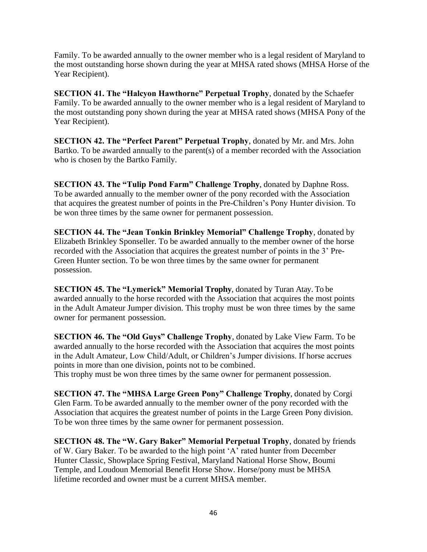Family. To be awarded annually to the owner member who is a legal resident of Maryland to the most outstanding horse shown during the year at MHSA rated shows (MHSA Horse of the Year Recipient).

**SECTION 41. The "Halcyon Hawthorne" Perpetual Trophy**, donated by the Schaefer Family. To be awarded annually to the owner member who is a legal resident of Maryland to the most outstanding pony shown during the year at MHSA rated shows (MHSA Pony of the Year Recipient).

**SECTION 42. The "Perfect Parent" Perpetual Trophy**, donated by Mr. and Mrs. John Bartko. To be awarded annually to the parent(s) of a member recorded with the Association who is chosen by the Bartko Family.

**SECTION 43. The "Tulip Pond Farm" Challenge Trophy**, donated by Daphne Ross. To be awarded annually to the member owner of the pony recorded with the Association that acquires the greatest number of points in the Pre-Children's Pony Hunter division. To be won three times by the same owner for permanent possession.

**SECTION 44. The "Jean Tonkin Brinkley Memorial" Challenge Trophy**, donated by Elizabeth Brinkley Sponseller. To be awarded annually to the member owner of the horse recorded with the Association that acquires the greatest number of points in the 3' Pre-Green Hunter section. To be won three times by the same owner for permanent possession.

**SECTION 45. The "Lymerick" Memorial Trophy**, donated by Turan Atay. To be awarded annually to the horse recorded with the Association that acquires the most points in the Adult Amateur Jumper division. This trophy must be won three times by the same owner for permanent possession.

**SECTION 46. The "Old Guys" Challenge Trophy**, donated by Lake View Farm. To be awarded annually to the horse recorded with the Association that acquires the most points in the Adult Amateur, Low Child/Adult, or Children's Jumper divisions. If horse accrues points in more than one division, points not to be combined.

This trophy must be won three times by the same owner for permanent possession.

**SECTION 47. The "MHSA Large Green Pony" Challenge Trophy**, donated by Corgi Glen Farm. To be awarded annually to the member owner of the pony recorded with the Association that acquires the greatest number of points in the Large Green Pony division. To be won three times by the same owner for permanent possession.

**SECTION 48. The "W. Gary Baker" Memorial Perpetual Trophy**, donated by friends of W. Gary Baker. To be awarded to the high point 'A' rated hunter from December Hunter Classic, Showplace Spring Festival, Maryland National Horse Show, Boumi Temple, and Loudoun Memorial Benefit Horse Show. Horse/pony must be MHSA lifetime recorded and owner must be a current MHSA member.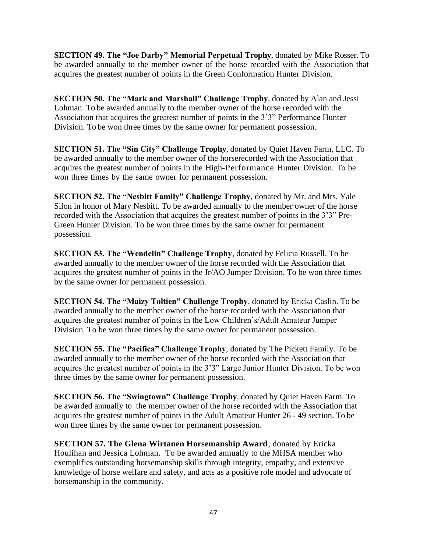**SECTION 49. The "Joe Darby" Memorial Perpetual Trophy**, donated by Mike Rosser. To be awarded annually to the member owner of the horse recorded with the Association that acquires the greatest number of points in the Green Conformation Hunter Division.

**SECTION 50. The "Mark and Marshall" Challenge Trophy**, donated by Alan and Jessi Lohman. To be awarded annually to the member owner of the horse recorded with the Association that acquires the greatest number of points in the 3'3" Performance Hunter Division. To be won three times by the same owner for permanent possession.

**SECTION 51. The "Sin City" Challenge Trophy**, donated by Quiet Haven Farm, LLC. To be awarded annually to the member owner of the horserecorded with the Association that acquires the greatest number of points in the High-Performance Hunter Division. To be won three times by the same owner for permanent possession.

**SECTION 52. The "Nesbitt Family" Challenge Trophy**, donated by Mr. and Mrs. Yale Silon in honor of Mary Nesbitt. To be awarded annually to the member owner of the horse recorded with the Association that acquires the greatest number of points in the 3'3" Pre-Green Hunter Division. To be won three times by the same owner for permanent possession.

**SECTION 53. The "Wendelin" Challenge Trophy**, donated by Felicia Russell. To be awarded annually to the member owner of the horse recorded with the Association that acquires the greatest number of points in the Jr/AO Jumper Division. To be won three times by the same owner for permanent possession.

**SECTION 54. The "Maizy Toltien" Challenge Trophy**, donated by Ericka Caslin. To be awarded annually to the member owner of the horse recorded with the Association that acquires the greatest number of points in the Low Children's/Adult Amateur Jumper Division. To be won three times by the same owner for permanent possession.

**SECTION 55. The "Pacifica" Challenge Trophy**, donated by The Pickett Family. To be awarded annually to the member owner of the horse recorded with the Association that acquires the greatest number of points in the 3'3" Large Junior Hunter Division. To be won three times by the same owner for permanent possession.

**SECTION 56. The "Swingtown" Challenge Trophy**, donated by Quiet Haven Farm. To be awarded annually to the member owner of the horse recorded with the Association that acquires the greatest number of points in the Adult Amateur Hunter 26 - 49 section. To be won three times by the same owner for permanent possession.

**SECTION 57. The Glena Wirtanen Horsemanship Award**, donated by Ericka Houlihan and Jessica Lohman. To be awarded annually to the MHSA member who exemplifies outstanding horsemanship skills through integrity, empathy, and extensive knowledge of horse welfare and safety, and acts as a positive role model and advocate of horsemanship in the community.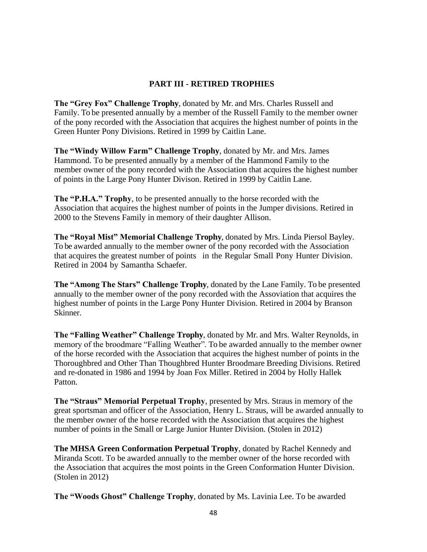### **PART III - RETIRED TROPHIES**

**The "Grey Fox" Challenge Trophy**, donated by Mr. and Mrs. Charles Russell and Family. To be presented annually by a member of the Russell Family to the member owner of the pony recorded with the Association that acquires the highest number of points in the Green Hunter Pony Divisions. Retired in 1999 by Caitlin Lane.

**The "Windy Willow Farm" Challenge Trophy**, donated by Mr. and Mrs. James Hammond. To be presented annually by a member of the Hammond Family to the member owner of the pony recorded with the Association that acquires the highest number of points in the Large Pony Hunter Divison. Retired in 1999 by Caitlin Lane.

**The "P.H.A." Trophy**, to be presented annually to the horse recorded with the Association that acquires the highest number of points in the Jumper divisions. Retired in 2000 to the Stevens Family in memory of their daughter Allison.

**The "Royal Mist" Memorial Challenge Trophy**, donated by Mrs. Linda Piersol Bayley. To be awarded annually to the member owner of the pony recorded with the Association that acquires the greatest number of points in the Regular Small Pony Hunter Division. Retired in 2004 by Samantha Schaefer.

**The "Among The Stars" Challenge Trophy**, donated by the Lane Family. To be presented annually to the member owner of the pony recorded with the Assoviation that acquires the highest number of points in the Large Pony Hunter Division. Retired in 2004 by Branson Skinner.

**The "Falling Weather" Challenge Trophy**, donated by Mr. and Mrs. Walter Reynolds, in memory of the broodmare "Falling Weather". To be awarded annually to the member owner of the horse recorded with the Association that acquires the highest number of points in the Thoroughbred and Other Than Thoughbred Hunter Broodmare Breeding Divisions. Retired and re-donated in 1986 and 1994 by Joan Fox Miller. Retired in 2004 by Holly Hallek Patton.

**The "Straus" Memorial Perpetual Trophy**, presented by Mrs. Straus in memory of the great sportsman and officer of the Association, Henry L. Straus, will be awarded annually to the member owner of the horse recorded with the Association that acquires the highest number of points in the Small or Large Junior Hunter Division. (Stolen in 2012)

**The MHSA Green Conformation Perpetual Trophy**, donated by Rachel Kennedy and Miranda Scott. To be awarded annually to the member owner of the horse recorded with the Association that acquires the most points in the Green Conformation Hunter Division. (Stolen in 2012)

**The "Woods Ghost" Challenge Trophy**, donated by Ms. Lavinia Lee. To be awarded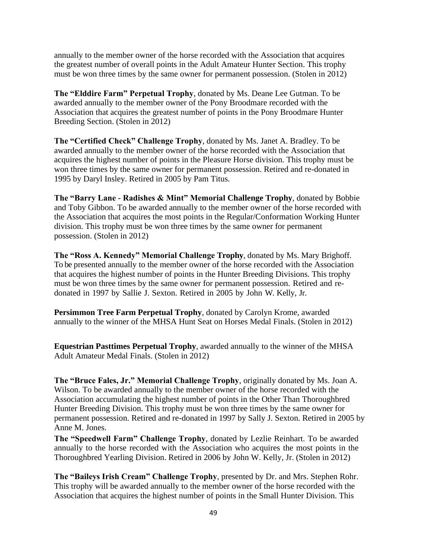annually to the member owner of the horse recorded with the Association that acquires the greatest number of overall points in the Adult Amateur Hunter Section. This trophy must be won three times by the same owner for permanent possession. (Stolen in 2012)

**The "Elddire Farm" Perpetual Trophy**, donated by Ms. Deane Lee Gutman. To be awarded annually to the member owner of the Pony Broodmare recorded with the Association that acquires the greatest number of points in the Pony Broodmare Hunter Breeding Section. (Stolen in 2012)

**The "Certified Check" Challenge Trophy**, donated by Ms. Janet A. Bradley. To be awarded annually to the member owner of the horse recorded with the Association that acquires the highest number of points in the Pleasure Horse division. This trophy must be won three times by the same owner for permanent possession. Retired and re-donated in 1995 by Daryl Insley. Retired in 2005 by Pam Titus.

**The "Barry Lane - Radishes & Mint" Memorial Challenge Trophy**, donated by Bobbie and Toby Gibbon. To be awarded annually to the member owner of the horse recorded with the Association that acquires the most points in the Regular/Conformation Working Hunter division. This trophy must be won three times by the same owner for permanent possession. (Stolen in 2012)

**The "Ross A. Kennedy" Memorial Challenge Trophy**, donated by Ms. Mary Brighoff. To be presented annually to the member owner of the horse recorded with the Association that acquires the highest number of points in the Hunter Breeding Divisions. This trophy must be won three times by the same owner for permanent possession. Retired and redonated in 1997 by Sallie J. Sexton. Retired in 2005 by John W. Kelly, Jr.

**Persimmon Tree Farm Perpetual Trophy**, donated by Carolyn Krome, awarded annually to the winner of the MHSA Hunt Seat on Horses Medal Finals. (Stolen in 2012)

**Equestrian Pasttimes Perpetual Trophy**, awarded annually to the winner of the MHSA Adult Amateur Medal Finals. (Stolen in 2012)

**The "Bruce Fales, Jr." Memorial Challenge Trophy**, originally donated by Ms. Joan A. Wilson. To be awarded annually to the member owner of the horse recorded with the Association accumulating the highest number of points in the Other Than Thoroughbred Hunter Breeding Division. This trophy must be won three times by the same owner for permanent possession. Retired and re-donated in 1997 by Sally J. Sexton. Retired in 2005 by Anne M. Jones.

**The "Speedwell Farm" Challenge Trophy**, donated by Lezlie Reinhart. To be awarded annually to the horse recorded with the Association who acquires the most points in the Thoroughbred Yearling Division. Retired in 2006 by John W. Kelly, Jr. (Stolen in 2012)

**The "Baileys Irish Cream" Challenge Trophy**, presented by Dr. and Mrs. Stephen Rohr. This trophy will be awarded annually to the member owner of the horse recorded with the Association that acquires the highest number of points in the Small Hunter Division. This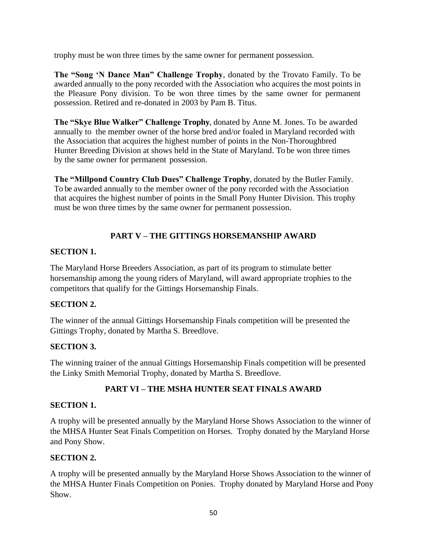trophy must be won three times by the same owner for permanent possession.

**The "Song 'N Dance Man" Challenge Trophy**, donated by the Trovato Family. To be awarded annually to the pony recorded with the Association who acquires the most points in the Pleasure Pony division. To be won three times by the same owner for permanent possession. Retired and re-donated in 2003 by Pam B. Titus.

**The "Skye Blue Walker" Challenge Trophy**, donated by Anne M. Jones. To be awarded annually to the member owner of the horse bred and/or foaled in Maryland recorded with the Association that acquires the highest number of points in the Non-Thoroughbred Hunter Breeding Division at shows held in the State of Maryland. To be won three times by the same owner for permanent possession.

**The "Millpond Country Club Dues" Challenge Trophy**, donated by the Butler Family. To be awarded annually to the member owner of the pony recorded with the Association that acquires the highest number of points in the Small Pony Hunter Division. This trophy must be won three times by the same owner for permanent possession.

## **PART V – THE GITTINGS HORSEMANSHIP AWARD**

## **SECTION 1.**

The Maryland Horse Breeders Association, as part of its program to stimulate better horsemanship among the young riders of Maryland, will award appropriate trophies to the competitors that qualify for the Gittings Horsemanship Finals.

## **SECTION 2.**

The winner of the annual Gittings Horsemanship Finals competition will be presented the Gittings Trophy, donated by Martha S. Breedlove.

## **SECTION 3.**

The winning trainer of the annual Gittings Horsemanship Finals competition will be presented the Linky Smith Memorial Trophy, donated by Martha S. Breedlove.

## **PART VI – THE MSHA HUNTER SEAT FINALS AWARD**

#### **SECTION 1.**

A trophy will be presented annually by the Maryland Horse Shows Association to the winner of the MHSA Hunter Seat Finals Competition on Horses. Trophy donated by the Maryland Horse and Pony Show.

## **SECTION 2.**

A trophy will be presented annually by the Maryland Horse Shows Association to the winner of the MHSA Hunter Finals Competition on Ponies. Trophy donated by Maryland Horse and Pony Show.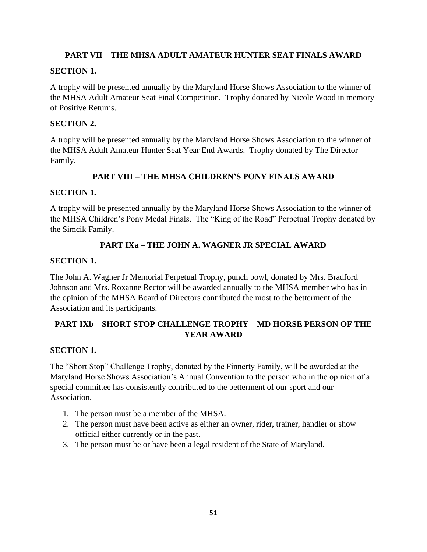## **PART VII – THE MHSA ADULT AMATEUR HUNTER SEAT FINALS AWARD**

## **SECTION 1.**

A trophy will be presented annually by the Maryland Horse Shows Association to the winner of the MHSA Adult Amateur Seat Final Competition. Trophy donated by Nicole Wood in memory of Positive Returns.

## **SECTION 2.**

A trophy will be presented annually by the Maryland Horse Shows Association to the winner of the MHSA Adult Amateur Hunter Seat Year End Awards. Trophy donated by The Director Family.

## **PART VIII – THE MHSA CHILDREN'S PONY FINALS AWARD**

## **SECTION 1.**

A trophy will be presented annually by the Maryland Horse Shows Association to the winner of the MHSA Children's Pony Medal Finals. The "King of the Road" Perpetual Trophy donated by the Simcik Family.

## **PART IXa – THE JOHN A. WAGNER JR SPECIAL AWARD**

## **SECTION 1.**

The John A. Wagner Jr Memorial Perpetual Trophy, punch bowl, donated by Mrs. Bradford Johnson and Mrs. Roxanne Rector will be awarded annually to the MHSA member who has in the opinion of the MHSA Board of Directors contributed the most to the betterment of the Association and its participants.

## **PART IXb – SHORT STOP CHALLENGE TROPHY – MD HORSE PERSON OF THE YEAR AWARD**

## **SECTION 1.**

The "Short Stop" Challenge Trophy, donated by the Finnerty Family, will be awarded at the Maryland Horse Shows Association's Annual Convention to the person who in the opinion of a special committee has consistently contributed to the betterment of our sport and our Association.

- 1. The person must be a member of the MHSA.
- 2. The person must have been active as either an owner, rider, trainer, handler or show official either currently or in the past.
- 3. The person must be or have been a legal resident of the State of Maryland.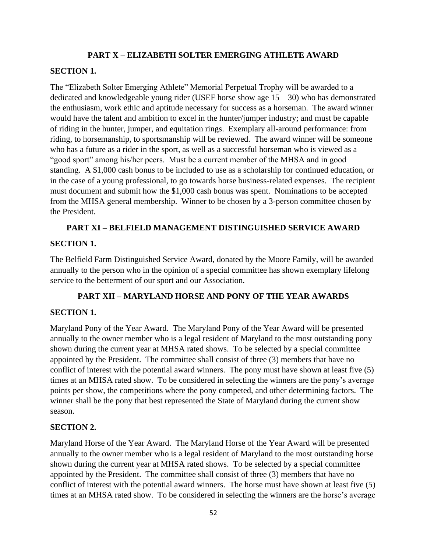### **PART X – ELIZABETH SOLTER EMERGING ATHLETE AWARD**

#### **SECTION 1.**

The "Elizabeth Solter Emerging Athlete" Memorial Perpetual Trophy will be awarded to a dedicated and knowledgeable young rider (USEF horse show age  $15 - 30$ ) who has demonstrated the enthusiasm, work ethic and aptitude necessary for success as a horseman. The award winner would have the talent and ambition to excel in the hunter/jumper industry; and must be capable of riding in the hunter, jumper, and equitation rings. Exemplary all-around performance: from riding, to horsemanship, to sportsmanship will be reviewed. The award winner will be someone who has a future as a rider in the sport, as well as a successful horseman who is viewed as a "good sport" among his/her peers. Must be a current member of the MHSA and in good standing. A \$1,000 cash bonus to be included to use as a scholarship for continued education, or in the case of a young professional, to go towards horse business-related expenses. The recipient must document and submit how the \$1,000 cash bonus was spent. Nominations to be accepted from the MHSA general membership. Winner to be chosen by a 3-person committee chosen by the President.

### **PART XI – BELFIELD MANAGEMENT DISTINGUISHED SERVICE AWARD**

### **SECTION 1.**

The Belfield Farm Distinguished Service Award, donated by the Moore Family, will be awarded annually to the person who in the opinion of a special committee has shown exemplary lifelong service to the betterment of our sport and our Association.

## **PART XII – MARYLAND HORSE AND PONY OF THE YEAR AWARDS**

## **SECTION 1.**

Maryland Pony of the Year Award. The Maryland Pony of the Year Award will be presented annually to the owner member who is a legal resident of Maryland to the most outstanding pony shown during the current year at MHSA rated shows. To be selected by a special committee appointed by the President. The committee shall consist of three (3) members that have no conflict of interest with the potential award winners. The pony must have shown at least five (5) times at an MHSA rated show. To be considered in selecting the winners are the pony's average points per show, the competitions where the pony competed, and other determining factors. The winner shall be the pony that best represented the State of Maryland during the current show season.

## **SECTION 2.**

Maryland Horse of the Year Award. The Maryland Horse of the Year Award will be presented annually to the owner member who is a legal resident of Maryland to the most outstanding horse shown during the current year at MHSA rated shows. To be selected by a special committee appointed by the President. The committee shall consist of three (3) members that have no conflict of interest with the potential award winners. The horse must have shown at least five (5) times at an MHSA rated show. To be considered in selecting the winners are the horse's average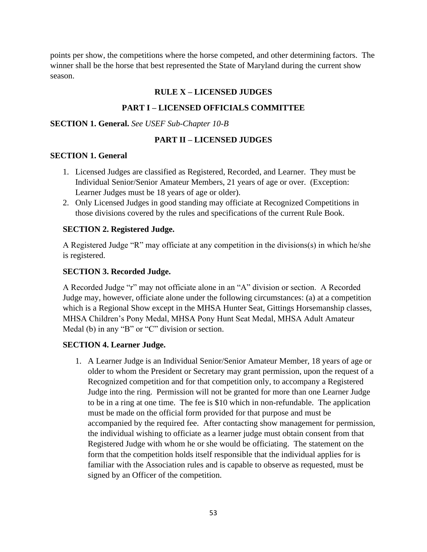points per show, the competitions where the horse competed, and other determining factors. The winner shall be the horse that best represented the State of Maryland during the current show season.

### **RULE X – LICENSED JUDGES**

#### **PART I – LICENSED OFFICIALS COMMITTEE**

#### **SECTION 1. General.** *See USEF Sub-Chapter 10-B*

#### **PART II – LICENSED JUDGES**

#### **SECTION 1. General**

- 1. Licensed Judges are classified as Registered, Recorded, and Learner. They must be Individual Senior/Senior Amateur Members, 21 years of age or over. (Exception: Learner Judges must be 18 years of age or older).
- 2. Only Licensed Judges in good standing may officiate at Recognized Competitions in those divisions covered by the rules and specifications of the current Rule Book.

#### **SECTION 2. Registered Judge.**

A Registered Judge "R" may officiate at any competition in the divisions(s) in which he/she is registered.

#### **SECTION 3. Recorded Judge.**

A Recorded Judge "r" may not officiate alone in an "A" division or section. A Recorded Judge may, however, officiate alone under the following circumstances: (a) at a competition which is a Regional Show except in the MHSA Hunter Seat, Gittings Horsemanship classes, MHSA Children's Pony Medal, MHSA Pony Hunt Seat Medal, MHSA Adult Amateur Medal (b) in any "B" or "C" division or section.

#### **SECTION 4. Learner Judge.**

1. A Learner Judge is an Individual Senior/Senior Amateur Member, 18 years of age or older to whom the President or Secretary may grant permission, upon the request of a Recognized competition and for that competition only, to accompany a Registered Judge into the ring. Permission will not be granted for more than one Learner Judge to be in a ring at one time. The fee is \$10 which in non-refundable. The application must be made on the official form provided for that purpose and must be accompanied by the required fee. After contacting show management for permission, the individual wishing to officiate as a learner judge must obtain consent from that Registered Judge with whom he or she would be officiating. The statement on the form that the competition holds itself responsible that the individual applies for is familiar with the Association rules and is capable to observe as requested, must be signed by an Officer of the competition.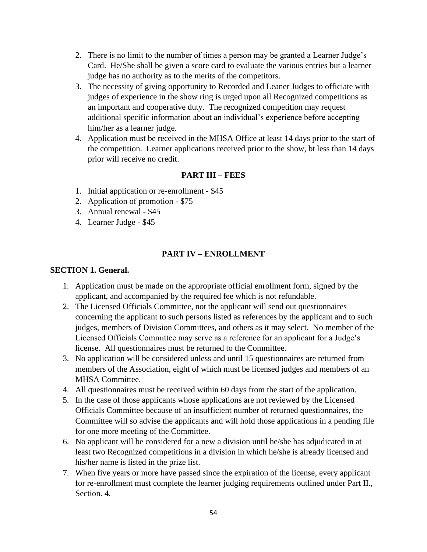- 2. There is no limit to the number of times a person may be granted a Learner Judge's Card. He/She shall be given a score card to evaluate the various entries but a learner judge has no authority as to the merits of the competitors.
- 3. The necessity of giving opportunity to Recorded and Leaner Judges to officiate with judges of experience in the show ring is urged upon all Recognized competitions as an important and cooperative duty. The recognized competition may request additional specific information about an individual's experience before accepting him/her as a learner judge.
- 4. Application must be received in the MHSA Office at least 14 days prior to the start of the competition. Learner applications received prior to the show, bt less than 14 days prior will receive no credit.

## **PART III – FEES**

- 1. Initial application or re-enrollment \$45
- 2. Application of promotion \$75
- 3. Annual renewal \$45
- 4. Learner Judge \$45

## **PART IV – ENROLLMENT**

#### **SECTION 1. General.**

- 1. Application must be made on the appropriate official enrollment form, signed by the applicant, and accompanied by the required fee which is not refundable.
- 2. The Licensed Officials Committee, not the applicant will send out questionnaires concerning the applicant to such persons listed as references by the applicant and to such judges, members of Division Committees, and others as it may select. No member of the Licensed Officials Committee may serve as a reference for an applicant for a Judge's license. All questionnaires must be returned to the Committee.
- 3. No application will be considered unless and until 15 questionnaires are returned from members of the Association, eight of which must be licensed judges and members of an MHSA Committee.
- 4. All questionnaires must be received within 60 days from the start of the application.
- 5. In the case of those applicants whose applications are not reviewed by the Licensed Officials Committee because of an insufficient number of returned questionnaires, the Committee will so advise the applicants and will hold those applications in a pending file for one more meeting of the Committee.
- 6. No applicant will be considered for a new a division until he/she has adjudicated in at least two Recognized competitions in a division in which he/she is already licensed and his/her name is listed in the prize list.
- 7. When five years or more have passed since the expiration of the license, every applicant for re-enrollment must complete the learner judging requirements outlined under Part II., Section. 4.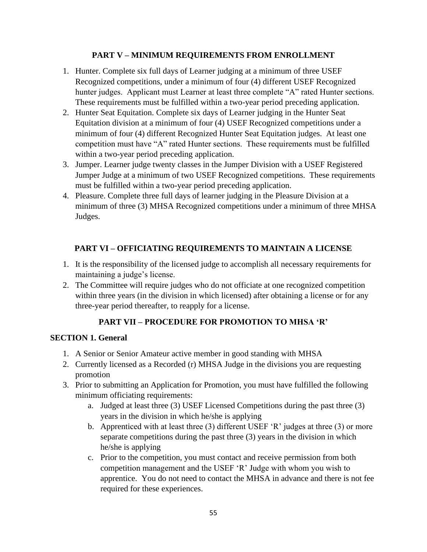## **PART V – MINIMUM REQUIREMENTS FROM ENROLLMENT**

- 1. Hunter. Complete six full days of Learner judging at a minimum of three USEF Recognized competitions, under a minimum of four (4) different USEF Recognized hunter judges. Applicant must Learner at least three complete "A" rated Hunter sections. These requirements must be fulfilled within a two-year period preceding application.
- 2. Hunter Seat Equitation. Complete six days of Learner judging in the Hunter Seat Equitation division at a minimum of four (4) USEF Recognized competitions under a minimum of four (4) different Recognized Hunter Seat Equitation judges. At least one competition must have "A" rated Hunter sections. These requirements must be fulfilled within a two-year period preceding application.
- 3. Jumper. Learner judge twenty classes in the Jumper Division with a USEF Registered Jumper Judge at a minimum of two USEF Recognized competitions. These requirements must be fulfilled within a two-year period preceding application.
- 4. Pleasure. Complete three full days of learner judging in the Pleasure Division at a minimum of three (3) MHSA Recognized competitions under a minimum of three MHSA Judges.

## **PART VI – OFFICIATING REQUIREMENTS TO MAINTAIN A LICENSE**

- 1. It is the responsibility of the licensed judge to accomplish all necessary requirements for maintaining a judge's license.
- 2. The Committee will require judges who do not officiate at one recognized competition within three years (in the division in which licensed) after obtaining a license or for any three-year period thereafter, to reapply for a license.

## **PART VII – PROCEDURE FOR PROMOTION TO MHSA 'R'**

## **SECTION 1. General**

- 1. A Senior or Senior Amateur active member in good standing with MHSA
- 2. Currently licensed as a Recorded (r) MHSA Judge in the divisions you are requesting promotion
- 3. Prior to submitting an Application for Promotion, you must have fulfilled the following minimum officiating requirements:
	- a. Judged at least three (3) USEF Licensed Competitions during the past three (3) years in the division in which he/she is applying
	- b. Apprenticed with at least three (3) different USEF 'R' judges at three (3) or more separate competitions during the past three (3) years in the division in which he/she is applying
	- c. Prior to the competition, you must contact and receive permission from both competition management and the USEF 'R' Judge with whom you wish to apprentice. You do not need to contact the MHSA in advance and there is not fee required for these experiences.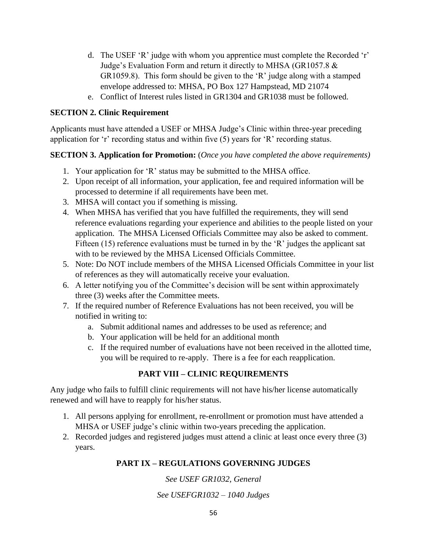- d. The USEF 'R' judge with whom you apprentice must complete the Recorded 'r' Judge's Evaluation Form and return it directly to MHSA (GR1057.8 & GR1059.8). This form should be given to the 'R' judge along with a stamped envelope addressed to: MHSA, PO Box 127 Hampstead, MD 21074
- e. Conflict of Interest rules listed in GR1304 and GR1038 must be followed.

### **SECTION 2. Clinic Requirement**

Applicants must have attended a USEF or MHSA Judge's Clinic within three-year preceding application for 'r' recording status and within five (5) years for 'R' recording status.

## **SECTION 3. Application for Promotion:** (*Once you have completed the above requirements)*

- 1. Your application for 'R' status may be submitted to the MHSA office.
- 2. Upon receipt of all information, your application, fee and required information will be processed to determine if all requirements have been met.
- 3. MHSA will contact you if something is missing.
- 4. When MHSA has verified that you have fulfilled the requirements, they will send reference evaluations regarding your experience and abilities to the people listed on your application. The MHSA Licensed Officials Committee may also be asked to comment. Fifteen (15) reference evaluations must be turned in by the 'R' judges the applicant sat with to be reviewed by the MHSA Licensed Officials Committee.
- 5. Note: Do NOT include members of the MHSA Licensed Officials Committee in your list of references as they will automatically receive your evaluation.
- 6. A letter notifying you of the Committee's decision will be sent within approximately three (3) weeks after the Committee meets.
- 7. If the required number of Reference Evaluations has not been received, you will be notified in writing to:
	- a. Submit additional names and addresses to be used as reference; and
	- b. Your application will be held for an additional month
	- c. If the required number of evaluations have not been received in the allotted time, you will be required to re-apply. There is a fee for each reapplication.

## **PART VIII – CLINIC REQUIREMENTS**

Any judge who fails to fulfill clinic requirements will not have his/her license automatically renewed and will have to reapply for his/her status.

- 1. All persons applying for enrollment, re-enrollment or promotion must have attended a MHSA or USEF judge's clinic within two-years preceding the application.
- 2. Recorded judges and registered judges must attend a clinic at least once every three (3) years.

## **PART IX – REGULATIONS GOVERNING JUDGES**

*See USEF GR1032, General See USEFGR1032 – 1040 Judges*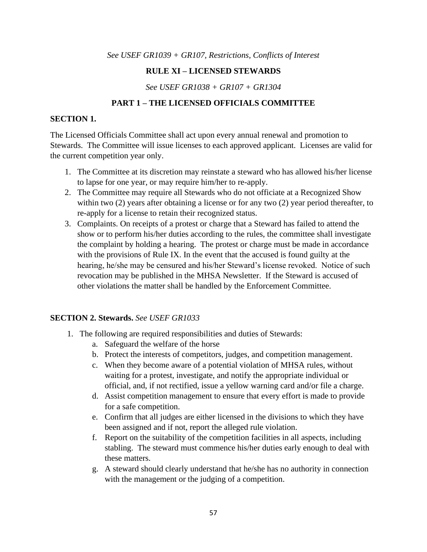*See USEF GR1039 + GR107, Restrictions, Conflicts of Interest*

### **RULE XI – LICENSED STEWARDS**

*See USEF GR1038 + GR107 + GR1304*

### **PART 1 – THE LICENSED OFFICIALS COMMITTEE**

#### **SECTION 1.**

The Licensed Officials Committee shall act upon every annual renewal and promotion to Stewards. The Committee will issue licenses to each approved applicant. Licenses are valid for the current competition year only.

- 1. The Committee at its discretion may reinstate a steward who has allowed his/her license to lapse for one year, or may require him/her to re-apply.
- 2. The Committee may require all Stewards who do not officiate at a Recognized Show within two (2) years after obtaining a license or for any two (2) year period thereafter, to re-apply for a license to retain their recognized status.
- 3. Complaints. On receipts of a protest or charge that a Steward has failed to attend the show or to perform his/her duties according to the rules, the committee shall investigate the complaint by holding a hearing. The protest or charge must be made in accordance with the provisions of Rule IX. In the event that the accused is found guilty at the hearing, he/she may be censured and his/her Steward's license revoked. Notice of such revocation may be published in the MHSA Newsletter. If the Steward is accused of other violations the matter shall be handled by the Enforcement Committee.

#### **SECTION 2. Stewards.** *See USEF GR1033*

- 1. The following are required responsibilities and duties of Stewards:
	- a. Safeguard the welfare of the horse
	- b. Protect the interests of competitors, judges, and competition management.
	- c. When they become aware of a potential violation of MHSA rules, without waiting for a protest, investigate, and notify the appropriate individual or official, and, if not rectified, issue a yellow warning card and/or file a charge.
	- d. Assist competition management to ensure that every effort is made to provide for a safe competition.
	- e. Confirm that all judges are either licensed in the divisions to which they have been assigned and if not, report the alleged rule violation.
	- f. Report on the suitability of the competition facilities in all aspects, including stabling. The steward must commence his/her duties early enough to deal with these matters.
	- g. A steward should clearly understand that he/she has no authority in connection with the management or the judging of a competition.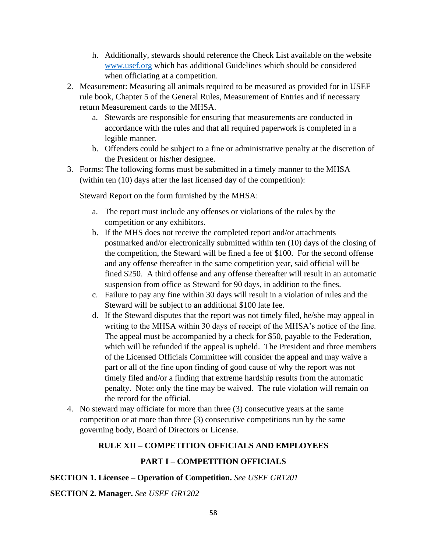- h. Additionally, stewards should reference the Check List available on the website [www.usef.org](http://www.usef.org/) which has additional Guidelines which should be considered when officiating at a competition.
- 2. Measurement: Measuring all animals required to be measured as provided for in USEF rule book, Chapter 5 of the General Rules, Measurement of Entries and if necessary return Measurement cards to the MHSA.
	- a. Stewards are responsible for ensuring that measurements are conducted in accordance with the rules and that all required paperwork is completed in a legible manner.
	- b. Offenders could be subject to a fine or administrative penalty at the discretion of the President or his/her designee.
- 3. Forms: The following forms must be submitted in a timely manner to the MHSA (within ten (10) days after the last licensed day of the competition):

Steward Report on the form furnished by the MHSA:

- a. The report must include any offenses or violations of the rules by the competition or any exhibitors.
- b. If the MHS does not receive the completed report and/or attachments postmarked and/or electronically submitted within ten (10) days of the closing of the competition, the Steward will be fined a fee of \$100. For the second offense and any offense thereafter in the same competition year, said official will be fined \$250. A third offense and any offense thereafter will result in an automatic suspension from office as Steward for 90 days, in addition to the fines.
- c. Failure to pay any fine within 30 days will result in a violation of rules and the Steward will be subject to an additional \$100 late fee.
- d. If the Steward disputes that the report was not timely filed, he/she may appeal in writing to the MHSA within 30 days of receipt of the MHSA's notice of the fine. The appeal must be accompanied by a check for \$50, payable to the Federation, which will be refunded if the appeal is upheld. The President and three members of the Licensed Officials Committee will consider the appeal and may waive a part or all of the fine upon finding of good cause of why the report was not timely filed and/or a finding that extreme hardship results from the automatic penalty. Note: only the fine may be waived. The rule violation will remain on the record for the official.
- 4. No steward may officiate for more than three (3) consecutive years at the same competition or at more than three (3) consecutive competitions run by the same governing body, Board of Directors or License.

## **RULE XII – COMPETITION OFFICIALS AND EMPLOYEES**

## **PART I – COMPETITION OFFICIALS**

**SECTION 1. Licensee – Operation of Competition.** *See USEF GR1201*

**SECTION 2. Manager.** *See USEF GR1202*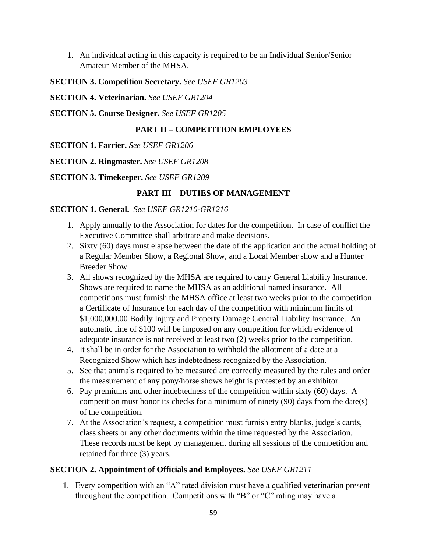1. An individual acting in this capacity is required to be an Individual Senior/Senior Amateur Member of the MHSA.

## **SECTION 3. Competition Secretary.** *See USEF GR1203*

**SECTION 4. Veterinarian.** *See USEF GR1204*

**SECTION 5. Course Designer.** *See USEF GR1205*

## **PART II – COMPETITION EMPLOYEES**

- **SECTION 1. Farrier.** *See USEF GR1206*
- **SECTION 2. Ringmaster.** *See USEF GR1208*

**SECTION 3. Timekeeper.** *See USEF GR1209*

## **PART III – DUTIES OF MANAGEMENT**

## **SECTION 1. General.** *See USEF GR1210-GR1216*

- 1. Apply annually to the Association for dates for the competition. In case of conflict the Executive Committee shall arbitrate and make decisions.
- 2. Sixty (60) days must elapse between the date of the application and the actual holding of a Regular Member Show, a Regional Show, and a Local Member show and a Hunter Breeder Show.
- 3. All shows recognized by the MHSA are required to carry General Liability Insurance. Shows are required to name the MHSA as an additional named insurance. All competitions must furnish the MHSA office at least two weeks prior to the competition a Certificate of Insurance for each day of the competition with minimum limits of \$1,000,000.00 Bodily Injury and Property Damage General Liability Insurance. An automatic fine of \$100 will be imposed on any competition for which evidence of adequate insurance is not received at least two (2) weeks prior to the competition.
- 4. It shall be in order for the Association to withhold the allotment of a date at a Recognized Show which has indebtedness recognized by the Association.
- 5. See that animals required to be measured are correctly measured by the rules and order the measurement of any pony/horse shows height is protested by an exhibitor.
- 6. Pay premiums and other indebtedness of the competition within sixty (60) days. A competition must honor its checks for a minimum of ninety (90) days from the date(s) of the competition.
- 7. At the Association's request, a competition must furnish entry blanks, judge's cards, class sheets or any other documents within the time requested by the Association. These records must be kept by management during all sessions of the competition and retained for three (3) years.

## **SECTION 2. Appointment of Officials and Employees.** *See USEF GR1211*

1. Every competition with an "A" rated division must have a qualified veterinarian present throughout the competition. Competitions with "B" or "C" rating may have a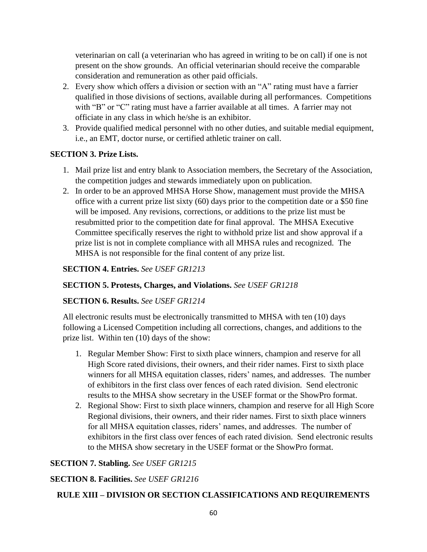veterinarian on call (a veterinarian who has agreed in writing to be on call) if one is not present on the show grounds. An official veterinarian should receive the comparable consideration and remuneration as other paid officials.

- 2. Every show which offers a division or section with an "A" rating must have a farrier qualified in those divisions of sections, available during all performances. Competitions with "B" or "C" rating must have a farrier available at all times. A farrier may not officiate in any class in which he/she is an exhibitor.
- 3. Provide qualified medical personnel with no other duties, and suitable medial equipment, i.e., an EMT, doctor nurse, or certified athletic trainer on call.

## **SECTION 3. Prize Lists.**

- 1. Mail prize list and entry blank to Association members, the Secretary of the Association, the competition judges and stewards immediately upon on publication.
- 2. In order to be an approved MHSA Horse Show, management must provide the MHSA office with a current prize list sixty (60) days prior to the competition date or a \$50 fine will be imposed. Any revisions, corrections, or additions to the prize list must be resubmitted prior to the competition date for final approval. The MHSA Executive Committee specifically reserves the right to withhold prize list and show approval if a prize list is not in complete compliance with all MHSA rules and recognized. The MHSA is not responsible for the final content of any prize list.

## **SECTION 4. Entries.** *See USEF GR1213*

## **SECTION 5. Protests, Charges, and Violations.** *See USEF GR1218*

## **SECTION 6. Results.** *See USEF GR1214*

All electronic results must be electronically transmitted to MHSA with ten (10) days following a Licensed Competition including all corrections, changes, and additions to the prize list. Within ten (10) days of the show:

- 1. Regular Member Show: First to sixth place winners, champion and reserve for all High Score rated divisions, their owners, and their rider names. First to sixth place winners for all MHSA equitation classes, riders' names, and addresses. The number of exhibitors in the first class over fences of each rated division. Send electronic results to the MHSA show secretary in the USEF format or the ShowPro format.
- 2. Regional Show: First to sixth place winners, champion and reserve for all High Score Regional divisions, their owners, and their rider names. First to sixth place winners for all MHSA equitation classes, riders' names, and addresses. The number of exhibitors in the first class over fences of each rated division. Send electronic results to the MHSA show secretary in the USEF format or the ShowPro format.

## **SECTION 7. Stabling.** *See USEF GR1215*

## **SECTION 8. Facilities.** *See USEF GR1216*

## **RULE XIII – DIVISION OR SECTION CLASSIFICATIONS AND REQUIREMENTS**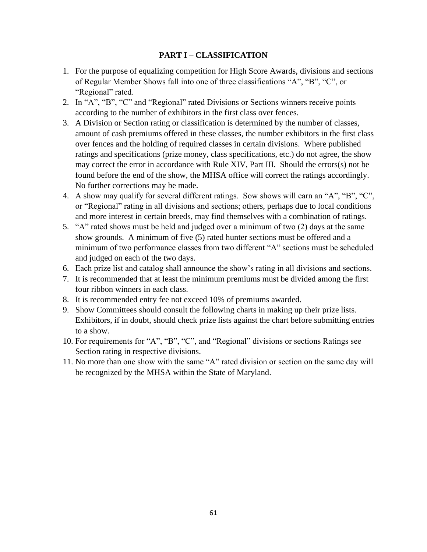### **PART I – CLASSIFICATION**

- 1. For the purpose of equalizing competition for High Score Awards, divisions and sections of Regular Member Shows fall into one of three classifications "A", "B", "C", or "Regional" rated.
- 2. In "A", "B", "C" and "Regional" rated Divisions or Sections winners receive points according to the number of exhibitors in the first class over fences.
- 3. A Division or Section rating or classification is determined by the number of classes, amount of cash premiums offered in these classes, the number exhibitors in the first class over fences and the holding of required classes in certain divisions. Where published ratings and specifications (prize money, class specifications, etc.) do not agree, the show may correct the error in accordance with Rule XIV, Part III. Should the errors(s) not be found before the end of the show, the MHSA office will correct the ratings accordingly. No further corrections may be made.
- 4. A show may qualify for several different ratings. Sow shows will earn an "A", "B", "C", or "Regional" rating in all divisions and sections; others, perhaps due to local conditions and more interest in certain breeds, may find themselves with a combination of ratings.
- 5. "A" rated shows must be held and judged over a minimum of two (2) days at the same show grounds. A minimum of five (5) rated hunter sections must be offered and a minimum of two performance classes from two different "A" sections must be scheduled and judged on each of the two days.
- 6. Each prize list and catalog shall announce the show's rating in all divisions and sections.
- 7. It is recommended that at least the minimum premiums must be divided among the first four ribbon winners in each class.
- 8. It is recommended entry fee not exceed 10% of premiums awarded.
- 9. Show Committees should consult the following charts in making up their prize lists. Exhibitors, if in doubt, should check prize lists against the chart before submitting entries to a show.
- 10. For requirements for "A", "B", "C", and "Regional" divisions or sections Ratings see Section rating in respective divisions.
- 11. No more than one show with the same "A" rated division or section on the same day will be recognized by the MHSA within the State of Maryland.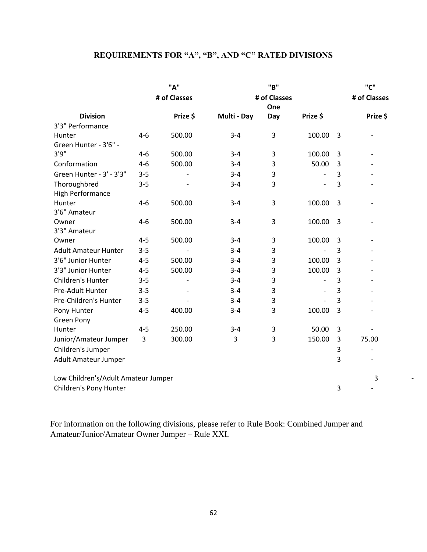# **REQUIREMENTS FOR "A", "B", AND "C" RATED DIVISIONS**

|                                     | "A"     |                          |             | "B"          |                          |                | "C"                      |
|-------------------------------------|---------|--------------------------|-------------|--------------|--------------------------|----------------|--------------------------|
|                                     |         | # of Classes             |             | # of Classes |                          |                | # of Classes             |
|                                     |         |                          |             | One          |                          |                |                          |
| <b>Division</b>                     |         | Prize \$                 | Multi - Day | Day          | Prize \$                 |                | Prize \$                 |
| 3'3" Performance                    |         |                          |             |              |                          |                |                          |
| Hunter                              | $4 - 6$ | 500.00                   | $3 - 4$     | 3            | 100.00                   | $\overline{3}$ |                          |
| Green Hunter - 3'6" -               |         |                          |             |              |                          |                |                          |
| 3'9''                               | 4-6     | 500.00                   | $3 - 4$     | 3            | 100.00                   | 3              |                          |
| Conformation                        | $4 - 6$ | 500.00                   | $3 - 4$     | 3            | 50.00                    | 3              |                          |
| Green Hunter - 3' - 3'3"            | $3 - 5$ |                          | $3 - 4$     | 3            | $\overline{\phantom{0}}$ | 3              |                          |
| Thoroughbred                        | $3 - 5$ |                          | $3 - 4$     | 3            | $\overline{\phantom{0}}$ | 3              |                          |
| <b>High Performance</b>             |         |                          |             |              |                          |                |                          |
| Hunter                              | $4 - 6$ | 500.00                   | $3 - 4$     | 3            | 100.00                   | 3              |                          |
| 3'6" Amateur                        |         |                          |             |              |                          |                |                          |
| Owner                               | $4 - 6$ | 500.00                   | $3 - 4$     | $\mathsf 3$  | 100.00                   | 3              |                          |
| 3'3" Amateur                        |         |                          |             |              |                          |                |                          |
| Owner                               | $4 - 5$ | 500.00                   | $3 - 4$     | $\mathsf 3$  | 100.00                   | 3              |                          |
| <b>Adult Amateur Hunter</b>         | $3 - 5$ |                          | $3 - 4$     | 3            | $\overline{a}$           | 3              |                          |
| 3'6" Junior Hunter                  | $4 - 5$ | 500.00                   | $3 - 4$     | 3            | 100.00                   | 3              |                          |
| 3'3" Junior Hunter                  | $4 - 5$ | 500.00                   | $3 - 4$     | 3            | 100.00                   | 3              |                          |
| Children's Hunter                   | $3 - 5$ | $\overline{\phantom{a}}$ | $3 - 4$     | 3            | $\overline{\phantom{0}}$ | 3              |                          |
| Pre-Adult Hunter                    | $3 - 5$ |                          | $3 - 4$     | 3            | $\overline{\phantom{a}}$ | 3              |                          |
| Pre-Children's Hunter               | $3 - 5$ |                          | $3 - 4$     | 3            | $\overline{\phantom{a}}$ | 3              |                          |
| Pony Hunter                         | $4 - 5$ | 400.00                   | $3 - 4$     | 3            | 100.00                   | 3              |                          |
| <b>Green Pony</b>                   |         |                          |             |              |                          |                |                          |
| Hunter                              | $4 - 5$ | 250.00                   | $3 - 4$     | $\mathsf 3$  | 50.00                    | 3              |                          |
| Junior/Amateur Jumper               | 3       | 300.00                   | 3           | 3            | 150.00                   | 3              | 75.00                    |
| Children's Jumper                   |         |                          |             |              |                          | 3              | $\overline{\phantom{a}}$ |
| Adult Amateur Jumper                |         |                          |             |              |                          | 3              |                          |
| Low Children's/Adult Amateur Jumper |         |                          |             |              | 3                        |                |                          |
| Children's Pony Hunter              |         |                          |             |              |                          | 3              |                          |

-

For information on the following divisions, please refer to Rule Book: Combined Jumper and Amateur/Junior/Amateur Owner Jumper – Rule XXI.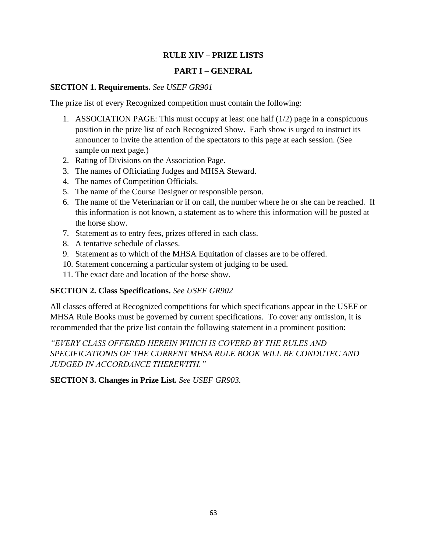## **RULE XIV – PRIZE LISTS**

## **PART I – GENERAL**

### **SECTION 1. Requirements.** *See USEF GR901*

The prize list of every Recognized competition must contain the following:

- 1. ASSOCIATION PAGE: This must occupy at least one half (1/2) page in a conspicuous position in the prize list of each Recognized Show. Each show is urged to instruct its announcer to invite the attention of the spectators to this page at each session. (See sample on next page.)
- 2. Rating of Divisions on the Association Page.
- 3. The names of Officiating Judges and MHSA Steward.
- 4. The names of Competition Officials.
- 5. The name of the Course Designer or responsible person.
- 6. The name of the Veterinarian or if on call, the number where he or she can be reached. If this information is not known, a statement as to where this information will be posted at the horse show.
- 7. Statement as to entry fees, prizes offered in each class.
- 8. A tentative schedule of classes.
- 9. Statement as to which of the MHSA Equitation of classes are to be offered.
- 10. Statement concerning a particular system of judging to be used.
- 11. The exact date and location of the horse show.

## **SECTION 2. Class Specifications.** *See USEF GR902*

All classes offered at Recognized competitions for which specifications appear in the USEF or MHSA Rule Books must be governed by current specifications. To cover any omission, it is recommended that the prize list contain the following statement in a prominent position:

*"EVERY CLASS OFFERED HEREIN WHICH IS COVERD BY THE RULES AND SPECIFICATIONIS OF THE CURRENT MHSA RULE BOOK WILL BE CONDUTEC AND JUDGED IN ACCORDANCE THEREWITH."*

**SECTION 3. Changes in Prize List.** *See USEF GR903.*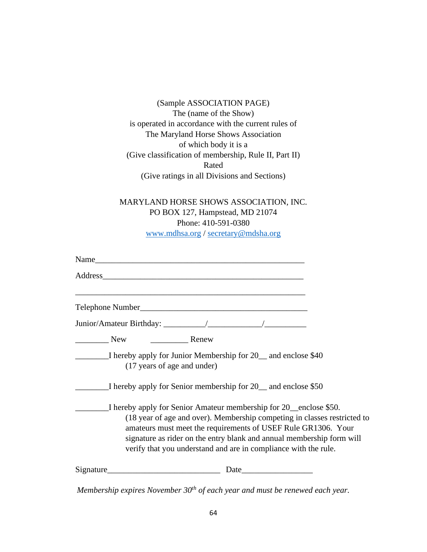(Sample ASSOCIATION PAGE) The (name of the Show) is operated in accordance with the current rules of The Maryland Horse Shows Association of which body it is a (Give classification of membership, Rule II, Part II) Rated (Give ratings in all Divisions and Sections)

MARYLAND HORSE SHOWS ASSOCIATION, INC. PO BOX 127, Hampstead, MD 21074 Phone: 410-591-0380 [www.mdhsa.org](http://www.mdhsa.org/) / [secretary@mdsha.org](mailto:secretary@mdsha.org)

|           |                             | Name                                                            |                                                                                                                                                                                                                                                                                         |  |
|-----------|-----------------------------|-----------------------------------------------------------------|-----------------------------------------------------------------------------------------------------------------------------------------------------------------------------------------------------------------------------------------------------------------------------------------|--|
|           |                             |                                                                 |                                                                                                                                                                                                                                                                                         |  |
|           |                             |                                                                 |                                                                                                                                                                                                                                                                                         |  |
|           |                             |                                                                 |                                                                                                                                                                                                                                                                                         |  |
| New       | Renew                       |                                                                 |                                                                                                                                                                                                                                                                                         |  |
|           | (17 years of age and under) | I hereby apply for Junior Membership for 20 and enclose \$40    |                                                                                                                                                                                                                                                                                         |  |
|           |                             | I hereby apply for Senior membership for 20 __ and enclose \$50 |                                                                                                                                                                                                                                                                                         |  |
|           |                             | verify that you understand and are in compliance with the rule. | I hereby apply for Senior Amateur membership for 20 enclose \$50.<br>(18 year of age and over). Membership competing in classes restricted to<br>amateurs must meet the requirements of USEF Rule GR1306. Your<br>signature as rider on the entry blank and annual membership form will |  |
| Signature |                             |                                                                 |                                                                                                                                                                                                                                                                                         |  |

*Membership expires November 30th of each year and must be renewed each year.*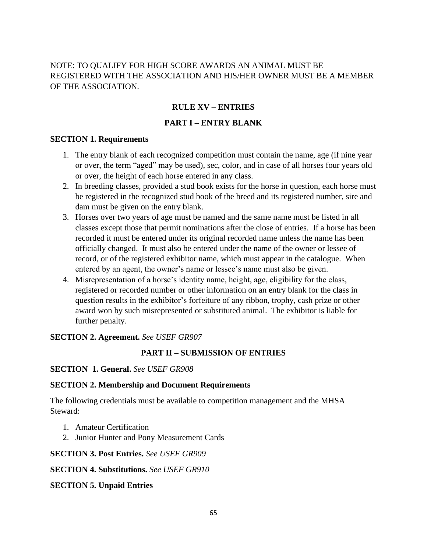## NOTE: TO QUALIFY FOR HIGH SCORE AWARDS AN ANIMAL MUST BE REGISTERED WITH THE ASSOCIATION AND HIS/HER OWNER MUST BE A MEMBER OF THE ASSOCIATION.

## **RULE XV – ENTRIES**

## **PART I – ENTRY BLANK**

### **SECTION 1. Requirements**

- 1. The entry blank of each recognized competition must contain the name, age (if nine year or over, the term "aged" may be used), sec, color, and in case of all horses four years old or over, the height of each horse entered in any class.
- 2. In breeding classes, provided a stud book exists for the horse in question, each horse must be registered in the recognized stud book of the breed and its registered number, sire and dam must be given on the entry blank.
- 3. Horses over two years of age must be named and the same name must be listed in all classes except those that permit nominations after the close of entries. If a horse has been recorded it must be entered under its original recorded name unless the name has been officially changed. It must also be entered under the name of the owner or lessee of record, or of the registered exhibitor name, which must appear in the catalogue. When entered by an agent, the owner's name or lessee's name must also be given.
- 4. Misrepresentation of a horse's identity name, height, age, eligibility for the class, registered or recorded number or other information on an entry blank for the class in question results in the exhibitor's forfeiture of any ribbon, trophy, cash prize or other award won by such misrepresented or substituted animal. The exhibitor is liable for further penalty.

## **SECTION 2. Agreement.** *See USEF GR907*

## **PART II – SUBMISSION OF ENTRIES**

## **SECTION 1. General.** *See USEF GR908*

## **SECTION 2. Membership and Document Requirements**

The following credentials must be available to competition management and the MHSA Steward:

- 1. Amateur Certification
- 2. Junior Hunter and Pony Measurement Cards

## **SECTION 3. Post Entries.** *See USEF GR909*

## **SECTION 4. Substitutions.** *See USEF GR910*

## **SECTION 5. Unpaid Entries**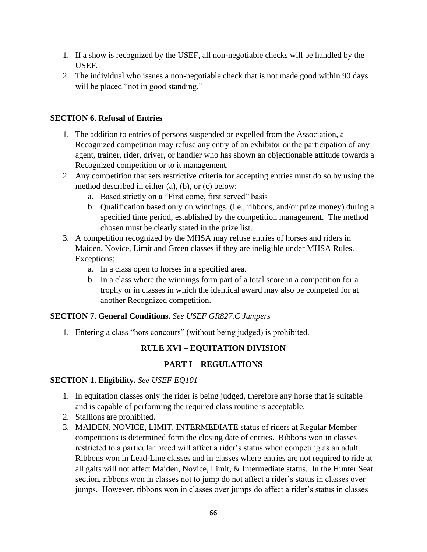- 1. If a show is recognized by the USEF, all non-negotiable checks will be handled by the USEF.
- 2. The individual who issues a non-negotiable check that is not made good within 90 days will be placed "not in good standing."

## **SECTION 6. Refusal of Entries**

- 1. The addition to entries of persons suspended or expelled from the Association, a Recognized competition may refuse any entry of an exhibitor or the participation of any agent, trainer, rider, driver, or handler who has shown an objectionable attitude towards a Recognized competition or to it management.
- 2. Any competition that sets restrictive criteria for accepting entries must do so by using the method described in either (a), (b), or (c) below:
	- a. Based strictly on a "First come, first served" basis
	- b. Qualification based only on winnings, (i.e., ribbons, and/or prize money) during a specified time period, established by the competition management. The method chosen must be clearly stated in the prize list.
- 3. A competition recognized by the MHSA may refuse entries of horses and riders in Maiden, Novice, Limit and Green classes if they are ineligible under MHSA Rules. Exceptions:
	- a. In a class open to horses in a specified area.
	- b. In a class where the winnings form part of a total score in a competition for a trophy or in classes in which the identical award may also be competed for at another Recognized competition.

## **SECTION 7. General Conditions.** *See USEF GR827.C Jumpers*

1. Entering a class "hors concours" (without being judged) is prohibited.

## **RULE XVI – EQUITATION DIVISION**

## **PART I – REGULATIONS**

## **SECTION 1. Eligibility.** *See USEF EQ101*

- 1. In equitation classes only the rider is being judged, therefore any horse that is suitable and is capable of performing the required class routine is acceptable.
- 2. Stallions are prohibited.
- 3. MAIDEN, NOVICE, LIMIT, INTERMEDIATE status of riders at Regular Member competitions is determined form the closing date of entries. Ribbons won in classes restricted to a particular breed will affect a rider's status when competing as an adult. Ribbons won in Lead-Line classes and in classes where entries are not required to ride at all gaits will not affect Maiden, Novice, Limit, & Intermediate status. In the Hunter Seat section, ribbons won in classes not to jump do not affect a rider's status in classes over jumps. However, ribbons won in classes over jumps do affect a rider's status in classes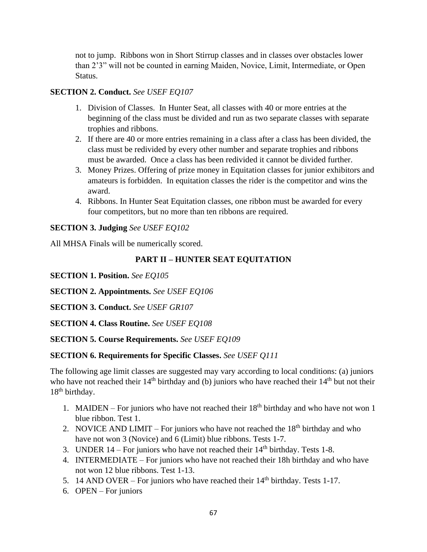not to jump. Ribbons won in Short Stirrup classes and in classes over obstacles lower than 2'3" will not be counted in earning Maiden, Novice, Limit, Intermediate, or Open Status.

## **SECTION 2. Conduct.** *See USEF EQ107*

- 1. Division of Classes. In Hunter Seat, all classes with 40 or more entries at the beginning of the class must be divided and run as two separate classes with separate trophies and ribbons.
- 2. If there are 40 or more entries remaining in a class after a class has been divided, the class must be redivided by every other number and separate trophies and ribbons must be awarded. Once a class has been redivided it cannot be divided further.
- 3. Money Prizes. Offering of prize money in Equitation classes for junior exhibitors and amateurs is forbidden. In equitation classes the rider is the competitor and wins the award.
- 4. Ribbons. In Hunter Seat Equitation classes, one ribbon must be awarded for every four competitors, but no more than ten ribbons are required.

## **SECTION 3. Judging** *See USEF EQ102*

All MHSA Finals will be numerically scored.

## **PART II – HUNTER SEAT EQUITATION**

**SECTION 1. Position.** *See EQ105*

**SECTION 2. Appointments.** *See USEF EQ106*

**SECTION 3. Conduct.** *See USEF GR107*

**SECTION 4. Class Routine.** *See USEF EQ108*

**SECTION 5. Course Requirements.** *See USEF EQ109*

## **SECTION 6. Requirements for Specific Classes.** *See USEF Q111*

The following age limit classes are suggested may vary according to local conditions: (a) juniors who have not reached their  $14<sup>th</sup>$  birthday and (b) juniors who have reached their  $14<sup>th</sup>$  but not their 18<sup>th</sup> birthday.

- 1. MAIDEN For juniors who have not reached their  $18<sup>th</sup>$  birthday and who have not won 1 blue ribbon. Test 1.
- 2. NOVICE AND LIMIT For juniors who have not reached the  $18<sup>th</sup>$  birthday and who have not won 3 (Novice) and 6 (Limit) blue ribbons. Tests 1-7.
- 3. UNDER  $14$  For juniors who have not reached their  $14<sup>th</sup>$  birthday. Tests 1-8.
- 4. INTERMEDIATE For juniors who have not reached their 18h birthday and who have not won 12 blue ribbons. Test 1-13.
- 5. 14 AND OVER For juniors who have reached their  $14<sup>th</sup>$  birthday. Tests 1-17.
- 6. OPEN For juniors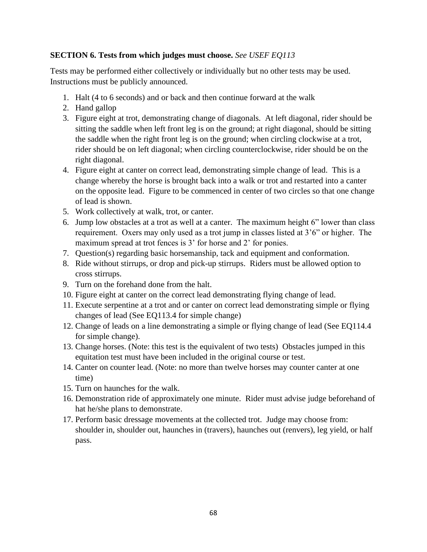## **SECTION 6. Tests from which judges must choose.** *See USEF EQ113*

Tests may be performed either collectively or individually but no other tests may be used. Instructions must be publicly announced.

- 1. Halt (4 to 6 seconds) and or back and then continue forward at the walk
- 2. Hand gallop
- 3. Figure eight at trot, demonstrating change of diagonals. At left diagonal, rider should be sitting the saddle when left front leg is on the ground; at right diagonal, should be sitting the saddle when the right front leg is on the ground; when circling clockwise at a trot, rider should be on left diagonal; when circling counterclockwise, rider should be on the right diagonal.
- 4. Figure eight at canter on correct lead, demonstrating simple change of lead. This is a change whereby the horse is brought back into a walk or trot and restarted into a canter on the opposite lead. Figure to be commenced in center of two circles so that one change of lead is shown.
- 5. Work collectively at walk, trot, or canter.
- 6. Jump low obstacles at a trot as well at a canter. The maximum height 6" lower than class requirement. Oxers may only used as a trot jump in classes listed at 3'6" or higher. The maximum spread at trot fences is 3' for horse and 2' for ponies.
- 7. Question(s) regarding basic horsemanship, tack and equipment and conformation.
- 8. Ride without stirrups, or drop and pick-up stirrups. Riders must be allowed option to cross stirrups.
- 9. Turn on the forehand done from the halt.
- 10. Figure eight at canter on the correct lead demonstrating flying change of lead.
- 11. Execute serpentine at a trot and or canter on correct lead demonstrating simple or flying changes of lead (See EQ113.4 for simple change)
- 12. Change of leads on a line demonstrating a simple or flying change of lead (See EQ114.4 for simple change).
- 13. Change horses. (Note: this test is the equivalent of two tests) Obstacles jumped in this equitation test must have been included in the original course or test.
- 14. Canter on counter lead. (Note: no more than twelve horses may counter canter at one time)
- 15. Turn on haunches for the walk.
- 16. Demonstration ride of approximately one minute. Rider must advise judge beforehand of hat he/she plans to demonstrate.
- 17. Perform basic dressage movements at the collected trot. Judge may choose from: shoulder in, shoulder out, haunches in (travers), haunches out (renvers), leg yield, or half pass.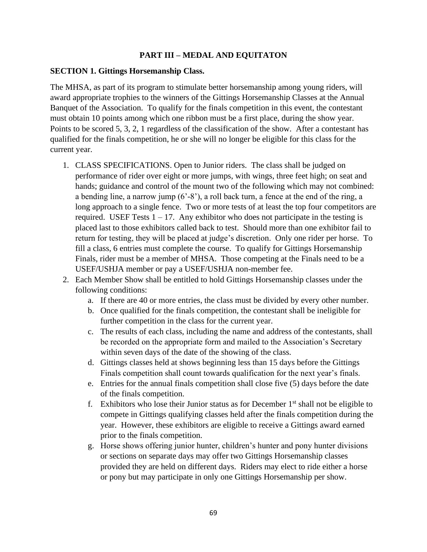### **PART III – MEDAL AND EQUITATON**

#### **SECTION 1. Gittings Horsemanship Class.**

The MHSA, as part of its program to stimulate better horsemanship among young riders, will award appropriate trophies to the winners of the Gittings Horsemanship Classes at the Annual Banquet of the Association. To qualify for the finals competition in this event, the contestant must obtain 10 points among which one ribbon must be a first place, during the show year. Points to be scored 5, 3, 2, 1 regardless of the classification of the show. After a contestant has qualified for the finals competition, he or she will no longer be eligible for this class for the current year.

- 1. CLASS SPECIFICATIONS. Open to Junior riders. The class shall be judged on performance of rider over eight or more jumps, with wings, three feet high; on seat and hands; guidance and control of the mount two of the following which may not combined: a bending line, a narrow jump (6'-8'), a roll back turn, a fence at the end of the ring, a long approach to a single fence. Two or more tests of at least the top four competitors are required. USEF Tests  $1 - 17$ . Any exhibitor who does not participate in the testing is placed last to those exhibitors called back to test. Should more than one exhibitor fail to return for testing, they will be placed at judge's discretion. Only one rider per horse. To fill a class, 6 entries must complete the course. To qualify for Gittings Horsemanship Finals, rider must be a member of MHSA. Those competing at the Finals need to be a USEF/USHJA member or pay a USEF/USHJA non-member fee.
- 2. Each Member Show shall be entitled to hold Gittings Horsemanship classes under the following conditions:
	- a. If there are 40 or more entries, the class must be divided by every other number.
	- b. Once qualified for the finals competition, the contestant shall be ineligible for further competition in the class for the current year.
	- c. The results of each class, including the name and address of the contestants, shall be recorded on the appropriate form and mailed to the Association's Secretary within seven days of the date of the showing of the class.
	- d. Gittings classes held at shows beginning less than 15 days before the Gittings Finals competition shall count towards qualification for the next year's finals.
	- e. Entries for the annual finals competition shall close five (5) days before the date of the finals competition.
	- f. Exhibitors who lose their Junior status as for December  $1<sup>st</sup>$  shall not be eligible to compete in Gittings qualifying classes held after the finals competition during the year. However, these exhibitors are eligible to receive a Gittings award earned prior to the finals competition.
	- g. Horse shows offering junior hunter, children's hunter and pony hunter divisions or sections on separate days may offer two Gittings Horsemanship classes provided they are held on different days. Riders may elect to ride either a horse or pony but may participate in only one Gittings Horsemanship per show.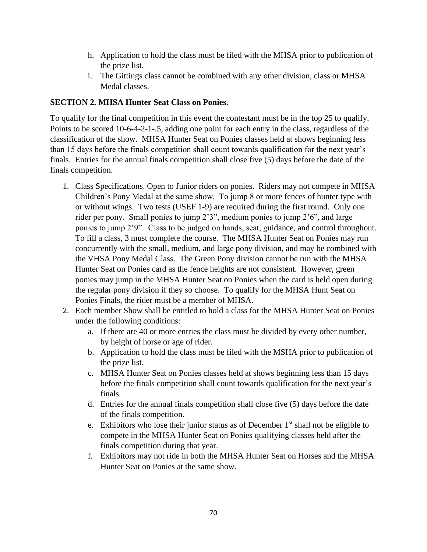- h. Application to hold the class must be filed with the MHSA prior to publication of the prize list.
- i. The Gittings class cannot be combined with any other division, class or MHSA Medal classes.

## **SECTION 2. MHSA Hunter Seat Class on Ponies.**

To qualify for the final competition in this event the contestant must be in the top 25 to qualify. Points to be scored 10-6-4-2-1-.5, adding one point for each entry in the class, regardless of the classification of the show. MHSA Hunter Seat on Ponies classes held at shows beginning less than 15 days before the finals competition shall count towards qualification for the next year's finals. Entries for the annual finals competition shall close five (5) days before the date of the finals competition.

- 1. Class Specifications. Open to Junior riders on ponies. Riders may not compete in MHSA Children's Pony Medal at the same show. To jump 8 or more fences of hunter type with or without wings. Two tests (USEF 1-9) are required during the first round. Only one rider per pony. Small ponies to jump 2'3", medium ponies to jump 2'6", and large ponies to jump 2'9". Class to be judged on hands, seat, guidance, and control throughout. To fill a class, 3 must complete the course. The MHSA Hunter Seat on Ponies may run concurrently with the small, medium, and large pony division, and may be combined with the VHSA Pony Medal Class. The Green Pony division cannot be run with the MHSA Hunter Seat on Ponies card as the fence heights are not consistent. However, green ponies may jump in the MHSA Hunter Seat on Ponies when the card is held open during the regular pony division if they so choose. To qualify for the MHSA Hunt Seat on Ponies Finals, the rider must be a member of MHSA.
- 2. Each member Show shall be entitled to hold a class for the MHSA Hunter Seat on Ponies under the following conditions:
	- a. If there are 40 or more entries the class must be divided by every other number, by height of horse or age of rider.
	- b. Application to hold the class must be filed with the MSHA prior to publication of the prize list.
	- c. MHSA Hunter Seat on Ponies classes held at shows beginning less than 15 days before the finals competition shall count towards qualification for the next year's finals.
	- d. Entries for the annual finals competition shall close five (5) days before the date of the finals competition.
	- e. Exhibitors who lose their junior status as of December  $1<sup>st</sup>$  shall not be eligible to compete in the MHSA Hunter Seat on Ponies qualifying classes held after the finals competition during that year.
	- f. Exhibitors may not ride in both the MHSA Hunter Seat on Horses and the MHSA Hunter Seat on Ponies at the same show.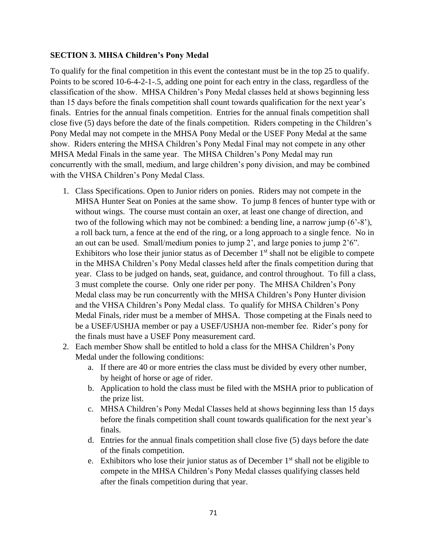### **SECTION 3. MHSA Children's Pony Medal**

To qualify for the final competition in this event the contestant must be in the top 25 to qualify. Points to be scored 10-6-4-2-1-.5, adding one point for each entry in the class, regardless of the classification of the show. MHSA Children's Pony Medal classes held at shows beginning less than 15 days before the finals competition shall count towards qualification for the next year's finals. Entries for the annual finals competition. Entries for the annual finals competition shall close five (5) days before the date of the finals competition. Riders competing in the Children's Pony Medal may not compete in the MHSA Pony Medal or the USEF Pony Medal at the same show. Riders entering the MHSA Children's Pony Medal Final may not compete in any other MHSA Medal Finals in the same year. The MHSA Children's Pony Medal may run concurrently with the small, medium, and large children's pony division, and may be combined with the VHSA Children's Pony Medal Class.

- 1. Class Specifications. Open to Junior riders on ponies. Riders may not compete in the MHSA Hunter Seat on Ponies at the same show. To jump 8 fences of hunter type with or without wings. The course must contain an oxer, at least one change of direction, and two of the following which may not be combined: a bending line, a narrow jump (6'-8'), a roll back turn, a fence at the end of the ring, or a long approach to a single fence. No in an out can be used. Small/medium ponies to jump 2', and large ponies to jump 2'6". Exhibitors who lose their junior status as of December  $1<sup>st</sup>$  shall not be eligible to compete in the MHSA Children's Pony Medal classes held after the finals competition during that year. Class to be judged on hands, seat, guidance, and control throughout. To fill a class, 3 must complete the course. Only one rider per pony. The MHSA Children's Pony Medal class may be run concurrently with the MHSA Children's Pony Hunter division and the VHSA Children's Pony Medal class. To qualify for MHSA Children's Pony Medal Finals, rider must be a member of MHSA. Those competing at the Finals need to be a USEF/USHJA member or pay a USEF/USHJA non-member fee. Rider's pony for the finals must have a USEF Pony measurement card.
- 2. Each member Show shall be entitled to hold a class for the MHSA Children's Pony Medal under the following conditions:
	- a. If there are 40 or more entries the class must be divided by every other number, by height of horse or age of rider.
	- b. Application to hold the class must be filed with the MSHA prior to publication of the prize list.
	- c. MHSA Children's Pony Medal Classes held at shows beginning less than 15 days before the finals competition shall count towards qualification for the next year's finals.
	- d. Entries for the annual finals competition shall close five (5) days before the date of the finals competition.
	- e. Exhibitors who lose their junior status as of December  $1<sup>st</sup>$  shall not be eligible to compete in the MHSA Children's Pony Medal classes qualifying classes held after the finals competition during that year.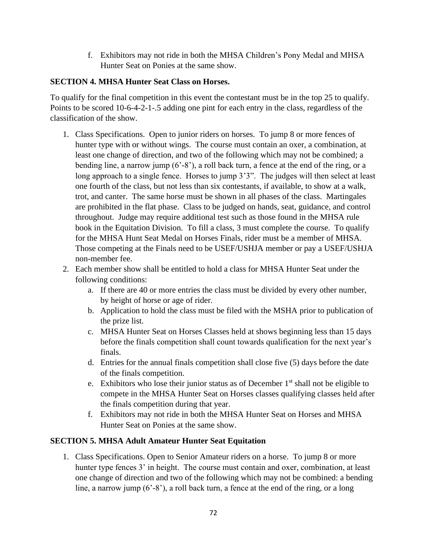f. Exhibitors may not ride in both the MHSA Children's Pony Medal and MHSA Hunter Seat on Ponies at the same show.

## **SECTION 4. MHSA Hunter Seat Class on Horses.**

To qualify for the final competition in this event the contestant must be in the top 25 to qualify. Points to be scored 10-6-4-2-1-.5 adding one pint for each entry in the class, regardless of the classification of the show.

- 1. Class Specifications. Open to junior riders on horses. To jump 8 or more fences of hunter type with or without wings. The course must contain an oxer, a combination, at least one change of direction, and two of the following which may not be combined; a bending line, a narrow jump (6'-8'), a roll back turn, a fence at the end of the ring, or a long approach to a single fence. Horses to jump 3'3". The judges will then select at least one fourth of the class, but not less than six contestants, if available, to show at a walk, trot, and canter. The same horse must be shown in all phases of the class. Martingales are prohibited in the flat phase. Class to be judged on hands, seat, guidance, and control throughout. Judge may require additional test such as those found in the MHSA rule book in the Equitation Division. To fill a class, 3 must complete the course. To qualify for the MHSA Hunt Seat Medal on Horses Finals, rider must be a member of MHSA. Those competing at the Finals need to be USEF/USHJA member or pay a USEF/USHJA non-member fee.
- 2. Each member show shall be entitled to hold a class for MHSA Hunter Seat under the following conditions:
	- a. If there are 40 or more entries the class must be divided by every other number, by height of horse or age of rider.
	- b. Application to hold the class must be filed with the MSHA prior to publication of the prize list.
	- c. MHSA Hunter Seat on Horses Classes held at shows beginning less than 15 days before the finals competition shall count towards qualification for the next year's finals.
	- d. Entries for the annual finals competition shall close five (5) days before the date of the finals competition.
	- e. Exhibitors who lose their junior status as of December  $1<sup>st</sup>$  shall not be eligible to compete in the MHSA Hunter Seat on Horses classes qualifying classes held after the finals competition during that year.
	- f. Exhibitors may not ride in both the MHSA Hunter Seat on Horses and MHSA Hunter Seat on Ponies at the same show.

## **SECTION 5. MHSA Adult Amateur Hunter Seat Equitation**

1. Class Specifications. Open to Senior Amateur riders on a horse. To jump 8 or more hunter type fences 3' in height. The course must contain and oxer, combination, at least one change of direction and two of the following which may not be combined: a bending line, a narrow jump (6'-8'), a roll back turn, a fence at the end of the ring, or a long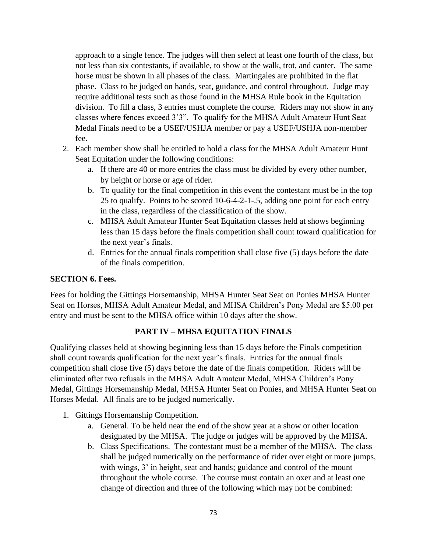approach to a single fence. The judges will then select at least one fourth of the class, but not less than six contestants, if available, to show at the walk, trot, and canter. The same horse must be shown in all phases of the class. Martingales are prohibited in the flat phase. Class to be judged on hands, seat, guidance, and control throughout. Judge may require additional tests such as those found in the MHSA Rule book in the Equitation division. To fill a class, 3 entries must complete the course. Riders may not show in any classes where fences exceed 3'3". To qualify for the MHSA Adult Amateur Hunt Seat Medal Finals need to be a USEF/USHJA member or pay a USEF/USHJA non-member fee.

- 2. Each member show shall be entitled to hold a class for the MHSA Adult Amateur Hunt Seat Equitation under the following conditions:
	- a. If there are 40 or more entries the class must be divided by every other number, by height or horse or age of rider.
	- b. To qualify for the final competition in this event the contestant must be in the top 25 to qualify. Points to be scored 10-6-4-2-1-.5, adding one point for each entry in the class, regardless of the classification of the show.
	- c. MHSA Adult Amateur Hunter Seat Equitation classes held at shows beginning less than 15 days before the finals competition shall count toward qualification for the next year's finals.
	- d. Entries for the annual finals competition shall close five (5) days before the date of the finals competition.

# **SECTION 6. Fees.**

Fees for holding the Gittings Horsemanship, MHSA Hunter Seat Seat on Ponies MHSA Hunter Seat on Horses, MHSA Adult Amateur Medal, and MHSA Children's Pony Medal are \$5.00 per entry and must be sent to the MHSA office within 10 days after the show.

# **PART IV – MHSA EQUITATION FINALS**

Qualifying classes held at showing beginning less than 15 days before the Finals competition shall count towards qualification for the next year's finals. Entries for the annual finals competition shall close five (5) days before the date of the finals competition. Riders will be eliminated after two refusals in the MHSA Adult Amateur Medal, MHSA Children's Pony Medal, Gittings Horsemanship Medal, MHSA Hunter Seat on Ponies, and MHSA Hunter Seat on Horses Medal. All finals are to be judged numerically.

- 1. Gittings Horsemanship Competition.
	- a. General. To be held near the end of the show year at a show or other location designated by the MHSA. The judge or judges will be approved by the MHSA.
	- b. Class Specifications. The contestant must be a member of the MHSA. The class shall be judged numerically on the performance of rider over eight or more jumps, with wings, 3' in height, seat and hands; guidance and control of the mount throughout the whole course. The course must contain an oxer and at least one change of direction and three of the following which may not be combined: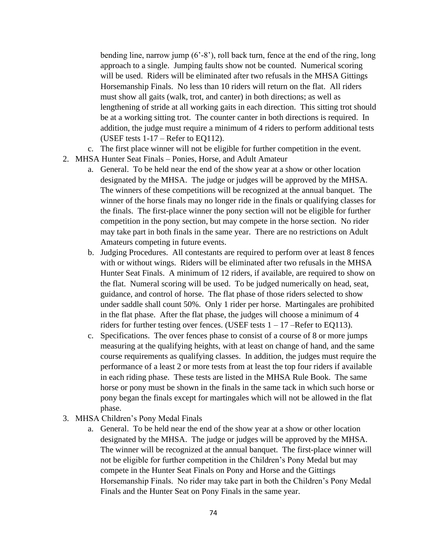bending line, narrow jump  $(6' - 8')$ , roll back turn, fence at the end of the ring, long approach to a single. Jumping faults show not be counted. Numerical scoring will be used. Riders will be eliminated after two refusals in the MHSA Gittings Horsemanship Finals. No less than 10 riders will return on the flat. All riders must show all gaits (walk, trot, and canter) in both directions; as well as lengthening of stride at all working gaits in each direction. This sitting trot should be at a working sitting trot. The counter canter in both directions is required. In addition, the judge must require a minimum of 4 riders to perform additional tests (USEF tests 1-17 – Refer to EQ112).

- c. The first place winner will not be eligible for further competition in the event.
- 2. MHSA Hunter Seat Finals Ponies, Horse, and Adult Amateur
	- a. General. To be held near the end of the show year at a show or other location designated by the MHSA. The judge or judges will be approved by the MHSA. The winners of these competitions will be recognized at the annual banquet. The winner of the horse finals may no longer ride in the finals or qualifying classes for the finals. The first-place winner the pony section will not be eligible for further competition in the pony section, but may compete in the horse section. No rider may take part in both finals in the same year. There are no restrictions on Adult Amateurs competing in future events.
	- b. Judging Procedures. All contestants are required to perform over at least 8 fences with or without wings. Riders will be eliminated after two refusals in the MHSA Hunter Seat Finals. A minimum of 12 riders, if available, are required to show on the flat. Numeral scoring will be used. To be judged numerically on head, seat, guidance, and control of horse. The flat phase of those riders selected to show under saddle shall count 50%. Only 1 rider per horse. Martingales are prohibited in the flat phase. After the flat phase, the judges will choose a minimum of 4 riders for further testing over fences. (USEF tests  $1 - 17$  –Refer to EQ113).
	- c. Specifications. The over fences phase to consist of a course of 8 or more jumps measuring at the qualifying heights, with at least on change of hand, and the same course requirements as qualifying classes. In addition, the judges must require the performance of a least 2 or more tests from at least the top four riders if available in each riding phase. These tests are listed in the MHSA Rule Book. The same horse or pony must be shown in the finals in the same tack in which such horse or pony began the finals except for martingales which will not be allowed in the flat phase.
- 3. MHSA Children's Pony Medal Finals
	- a. General. To be held near the end of the show year at a show or other location designated by the MHSA. The judge or judges will be approved by the MHSA. The winner will be recognized at the annual banquet. The first-place winner will not be eligible for further competition in the Children's Pony Medal but may compete in the Hunter Seat Finals on Pony and Horse and the Gittings Horsemanship Finals. No rider may take part in both the Children's Pony Medal Finals and the Hunter Seat on Pony Finals in the same year.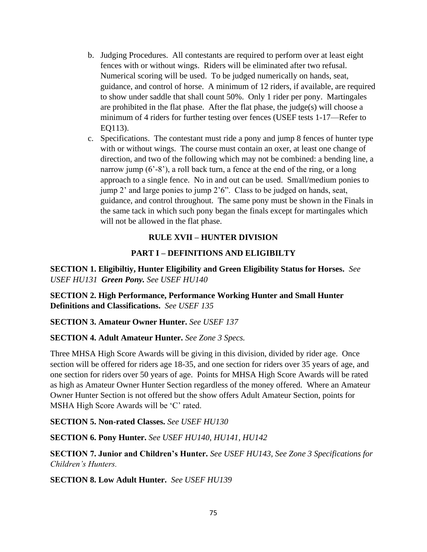- b. Judging Procedures. All contestants are required to perform over at least eight fences with or without wings. Riders will be eliminated after two refusal. Numerical scoring will be used. To be judged numerically on hands, seat, guidance, and control of horse. A minimum of 12 riders, if available, are required to show under saddle that shall count 50%. Only 1 rider per pony. Martingales are prohibited in the flat phase. After the flat phase, the judge(s) will choose a minimum of 4 riders for further testing over fences (USEF tests 1-17—Refer to EQ113).
- c. Specifications. The contestant must ride a pony and jump 8 fences of hunter type with or without wings. The course must contain an oxer, at least one change of direction, and two of the following which may not be combined: a bending line, a narrow jump (6'-8'), a roll back turn, a fence at the end of the ring, or a long approach to a single fence. No in and out can be used. Small/medium ponies to jump 2' and large ponies to jump 2'6". Class to be judged on hands, seat, guidance, and control throughout. The same pony must be shown in the Finals in the same tack in which such pony began the finals except for martingales which will not be allowed in the flat phase.

# **RULE XVII – HUNTER DIVISION**

# **PART I – DEFINITIONS AND ELIGIBILTY**

**SECTION 1. Eligibiltiy, Hunter Eligibility and Green Eligibility Status for Horses.** *See USEF HU131 Green Pony. See USEF HU140*

**SECTION 2. High Performance, Performance Working Hunter and Small Hunter Definitions and Classifications.** *See USEF 135*

## **SECTION 3. Amateur Owner Hunter.** *See USEF 137*

## **SECTION 4. Adult Amateur Hunter.** *See Zone 3 Specs.*

Three MHSA High Score Awards will be giving in this division, divided by rider age. Once section will be offered for riders age 18-35, and one section for riders over 35 years of age, and one section for riders over 50 years of age. Points for MHSA High Score Awards will be rated as high as Amateur Owner Hunter Section regardless of the money offered. Where an Amateur Owner Hunter Section is not offered but the show offers Adult Amateur Section, points for MSHA High Score Awards will be 'C' rated.

**SECTION 5. Non-rated Classes.** *See USEF HU130*

**SECTION 6. Pony Hunter.** *See USEF HU140, HU141, HU142*

**SECTION 7. Junior and Children's Hunter.** *See USEF HU143, See Zone 3 Specifications for Children's Hunters.*

**SECTION 8. Low Adult Hunter.** *See USEF HU139*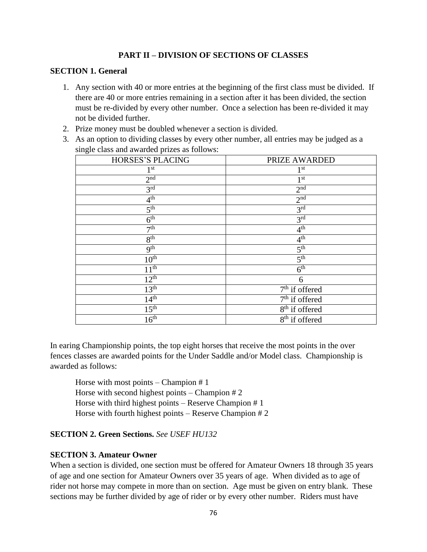# **PART II – DIVISION OF SECTIONS OF CLASSES**

#### **SECTION 1. General**

- 1. Any section with 40 or more entries at the beginning of the first class must be divided. If there are 40 or more entries remaining in a section after it has been divided, the section must be re-divided by every other number. Once a selection has been re-divided it may not be divided further.
- 2. Prize money must be doubled whenever a section is divided.
- 3. As an option to dividing classes by every other number, all entries may be judged as a single class and awarded prizes as follows:

| HORSES'S PLACING | PRIZE AWARDED                  |
|------------------|--------------------------------|
| 1 <sup>st</sup>  | 1 <sup>st</sup>                |
| 2 <sup>nd</sup>  | $1^{\rm st}$                   |
| 3 <sup>rd</sup>  | 2 <sup>nd</sup>                |
| 4 <sup>th</sup>  | 2 <sup>nd</sup>                |
| 5 <sup>th</sup>  | 3 <sup>rd</sup>                |
| 6 <sup>th</sup>  | 3 <sup>rd</sup>                |
| 7 <sup>th</sup>  | 4 <sup>th</sup>                |
| 8 <sup>th</sup>  | 4 <sup>th</sup>                |
| 9 <sup>th</sup>  | 5 <sup>th</sup>                |
| $10^{\text{th}}$ | 5 <sup>th</sup>                |
| 11 <sup>th</sup> | 6 <sup>th</sup>                |
| 12 <sup>th</sup> | 6                              |
| 13 <sup>th</sup> | 7 <sup>th</sup> if offered     |
| 14 <sup>th</sup> | $7th$ if offered               |
| 15 <sup>th</sup> | 8 <sup>th</sup> if offered     |
| 16 <sup>th</sup> | $\overline{8^{th}}$ if offered |
|                  |                                |

In earing Championship points, the top eight horses that receive the most points in the over fences classes are awarded points for the Under Saddle and/or Model class. Championship is awarded as follows:

Horse with most points – Champion # 1 Horse with second highest points – Champion # 2 Horse with third highest points – Reserve Champion # 1 Horse with fourth highest points – Reserve Champion # 2

## **SECTION 2. Green Sections.** *See USEF HU132*

#### **SECTION 3. Amateur Owner**

When a section is divided, one section must be offered for Amateur Owners 18 through 35 years of age and one section for Amateur Owners over 35 years of age. When divided as to age of rider not horse may compete in more than on section. Age must be given on entry blank. These sections may be further divided by age of rider or by every other number. Riders must have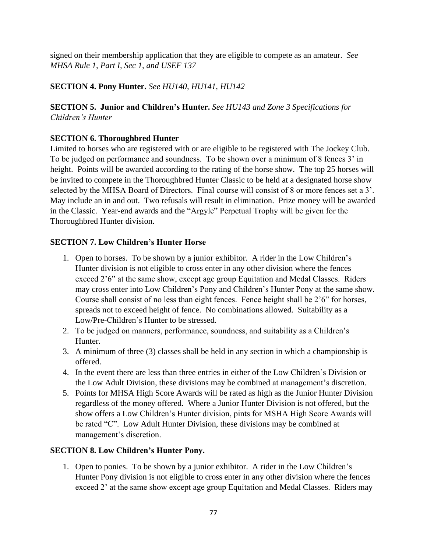signed on their membership application that they are eligible to compete as an amateur. *See MHSA Rule 1, Part I, Sec 1, and USEF 137*

# **SECTION 4. Pony Hunter.** *See HU140, HU141, HU142*

# **SECTION 5. Junior and Children's Hunter.** *See HU143 and Zone 3 Specifications for Children's Hunter*

# **SECTION 6. Thoroughbred Hunter**

Limited to horses who are registered with or are eligible to be registered with The Jockey Club. To be judged on performance and soundness. To be shown over a minimum of 8 fences 3' in height. Points will be awarded according to the rating of the horse show. The top 25 horses will be invited to compete in the Thoroughbred Hunter Classic to be held at a designated horse show selected by the MHSA Board of Directors. Final course will consist of 8 or more fences set a 3'. May include an in and out. Two refusals will result in elimination. Prize money will be awarded in the Classic. Year-end awards and the "Argyle" Perpetual Trophy will be given for the Thoroughbred Hunter division.

# **SECTION 7. Low Children's Hunter Horse**

- 1. Open to horses. To be shown by a junior exhibitor. A rider in the Low Children's Hunter division is not eligible to cross enter in any other division where the fences exceed 2'6" at the same show, except age group Equitation and Medal Classes. Riders may cross enter into Low Children's Pony and Children's Hunter Pony at the same show. Course shall consist of no less than eight fences. Fence height shall be 2'6" for horses, spreads not to exceed height of fence. No combinations allowed. Suitability as a Low/Pre-Children's Hunter to be stressed.
- 2. To be judged on manners, performance, soundness, and suitability as a Children's Hunter.
- 3. A minimum of three (3) classes shall be held in any section in which a championship is offered.
- 4. In the event there are less than three entries in either of the Low Children's Division or the Low Adult Division, these divisions may be combined at management's discretion.
- 5. Points for MHSA High Score Awards will be rated as high as the Junior Hunter Division regardless of the money offered. Where a Junior Hunter Division is not offered, but the show offers a Low Children's Hunter division, pints for MSHA High Score Awards will be rated "C". Low Adult Hunter Division, these divisions may be combined at management's discretion.

# **SECTION 8. Low Children's Hunter Pony.**

1. Open to ponies. To be shown by a junior exhibitor. A rider in the Low Children's Hunter Pony division is not eligible to cross enter in any other division where the fences exceed 2' at the same show except age group Equitation and Medal Classes. Riders may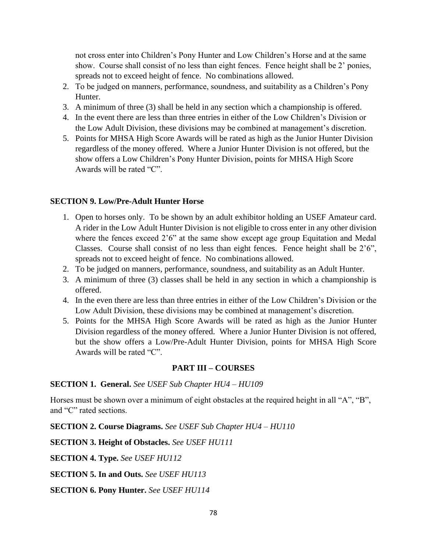not cross enter into Children's Pony Hunter and Low Children's Horse and at the same show. Course shall consist of no less than eight fences. Fence height shall be 2' ponies, spreads not to exceed height of fence. No combinations allowed.

- 2. To be judged on manners, performance, soundness, and suitability as a Children's Pony Hunter.
- 3. A minimum of three (3) shall be held in any section which a championship is offered.
- 4. In the event there are less than three entries in either of the Low Children's Division or the Low Adult Division, these divisions may be combined at management's discretion.
- 5. Points for MHSA High Score Awards will be rated as high as the Junior Hunter Division regardless of the money offered. Where a Junior Hunter Division is not offered, but the show offers a Low Children's Pony Hunter Division, points for MHSA High Score Awards will be rated "C".

# **SECTION 9. Low/Pre-Adult Hunter Horse**

- 1. Open to horses only. To be shown by an adult exhibitor holding an USEF Amateur card. A rider in the Low Adult Hunter Division is not eligible to cross enter in any other division where the fences exceed 2'6" at the same show except age group Equitation and Medal Classes. Course shall consist of no less than eight fences. Fence height shall be 2'6", spreads not to exceed height of fence. No combinations allowed.
- 2. To be judged on manners, performance, soundness, and suitability as an Adult Hunter.
- 3. A minimum of three (3) classes shall be held in any section in which a championship is offered.
- 4. In the even there are less than three entries in either of the Low Children's Division or the Low Adult Division, these divisions may be combined at management's discretion.
- 5. Points for the MHSA High Score Awards will be rated as high as the Junior Hunter Division regardless of the money offered. Where a Junior Hunter Division is not offered, but the show offers a Low/Pre-Adult Hunter Division, points for MHSA High Score Awards will be rated "C".

## **PART III – COURSES**

## **SECTION 1. General.** *See USEF Sub Chapter HU4 – HU109*

Horses must be shown over a minimum of eight obstacles at the required height in all "A", "B", and "C" rated sections.

**SECTION 2. Course Diagrams.** *See USEF Sub Chapter HU4 – HU110*

**SECTION 3. Height of Obstacles.** *See USEF HU111*

**SECTION 4. Type.** *See USEF HU112*

**SECTION 5. In and Outs.** *See USEF HU113*

**SECTION 6. Pony Hunter.** *See USEF HU114*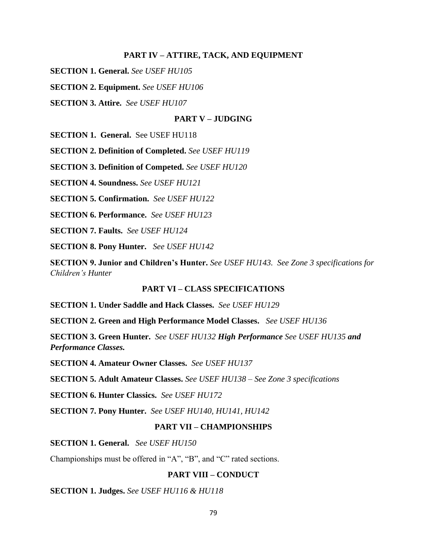#### **PART IV – ATTIRE, TACK, AND EQUIPMENT**

**SECTION 1. General.** *See USEF HU105*

**SECTION 2. Equipment.** *See USEF HU106*

**SECTION 3. Attire.** *See USEF HU107*

#### **PART V – JUDGING**

**SECTION 1. General.** See USEF HU118

**SECTION 2. Definition of Completed.** *See USEF HU119*

**SECTION 3. Definition of Competed.** *See USEF HU120*

**SECTION 4. Soundness.** *See USEF HU121*

**SECTION 5. Confirmation.** *See USEF HU122*

**SECTION 6. Performance.** *See USEF HU123*

**SECTION 7. Faults.** *See USEF HU124*

**SECTION 8. Pony Hunter.** *See USEF HU142*

**SECTION 9. Junior and Children's Hunter.** *See USEF HU143. See Zone 3 specifications for Children's Hunter*

#### **PART VI – CLASS SPECIFICATIONS**

**SECTION 1. Under Saddle and Hack Classes.** *See USEF HU129*

**SECTION 2. Green and High Performance Model Classes.** *See USEF HU136*

**SECTION 3. Green Hunter.** *See USEF HU132 High Performance See USEF HU135 and Performance Classes.*

**SECTION 4. Amateur Owner Classes.** *See USEF HU137*

**SECTION 5. Adult Amateur Classes.** *See USEF HU138 – See Zone 3 specifications*

**SECTION 6. Hunter Classics.** *See USEF HU172*

**SECTION 7. Pony Hunter.** *See USEF HU140, HU141, HU142*

## **PART VII – CHAMPIONSHIPS**

**SECTION 1. General.** *See USEF HU150*

Championships must be offered in "A", "B", and "C" rated sections.

#### **PART VIII – CONDUCT**

**SECTION 1. Judges.** *See USEF HU116 & HU118*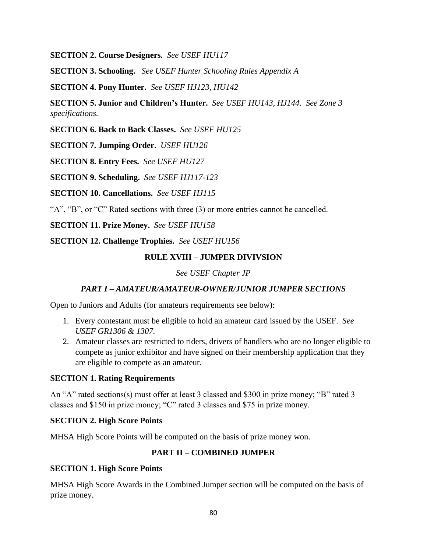**SECTION 2. Course Designers.** *See USEF HU117*

**SECTION 3. Schooling.** *See USEF Hunter Schooling Rules Appendix A*

**SECTION 4. Pony Hunter.** *See USEF HJ123, HU142*

**SECTION 5. Junior and Children's Hunter.** *See USEF HU143, HJ144. See Zone 3 specifications.*

**SECTION 6. Back to Back Classes.** *See USEF HU125*

**SECTION 7. Jumping Order.** *USEF HU126*

**SECTION 8. Entry Fees.** *See USEF HU127*

**SECTION 9. Scheduling.** *See USEF HJ117-123*

**SECTION 10. Cancellations.** *See USEF HJ115*

"A", "B", or "C" Rated sections with three (3) or more entries cannot be cancelled.

**SECTION 11. Prize Money.** *See USEF HU158*

**SECTION 12. Challenge Trophies.** *See USEF HU156*

# **RULE XVIII – JUMPER DIVIVSION**

*See USEF Chapter JP*

# *PART I – AMATEUR/AMATEUR-OWNER/JUNIOR JUMPER SECTIONS*

Open to Juniors and Adults (for amateurs requirements see below):

- 1. Every contestant must be eligible to hold an amateur card issued by the USEF. *See USEF GR1306 & 1307.*
- 2. Amateur classes are restricted to riders, drivers of handlers who are no longer eligible to compete as junior exhibitor and have signed on their membership application that they are eligible to compete as an amateur.

## **SECTION 1. Rating Requirements**

An "A" rated sections(s) must offer at least 3 classed and \$300 in prize money; "B" rated 3 classes and \$150 in prize money; "C" rated 3 classes and \$75 in prize money.

## **SECTION 2. High Score Points**

MHSA High Score Points will be computed on the basis of prize money won.

# **PART II – COMBINED JUMPER**

## **SECTION 1. High Score Points**

MHSA High Score Awards in the Combined Jumper section will be computed on the basis of prize money.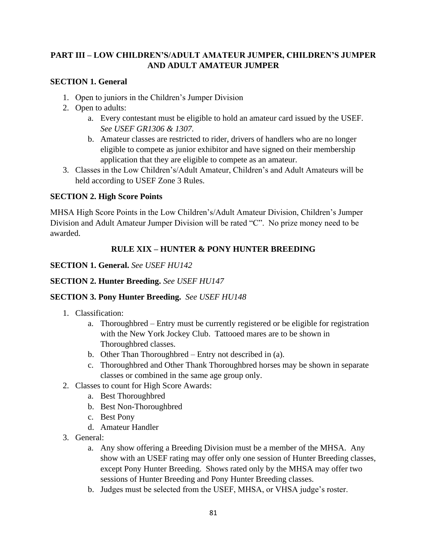# **PART III – LOW CHILDREN'S/ADULT AMATEUR JUMPER, CHILDREN'S JUMPER AND ADULT AMATEUR JUMPER**

# **SECTION 1. General**

- 1. Open to juniors in the Children's Jumper Division
- 2. Open to adults:
	- a. Every contestant must be eligible to hold an amateur card issued by the USEF. *See USEF GR1306 & 1307.*
	- b. Amateur classes are restricted to rider, drivers of handlers who are no longer eligible to compete as junior exhibitor and have signed on their membership application that they are eligible to compete as an amateur.
- 3. Classes in the Low Children's/Adult Amateur, Children's and Adult Amateurs will be held according to USEF Zone 3 Rules.

# **SECTION 2. High Score Points**

MHSA High Score Points in the Low Children's/Adult Amateur Division, Children's Jumper Division and Adult Amateur Jumper Division will be rated "C". No prize money need to be awarded.

# **RULE XIX – HUNTER & PONY HUNTER BREEDING**

# **SECTION 1. General.** *See USEF HU142*

# **SECTION 2. Hunter Breeding.** *See USEF HU147*

# **SECTION 3. Pony Hunter Breeding.** *See USEF HU148*

- 1. Classification:
	- a. Thoroughbred Entry must be currently registered or be eligible for registration with the New York Jockey Club. Tattooed mares are to be shown in Thoroughbred classes.
	- b. Other Than Thoroughbred Entry not described in (a).
	- c. Thoroughbred and Other Thank Thoroughbred horses may be shown in separate classes or combined in the same age group only.
- 2. Classes to count for High Score Awards:
	- a. Best Thoroughbred
	- b. Best Non-Thoroughbred
	- c. Best Pony
	- d. Amateur Handler
- 3. General:
	- a. Any show offering a Breeding Division must be a member of the MHSA. Any show with an USEF rating may offer only one session of Hunter Breeding classes, except Pony Hunter Breeding. Shows rated only by the MHSA may offer two sessions of Hunter Breeding and Pony Hunter Breeding classes.
	- b. Judges must be selected from the USEF, MHSA, or VHSA judge's roster.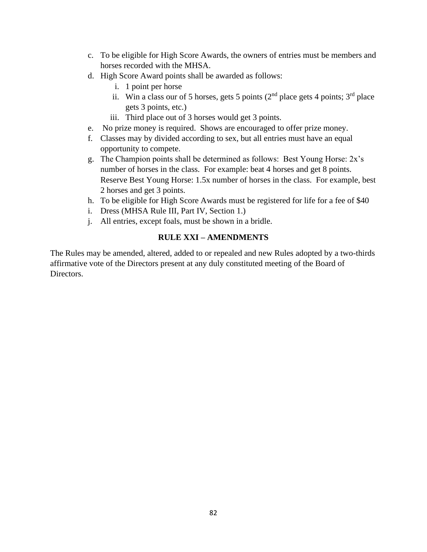- c. To be eligible for High Score Awards, the owners of entries must be members and horses recorded with the MHSA.
- d. High Score Award points shall be awarded as follows:
	- i. 1 point per horse
	- ii. Win a class our of 5 horses, gets 5 points  $(2<sup>nd</sup>$  place gets 4 points;  $3<sup>rd</sup>$  place gets 3 points, etc.)
	- iii. Third place out of 3 horses would get 3 points.
- e. No prize money is required. Shows are encouraged to offer prize money.
- f. Classes may by divided according to sex, but all entries must have an equal opportunity to compete.
- g. The Champion points shall be determined as follows: Best Young Horse: 2x's number of horses in the class. For example: beat 4 horses and get 8 points. Reserve Best Young Horse: 1.5x number of horses in the class. For example, best 2 horses and get 3 points.
- h. To be eligible for High Score Awards must be registered for life for a fee of \$40
- i. Dress (MHSA Rule III, Part IV, Section 1.)
- j. All entries, except foals, must be shown in a bridle.

# **RULE XXI – AMENDMENTS**

The Rules may be amended, altered, added to or repealed and new Rules adopted by a two-thirds affirmative vote of the Directors present at any duly constituted meeting of the Board of Directors.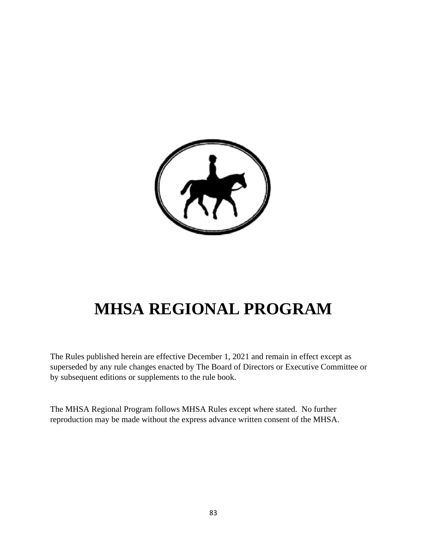

# **MHSA REGIONAL PROGRAM**

The Rules published herein are effective December 1, 2021 and remain in effect except as superseded by any rule changes enacted by The Board of Directors or Executive Committee or by subsequent editions or supplements to the rule book.

The MHSA Regional Program follows MHSA Rules except where stated. No further reproduction may be made without the express advance written consent of the MHSA.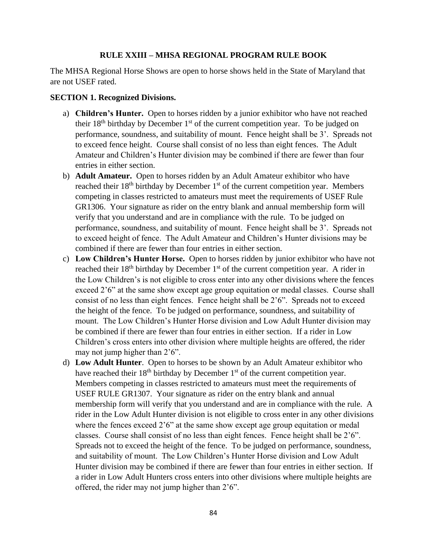## **RULE XXIII – MHSA REGIONAL PROGRAM RULE BOOK**

The MHSA Regional Horse Shows are open to horse shows held in the State of Maryland that are not USEF rated.

## **SECTION 1. Recognized Divisions.**

- a) **Children's Hunter.** Open to horses ridden by a junior exhibitor who have not reached their  $18<sup>th</sup>$  birthday by December  $1<sup>st</sup>$  of the current competition year. To be judged on performance, soundness, and suitability of mount. Fence height shall be 3'. Spreads not to exceed fence height. Course shall consist of no less than eight fences. The Adult Amateur and Children's Hunter division may be combined if there are fewer than four entries in either section.
- b) **Adult Amateur.** Open to horses ridden by an Adult Amateur exhibitor who have reached their  $18<sup>th</sup>$  birthday by December  $1<sup>st</sup>$  of the current competition year. Members competing in classes restricted to amateurs must meet the requirements of USEF Rule GR1306. Your signature as rider on the entry blank and annual membership form will verify that you understand and are in compliance with the rule. To be judged on performance, soundness, and suitability of mount. Fence height shall be 3'. Spreads not to exceed height of fence. The Adult Amateur and Children's Hunter divisions may be combined if there are fewer than four entries in either section.
- c) **Low Children's Hunter Horse.** Open to horses ridden by junior exhibitor who have not reached their  $18<sup>th</sup>$  birthday by December  $1<sup>st</sup>$  of the current competition year. A rider in the Low Children's is not eligible to cross enter into any other divisions where the fences exceed 2'6" at the same show except age group equitation or medal classes. Course shall consist of no less than eight fences. Fence height shall be 2'6". Spreads not to exceed the height of the fence. To be judged on performance, soundness, and suitability of mount. The Low Children's Hunter Horse division and Low Adult Hunter division may be combined if there are fewer than four entries in either section. If a rider in Low Children's cross enters into other division where multiple heights are offered, the rider may not jump higher than 2'6".
- d) **Low Adult Hunter**. Open to horses to be shown by an Adult Amateur exhibitor who have reached their  $18<sup>th</sup>$  birthday by December  $1<sup>st</sup>$  of the current competition year. Members competing in classes restricted to amateurs must meet the requirements of USEF RULE GR1307. Your signature as rider on the entry blank and annual membership form will verify that you understand and are in compliance with the rule. A rider in the Low Adult Hunter division is not eligible to cross enter in any other divisions where the fences exceed 2'6" at the same show except age group equitation or medal classes. Course shall consist of no less than eight fences. Fence height shall be 2'6". Spreads not to exceed the height of the fence. To be judged on performance, soundness, and suitability of mount. The Low Children's Hunter Horse division and Low Adult Hunter division may be combined if there are fewer than four entries in either section. If a rider in Low Adult Hunters cross enters into other divisions where multiple heights are offered, the rider may not jump higher than 2'6".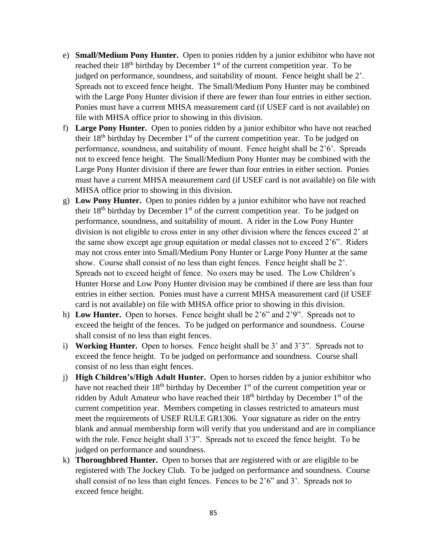- e) **Small/Medium Pony Hunter.** Open to ponies ridden by a junior exhibitor who have not reached their  $18<sup>th</sup>$  birthday by December  $1<sup>st</sup>$  of the current competition year. To be judged on performance, soundness, and suitability of mount. Fence height shall be 2'. Spreads not to exceed fence height. The Small/Medium Pony Hunter may be combined with the Large Pony Hunter division if there are fewer than four entries in either section. Ponies must have a current MHSA measurement card (if USEF card is not available) on file with MHSA office prior to showing in this division.
- f) **Large Pony Hunter.** Open to ponies ridden by a junior exhibitor who have not reached their  $18<sup>th</sup>$  birthday by December  $1<sup>st</sup>$  of the current competition year. To be judged on performance, soundness, and suitability of mount. Fence height shall be 2'6'. Spreads not to exceed fence height. The Small/Medium Pony Hunter may be combined with the Large Pony Hunter division if there are fewer than four entries in either section. Ponies must have a current MHSA measurement card (if USEF card is not available) on file with MHSA office prior to showing in this division.
- g) **Low Pony Hunter.** Open to ponies ridden by a junior exhibitor who have not reached their  $18<sup>th</sup>$  birthday by December  $1<sup>st</sup>$  of the current competition year. To be judged on performance, soundness, and suitability of mount. A rider in the Low Pony Hunter division is not eligible to cross enter in any other division where the fences exceed 2' at the same show except age group equitation or medal classes not to exceed 2'6". Riders may not cross enter into Small/Medium Pony Hunter or Large Pony Hunter at the same show. Course shall consist of no less than eight fences. Fence height shall be 2'. Spreads not to exceed height of fence. No oxers may be used. The Low Children's Hunter Horse and Low Pony Hunter division may be combined if there are less than four entries in either section. Ponies must have a current MHSA measurement card (if USEF card is not available) on file with MHSA office prior to showing in this division.
- h) **Low Hunter.** Open to horses. Fence height shall be 2'6" and 2'9". Spreads not to exceed the height of the fences. To be judged on performance and soundness. Course shall consist of no less than eight fences.
- i) **Working Hunter.** Open to horses. Fence height shall be 3' and 3'3". Spreads not to exceed the fence height. To be judged on performance and soundness. Course shall consist of no less than eight fences.
- j) **High Children's/High Adult Hunter.** Open to horses ridden by a junior exhibitor who have not reached their 18<sup>th</sup> birthday by December 1<sup>st</sup> of the current competition year or ridden by Adult Amateur who have reached their  $18<sup>th</sup>$  birthday by December  $1<sup>st</sup>$  of the current competition year. Members competing in classes restricted to amateurs must meet the requirements of USEF RULE GR1306. Your signature as rider on the entry blank and annual membership form will verify that you understand and are in compliance with the rule. Fence height shall 3'3". Spreads not to exceed the fence height. To be judged on performance and soundness.
- k) **Thoroughbred Hunter.** Open to horses that are registered with or are eligible to be registered with The Jockey Club. To be judged on performance and soundness. Course shall consist of no less than eight fences. Fences to be 2'6" and 3'. Spreads not to exceed fence height.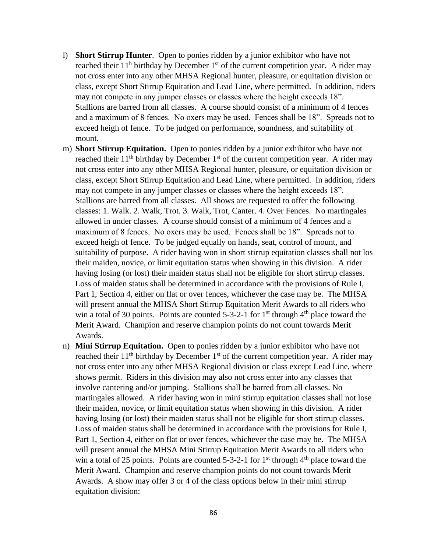- l) **Short Stirrup Hunter**. Open to ponies ridden by a junior exhibitor who have not reached their  $11^h$  birthday by December  $1<sup>st</sup>$  of the current competition year. A rider may not cross enter into any other MHSA Regional hunter, pleasure, or equitation division or class, except Short Stirrup Equitation and Lead Line, where permitted. In addition, riders may not compete in any jumper classes or classes where the height exceeds 18". Stallions are barred from all classes. A course should consist of a minimum of 4 fences and a maximum of 8 fences. No oxers may be used. Fences shall be 18". Spreads not to exceed heigh of fence. To be judged on performance, soundness, and suitability of mount.
- m) **Short Stirrup Equitation.** Open to ponies ridden by a junior exhibitor who have not reached their 11<sup>th</sup> birthday by December 1<sup>st</sup> of the current competition year. A rider may not cross enter into any other MHSA Regional hunter, pleasure, or equitation division or class, except Short Stirrup Equitation and Lead Line, where permitted. In addition, riders may not compete in any jumper classes or classes where the height exceeds 18". Stallions are barred from all classes. All shows are requested to offer the following classes: 1. Walk. 2. Walk, Trot. 3. Walk, Trot, Canter. 4. Over Fences. No martingales allowed in under classes. A course should consist of a minimum of 4 fences and a maximum of 8 fences. No oxers may be used. Fences shall be 18". Spreads not to exceed heigh of fence. To be judged equally on hands, seat, control of mount, and suitability of purpose. A rider having won in short stirrup equitation classes shall not los their maiden, novice, or limit equitation status when showing in this division. A rider having losing (or lost) their maiden status shall not be eligible for short stirrup classes. Loss of maiden status shall be determined in accordance with the provisions of Rule I, Part 1, Section 4, either on flat or over fences, whichever the case may be. The MHSA will present annual the MHSA Short Stirrup Equitation Merit Awards to all riders who win a total of 30 points. Points are counted  $5-3-2-1$  for  $1<sup>st</sup>$  through  $4<sup>th</sup>$  place toward the Merit Award. Champion and reserve champion points do not count towards Merit Awards.
- n) **Mini Stirrup Equitation.** Open to ponies ridden by a junior exhibitor who have not reached their  $11<sup>th</sup>$  birthday by December  $1<sup>st</sup>$  of the current competition year. A rider may not cross enter into any other MHSA Regional division or class except Lead Line, where shows permit. Riders in this division may also not cross enter into any classes that involve cantering and/or jumping. Stallions shall be barred from all classes. No martingales allowed. A rider having won in mini stirrup equitation classes shall not lose their maiden, novice, or limit equitation status when showing in this division. A rider having losing (or lost) their maiden status shall not be eligible for short stirrup classes. Loss of maiden status shall be determined in accordance with the provisions for Rule I, Part 1, Section 4, either on flat or over fences, whichever the case may be. The MHSA will present annual the MHSA Mini Stirrup Equitation Merit Awards to all riders who win a total of 25 points. Points are counted  $5-3-2-1$  for  $1<sup>st</sup>$  through  $4<sup>th</sup>$  place toward the Merit Award. Champion and reserve champion points do not count towards Merit Awards. A show may offer 3 or 4 of the class options below in their mini stirrup equitation division: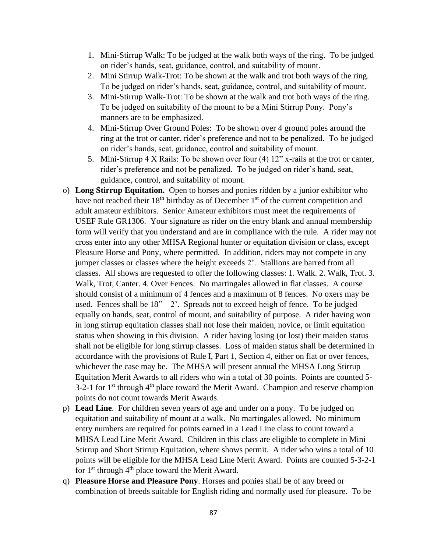- 1. Mini-Stirrup Walk: To be judged at the walk both ways of the ring. To be judged on rider's hands, seat, guidance, control, and suitability of mount.
- 2. Mini Stirrup Walk-Trot: To be shown at the walk and trot both ways of the ring. To be judged on rider's hands, seat, guidance, control, and suitability of mount.
- 3. Mini-Stirrup Walk-Trot: To be shown at the walk and trot both ways of the ring. To be judged on suitability of the mount to be a Mini Stirrup Pony. Pony's manners are to be emphasized.
- 4. Mini-Stirrup Over Ground Poles: To be shown over 4 ground poles around the ring at the trot or canter, rider's preference and not to be penalized. To be judged on rider's hands, seat, guidance, control and suitability of mount.
- 5. Mini-Stirrup 4 X Rails: To be shown over four (4) 12" x-rails at the trot or canter, rider's preference and not be penalized. To be judged on rider's hand, seat, guidance, control, and suitability of mount.
- o) **Long Stirrup Equitation.** Open to horses and ponies ridden by a junior exhibitor who have not reached their 18<sup>th</sup> birthday as of December 1<sup>st</sup> of the current competition and adult amateur exhibitors. Senior Amateur exhibitors must meet the requirements of USEF Rule GR1306. Your signature as rider on the entry blank and annual membership form will verify that you understand and are in compliance with the rule. A rider may not cross enter into any other MHSA Regional hunter or equitation division or class, except Pleasure Horse and Pony, where permitted. In addition, riders may not compete in any jumper classes or classes where the height exceeds 2'. Stallions are barred from all classes. All shows are requested to offer the following classes: 1. Walk. 2. Walk, Trot. 3. Walk, Trot, Canter. 4. Over Fences. No martingales allowed in flat classes. A course should consist of a minimum of 4 fences and a maximum of 8 fences. No oxers may be used. Fences shall be  $18" - 2'$ . Spreads not to exceed heigh of fence. To be judged equally on hands, seat, control of mount, and suitability of purpose. A rider having won in long stirrup equitation classes shall not lose their maiden, novice, or limit equitation status when showing in this division. A rider having losing (or lost) their maiden status shall not be eligible for long stirrup classes. Loss of maiden status shall be determined in accordance with the provisions of Rule I, Part 1, Section 4, either on flat or over fences, whichever the case may be. The MHSA will present annual the MHSA Long Stirrup Equitation Merit Awards to all riders who win a total of 30 points. Points are counted 5-  $3-2-1$  for  $1<sup>st</sup>$  through  $4<sup>th</sup>$  place toward the Merit Award. Champion and reserve champion points do not count towards Merit Awards.
- p) **Lead Line**. For children seven years of age and under on a pony. To be judged on equitation and suitability of mount at a walk. No martingales allowed. No minimum entry numbers are required for points earned in a Lead Line class to count toward a MHSA Lead Line Merit Award. Children in this class are eligible to complete in Mini Stirrup and Short Stirrup Equitation, where shows permit. A rider who wins a total of 10 points will be eligible for the MHSA Lead Line Merit Award. Points are counted 5-3-2-1 for  $1<sup>st</sup>$  through  $4<sup>th</sup>$  place toward the Merit Award.
- q) **Pleasure Horse and Pleasure Pony**. Horses and ponies shall be of any breed or combination of breeds suitable for English riding and normally used for pleasure. To be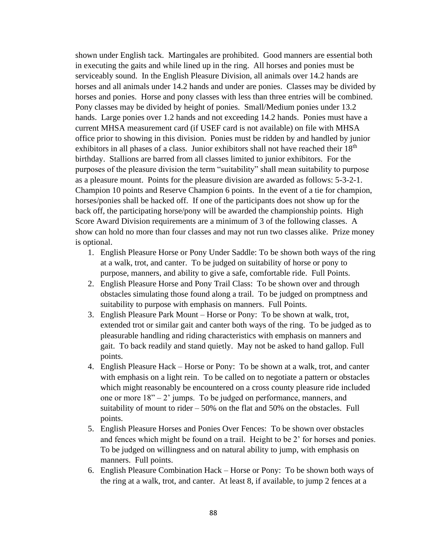shown under English tack. Martingales are prohibited. Good manners are essential both in executing the gaits and while lined up in the ring. All horses and ponies must be serviceably sound. In the English Pleasure Division, all animals over 14.2 hands are horses and all animals under 14.2 hands and under are ponies. Classes may be divided by horses and ponies. Horse and pony classes with less than three entries will be combined. Pony classes may be divided by height of ponies. Small/Medium ponies under 13.2 hands. Large ponies over 1.2 hands and not exceeding 14.2 hands. Ponies must have a current MHSA measurement card (if USEF card is not available) on file with MHSA office prior to showing in this division. Ponies must be ridden by and handled by junior exhibitors in all phases of a class. Junior exhibitors shall not have reached their  $18<sup>th</sup>$ birthday. Stallions are barred from all classes limited to junior exhibitors. For the purposes of the pleasure division the term "suitability" shall mean suitability to purpose as a pleasure mount. Points for the pleasure division are awarded as follows: 5-3-2-1. Champion 10 points and Reserve Champion 6 points. In the event of a tie for champion, horses/ponies shall be hacked off. If one of the participants does not show up for the back off, the participating horse/pony will be awarded the championship points. High Score Award Division requirements are a minimum of 3 of the following classes. A show can hold no more than four classes and may not run two classes alike. Prize money is optional.

- 1. English Pleasure Horse or Pony Under Saddle: To be shown both ways of the ring at a walk, trot, and canter. To be judged on suitability of horse or pony to purpose, manners, and ability to give a safe, comfortable ride. Full Points.
- 2. English Pleasure Horse and Pony Trail Class: To be shown over and through obstacles simulating those found along a trail. To be judged on promptness and suitability to purpose with emphasis on manners. Full Points.
- 3. English Pleasure Park Mount Horse or Pony: To be shown at walk, trot, extended trot or similar gait and canter both ways of the ring. To be judged as to pleasurable handling and riding characteristics with emphasis on manners and gait. To back readily and stand quietly. May not be asked to hand gallop. Full points.
- 4. English Pleasure Hack Horse or Pony: To be shown at a walk, trot, and canter with emphasis on a light rein. To be called on to negotiate a pattern or obstacles which might reasonably be encountered on a cross county pleasure ride included one or more 18" – 2' jumps. To be judged on performance, manners, and suitability of mount to rider – 50% on the flat and 50% on the obstacles. Full points.
- 5. English Pleasure Horses and Ponies Over Fences: To be shown over obstacles and fences which might be found on a trail. Height to be 2' for horses and ponies. To be judged on willingness and on natural ability to jump, with emphasis on manners. Full points.
- 6. English Pleasure Combination Hack Horse or Pony: To be shown both ways of the ring at a walk, trot, and canter. At least 8, if available, to jump 2 fences at a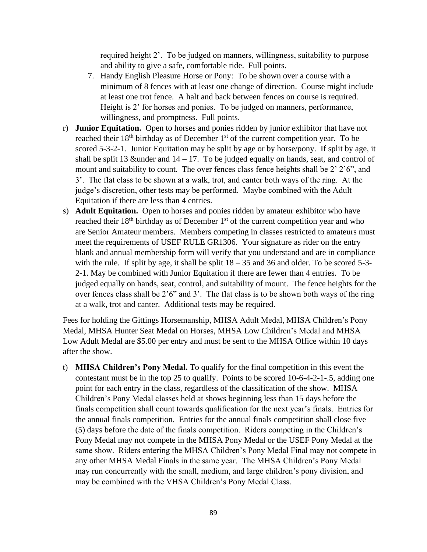required height 2'. To be judged on manners, willingness, suitability to purpose and ability to give a safe, comfortable ride. Full points.

- 7. Handy English Pleasure Horse or Pony: To be shown over a course with a minimum of 8 fences with at least one change of direction. Course might include at least one trot fence. A halt and back between fences on course is required. Height is 2' for horses and ponies. To be judged on manners, performance, willingness, and promptness. Full points.
- r) **Junior Equitation.** Open to horses and ponies ridden by junior exhibitor that have not reached their  $18<sup>th</sup>$  birthday as of December  $1<sup>st</sup>$  of the current competition year. To be scored 5-3-2-1. Junior Equitation may be split by age or by horse/pony. If split by age, it shall be split 13 &under and  $14 - 17$ . To be judged equally on hands, seat, and control of mount and suitability to count. The over fences class fence heights shall be 2' 2'6", and 3'. The flat class to be shown at a walk, trot, and canter both ways of the ring. At the judge's discretion, other tests may be performed. Maybe combined with the Adult Equitation if there are less than 4 entries.
- s) **Adult Equitation.** Open to horses and ponies ridden by amateur exhibitor who have reached their  $18<sup>th</sup>$  birthday as of December  $1<sup>st</sup>$  of the current competition year and who are Senior Amateur members. Members competing in classes restricted to amateurs must meet the requirements of USEF RULE GR1306. Your signature as rider on the entry blank and annual membership form will verify that you understand and are in compliance with the rule. If split by age, it shall be split  $18 - 35$  and 36 and older. To be scored 5-3-2-1. May be combined with Junior Equitation if there are fewer than 4 entries. To be judged equally on hands, seat, control, and suitability of mount. The fence heights for the over fences class shall be 2'6" and 3'. The flat class is to be shown both ways of the ring at a walk, trot and canter. Additional tests may be required.

Fees for holding the Gittings Horsemanship, MHSA Adult Medal, MHSA Children's Pony Medal, MHSA Hunter Seat Medal on Horses, MHSA Low Children's Medal and MHSA Low Adult Medal are \$5.00 per entry and must be sent to the MHSA Office within 10 days after the show.

t) **MHSA Children's Pony Medal.** To qualify for the final competition in this event the contestant must be in the top 25 to qualify. Points to be scored 10-6-4-2-1-.5, adding one point for each entry in the class, regardless of the classification of the show. MHSA Children's Pony Medal classes held at shows beginning less than 15 days before the finals competition shall count towards qualification for the next year's finals. Entries for the annual finals competition. Entries for the annual finals competition shall close five (5) days before the date of the finals competition. Riders competing in the Children's Pony Medal may not compete in the MHSA Pony Medal or the USEF Pony Medal at the same show. Riders entering the MHSA Children's Pony Medal Final may not compete in any other MHSA Medal Finals in the same year. The MHSA Children's Pony Medal may run concurrently with the small, medium, and large children's pony division, and may be combined with the VHSA Children's Pony Medal Class.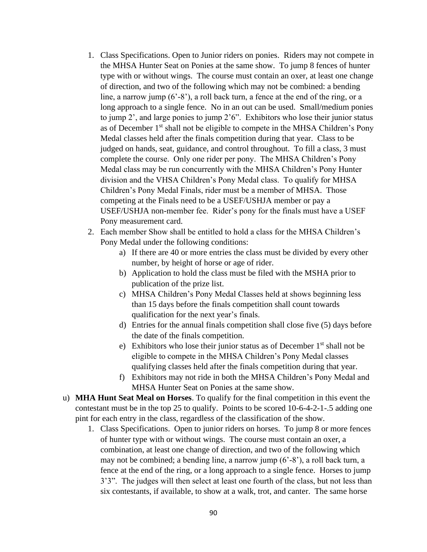- 1. Class Specifications. Open to Junior riders on ponies. Riders may not compete in the MHSA Hunter Seat on Ponies at the same show. To jump 8 fences of hunter type with or without wings. The course must contain an oxer, at least one change of direction, and two of the following which may not be combined: a bending line, a narrow jump  $(6'–8'')$ , a roll back turn, a fence at the end of the ring, or a long approach to a single fence. No in an out can be used. Small/medium ponies to jump 2', and large ponies to jump 2'6". Exhibitors who lose their junior status as of December 1st shall not be eligible to compete in the MHSA Children's Pony Medal classes held after the finals competition during that year. Class to be judged on hands, seat, guidance, and control throughout. To fill a class, 3 must complete the course. Only one rider per pony. The MHSA Children's Pony Medal class may be run concurrently with the MHSA Children's Pony Hunter division and the VHSA Children's Pony Medal class. To qualify for MHSA Children's Pony Medal Finals, rider must be a member of MHSA. Those competing at the Finals need to be a USEF/USHJA member or pay a USEF/USHJA non-member fee. Rider's pony for the finals must have a USEF Pony measurement card.
- 2. Each member Show shall be entitled to hold a class for the MHSA Children's Pony Medal under the following conditions:
	- a) If there are 40 or more entries the class must be divided by every other number, by height of horse or age of rider.
	- b) Application to hold the class must be filed with the MSHA prior to publication of the prize list.
	- c) MHSA Children's Pony Medal Classes held at shows beginning less than 15 days before the finals competition shall count towards qualification for the next year's finals.
	- d) Entries for the annual finals competition shall close five (5) days before the date of the finals competition.
	- e) Exhibitors who lose their junior status as of December  $1<sup>st</sup>$  shall not be eligible to compete in the MHSA Children's Pony Medal classes qualifying classes held after the finals competition during that year.
	- f) Exhibitors may not ride in both the MHSA Children's Pony Medal and MHSA Hunter Seat on Ponies at the same show.
- u) **MHA Hunt Seat Meal on Horses**. To qualify for the final competition in this event the contestant must be in the top 25 to qualify. Points to be scored 10-6-4-2-1-.5 adding one pint for each entry in the class, regardless of the classification of the show.
	- 1. Class Specifications. Open to junior riders on horses. To jump 8 or more fences of hunter type with or without wings. The course must contain an oxer, a combination, at least one change of direction, and two of the following which may not be combined; a bending line, a narrow jump (6'-8'), a roll back turn, a fence at the end of the ring, or a long approach to a single fence. Horses to jump 3'3". The judges will then select at least one fourth of the class, but not less than six contestants, if available, to show at a walk, trot, and canter. The same horse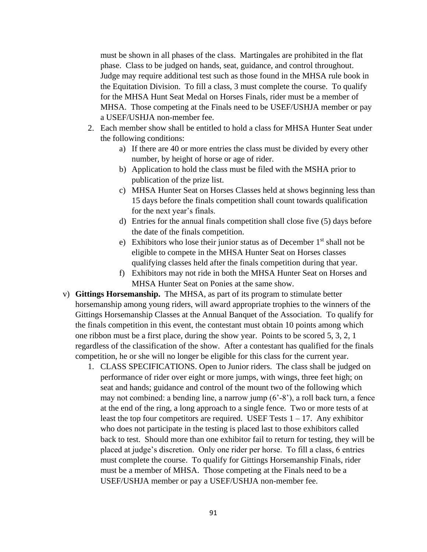must be shown in all phases of the class. Martingales are prohibited in the flat phase. Class to be judged on hands, seat, guidance, and control throughout. Judge may require additional test such as those found in the MHSA rule book in the Equitation Division. To fill a class, 3 must complete the course. To qualify for the MHSA Hunt Seat Medal on Horses Finals, rider must be a member of MHSA. Those competing at the Finals need to be USEF/USHJA member or pay a USEF/USHJA non-member fee.

- 2. Each member show shall be entitled to hold a class for MHSA Hunter Seat under the following conditions:
	- a) If there are 40 or more entries the class must be divided by every other number, by height of horse or age of rider.
	- b) Application to hold the class must be filed with the MSHA prior to publication of the prize list.
	- c) MHSA Hunter Seat on Horses Classes held at shows beginning less than 15 days before the finals competition shall count towards qualification for the next year's finals.
	- d) Entries for the annual finals competition shall close five (5) days before the date of the finals competition.
	- e) Exhibitors who lose their junior status as of December  $1<sup>st</sup>$  shall not be eligible to compete in the MHSA Hunter Seat on Horses classes qualifying classes held after the finals competition during that year.
	- f) Exhibitors may not ride in both the MHSA Hunter Seat on Horses and MHSA Hunter Seat on Ponies at the same show.
- v) **Gittings Horsemanship.** The MHSA, as part of its program to stimulate better horsemanship among young riders, will award appropriate trophies to the winners of the Gittings Horsemanship Classes at the Annual Banquet of the Association. To qualify for the finals competition in this event, the contestant must obtain 10 points among which one ribbon must be a first place, during the show year. Points to be scored 5, 3, 2, 1 regardless of the classification of the show. After a contestant has qualified for the finals competition, he or she will no longer be eligible for this class for the current year.
	- 1. CLASS SPECIFICATIONS. Open to Junior riders. The class shall be judged on performance of rider over eight or more jumps, with wings, three feet high; on seat and hands; guidance and control of the mount two of the following which may not combined: a bending line, a narrow jump (6'-8'), a roll back turn, a fence at the end of the ring, a long approach to a single fence. Two or more tests of at least the top four competitors are required. USEF Tests  $1 - 17$ . Any exhibitor who does not participate in the testing is placed last to those exhibitors called back to test. Should more than one exhibitor fail to return for testing, they will be placed at judge's discretion. Only one rider per horse. To fill a class, 6 entries must complete the course. To qualify for Gittings Horsemanship Finals, rider must be a member of MHSA. Those competing at the Finals need to be a USEF/USHJA member or pay a USEF/USHJA non-member fee.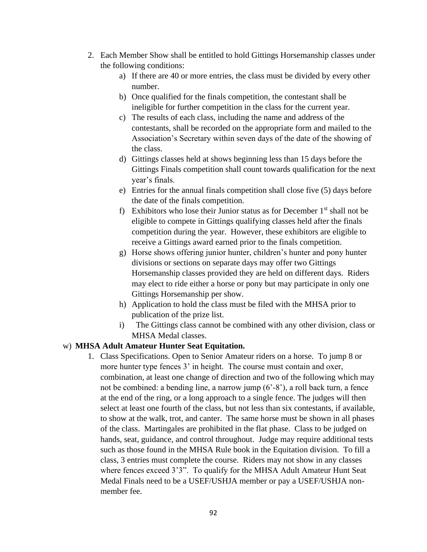- 2. Each Member Show shall be entitled to hold Gittings Horsemanship classes under the following conditions:
	- a) If there are 40 or more entries, the class must be divided by every other number.
	- b) Once qualified for the finals competition, the contestant shall be ineligible for further competition in the class for the current year.
	- c) The results of each class, including the name and address of the contestants, shall be recorded on the appropriate form and mailed to the Association's Secretary within seven days of the date of the showing of the class.
	- d) Gittings classes held at shows beginning less than 15 days before the Gittings Finals competition shall count towards qualification for the next year's finals.
	- e) Entries for the annual finals competition shall close five (5) days before the date of the finals competition.
	- f) Exhibitors who lose their Junior status as for December  $1<sup>st</sup>$  shall not be eligible to compete in Gittings qualifying classes held after the finals competition during the year. However, these exhibitors are eligible to receive a Gittings award earned prior to the finals competition.
	- g) Horse shows offering junior hunter, children's hunter and pony hunter divisions or sections on separate days may offer two Gittings Horsemanship classes provided they are held on different days. Riders may elect to ride either a horse or pony but may participate in only one Gittings Horsemanship per show.
	- h) Application to hold the class must be filed with the MHSA prior to publication of the prize list.
	- i) The Gittings class cannot be combined with any other division, class or MHSA Medal classes.

# w) **MHSA Adult Amateur Hunter Seat Equitation.**

1. Class Specifications. Open to Senior Amateur riders on a horse. To jump 8 or more hunter type fences 3' in height. The course must contain and oxer, combination, at least one change of direction and two of the following which may not be combined: a bending line, a narrow jump (6'-8'), a roll back turn, a fence at the end of the ring, or a long approach to a single fence. The judges will then select at least one fourth of the class, but not less than six contestants, if available, to show at the walk, trot, and canter. The same horse must be shown in all phases of the class. Martingales are prohibited in the flat phase. Class to be judged on hands, seat, guidance, and control throughout. Judge may require additional tests such as those found in the MHSA Rule book in the Equitation division. To fill a class, 3 entries must complete the course. Riders may not show in any classes where fences exceed 3'3". To qualify for the MHSA Adult Amateur Hunt Seat Medal Finals need to be a USEF/USHJA member or pay a USEF/USHJA nonmember fee.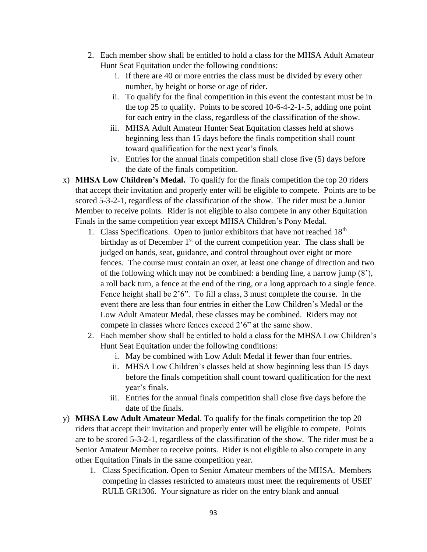- 2. Each member show shall be entitled to hold a class for the MHSA Adult Amateur Hunt Seat Equitation under the following conditions:
	- i. If there are 40 or more entries the class must be divided by every other number, by height or horse or age of rider.
	- ii. To qualify for the final competition in this event the contestant must be in the top 25 to qualify. Points to be scored 10-6-4-2-1-.5, adding one point for each entry in the class, regardless of the classification of the show.
	- iii. MHSA Adult Amateur Hunter Seat Equitation classes held at shows beginning less than 15 days before the finals competition shall count toward qualification for the next year's finals.
	- iv. Entries for the annual finals competition shall close five (5) days before the date of the finals competition.
- x) **MHSA Low Children's Medal.** To qualify for the finals competition the top 20 riders that accept their invitation and properly enter will be eligible to compete. Points are to be scored 5-3-2-1, regardless of the classification of the show. The rider must be a Junior Member to receive points. Rider is not eligible to also compete in any other Equitation Finals in the same competition year except MHSA Children's Pony Medal.
	- 1. Class Specifications. Open to junior exhibitors that have not reached  $18<sup>th</sup>$ birthday as of December  $1<sup>st</sup>$  of the current competition year. The class shall be judged on hands, seat, guidance, and control throughout over eight or more fences. The course must contain an oxer, at least one change of direction and two of the following which may not be combined: a bending line, a narrow jump (8'), a roll back turn, a fence at the end of the ring, or a long approach to a single fence. Fence height shall be 2'6". To fill a class, 3 must complete the course. In the event there are less than four entries in either the Low Children's Medal or the Low Adult Amateur Medal, these classes may be combined. Riders may not compete in classes where fences exceed 2'6" at the same show.
	- 2. Each member show shall be entitled to hold a class for the MHSA Low Children's Hunt Seat Equitation under the following conditions:
		- i. May be combined with Low Adult Medal if fewer than four entries.
		- ii. MHSA Low Children's classes held at show beginning less than 15 days before the finals competition shall count toward qualification for the next year's finals.
		- iii. Entries for the annual finals competition shall close five days before the date of the finals.
- y) **MHSA Low Adult Amateur Medal**. To qualify for the finals competition the top 20 riders that accept their invitation and properly enter will be eligible to compete. Points are to be scored 5-3-2-1, regardless of the classification of the show. The rider must be a Senior Amateur Member to receive points. Rider is not eligible to also compete in any other Equitation Finals in the same competition year.
	- 1. Class Specification. Open to Senior Amateur members of the MHSA. Members competing in classes restricted to amateurs must meet the requirements of USEF RULE GR1306. Your signature as rider on the entry blank and annual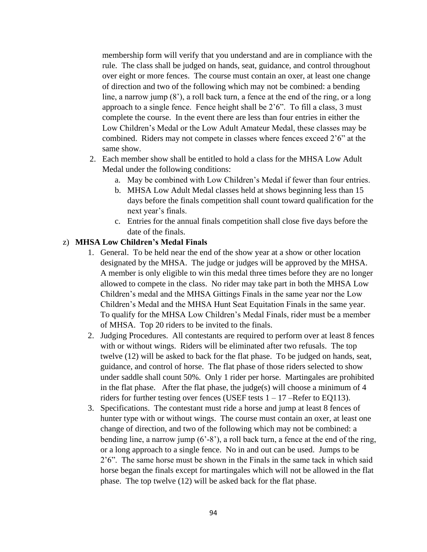membership form will verify that you understand and are in compliance with the rule. The class shall be judged on hands, seat, guidance, and control throughout over eight or more fences. The course must contain an oxer, at least one change of direction and two of the following which may not be combined: a bending line, a narrow jump (8'), a roll back turn, a fence at the end of the ring, or a long approach to a single fence. Fence height shall be 2'6". To fill a class, 3 must complete the course. In the event there are less than four entries in either the Low Children's Medal or the Low Adult Amateur Medal, these classes may be combined. Riders may not compete in classes where fences exceed 2'6" at the same show.

- 2. Each member show shall be entitled to hold a class for the MHSA Low Adult Medal under the following conditions:
	- a. May be combined with Low Children's Medal if fewer than four entries.
	- b. MHSA Low Adult Medal classes held at shows beginning less than 15 days before the finals competition shall count toward qualification for the next year's finals.
	- c. Entries for the annual finals competition shall close five days before the date of the finals.

# z) **MHSA Low Children's Medal Finals**

- 1. General. To be held near the end of the show year at a show or other location designated by the MHSA. The judge or judges will be approved by the MHSA. A member is only eligible to win this medal three times before they are no longer allowed to compete in the class. No rider may take part in both the MHSA Low Children's medal and the MHSA Gittings Finals in the same year nor the Low Children's Medal and the MHSA Hunt Seat Equitation Finals in the same year. To qualify for the MHSA Low Children's Medal Finals, rider must be a member of MHSA. Top 20 riders to be invited to the finals.
- 2. Judging Procedures. All contestants are required to perform over at least 8 fences with or without wings. Riders will be eliminated after two refusals. The top twelve (12) will be asked to back for the flat phase. To be judged on hands, seat, guidance, and control of horse. The flat phase of those riders selected to show under saddle shall count 50%. Only 1 rider per horse. Martingales are prohibited in the flat phase. After the flat phase, the judge(s) will choose a minimum of  $4$ riders for further testing over fences (USEF tests  $1 - 17$  –Refer to EQ113).
- 3. Specifications. The contestant must ride a horse and jump at least 8 fences of hunter type with or without wings. The course must contain an oxer, at least one change of direction, and two of the following which may not be combined: a bending line, a narrow jump (6'-8'), a roll back turn, a fence at the end of the ring, or a long approach to a single fence. No in and out can be used. Jumps to be 2'6". The same horse must be shown in the Finals in the same tack in which said horse began the finals except for martingales which will not be allowed in the flat phase. The top twelve (12) will be asked back for the flat phase.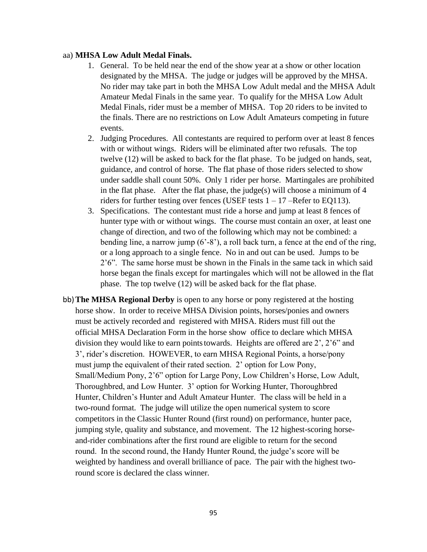#### aa) **MHSA Low Adult Medal Finals.**

- 1. General. To be held near the end of the show year at a show or other location designated by the MHSA. The judge or judges will be approved by the MHSA. No rider may take part in both the MHSA Low Adult medal and the MHSA Adult Amateur Medal Finals in the same year. To qualify for the MHSA Low Adult Medal Finals, rider must be a member of MHSA. Top 20 riders to be invited to the finals. There are no restrictions on Low Adult Amateurs competing in future events.
- 2. Judging Procedures. All contestants are required to perform over at least 8 fences with or without wings. Riders will be eliminated after two refusals. The top twelve (12) will be asked to back for the flat phase. To be judged on hands, seat, guidance, and control of horse. The flat phase of those riders selected to show under saddle shall count 50%. Only 1 rider per horse. Martingales are prohibited in the flat phase. After the flat phase, the judge(s) will choose a minimum of  $4$ riders for further testing over fences (USEF tests  $1 - 17$  –Refer to EQ113).
- 3. Specifications. The contestant must ride a horse and jump at least 8 fences of hunter type with or without wings. The course must contain an oxer, at least one change of direction, and two of the following which may not be combined: a bending line, a narrow jump (6'-8'), a roll back turn, a fence at the end of the ring, or a long approach to a single fence. No in and out can be used. Jumps to be 2'6". The same horse must be shown in the Finals in the same tack in which said horse began the finals except for martingales which will not be allowed in the flat phase. The top twelve (12) will be asked back for the flat phase.
- bb)**The MHSA Regional Derby** is open to any horse or pony registered at the hosting horse show. In order to receive MHSA Division points, horses/ponies and owners must be actively recorded and registered with MHSA. Riders must fill out the official MHSA Declaration Form in the horse show office to declare which MHSA division they would like to earn pointstowards. Heights are offered are 2', 2'6" and 3', rider's discretion. HOWEVER, to earn MHSA Regional Points, a horse/pony must jump the equivalent of their rated section. 2' option for Low Pony, Small/Medium Pony, 2'6" option for Large Pony, Low Children's Horse, Low Adult, Thoroughbred, and Low Hunter. 3' option for Working Hunter, Thoroughbred Hunter, Children's Hunter and Adult Amateur Hunter. The class will be held in a two-round format. The judge will utilize the open numerical system to score competitors in the Classic Hunter Round (first round) on performance, hunter pace, jumping style, quality and substance, and movement. The 12 highest-scoring horseand-rider combinations after the first round are eligible to return for the second round. In the second round, the Handy Hunter Round, the judge's score will be weighted by handiness and overall brilliance of pace. The pair with the highest tworound score is declared the class winner.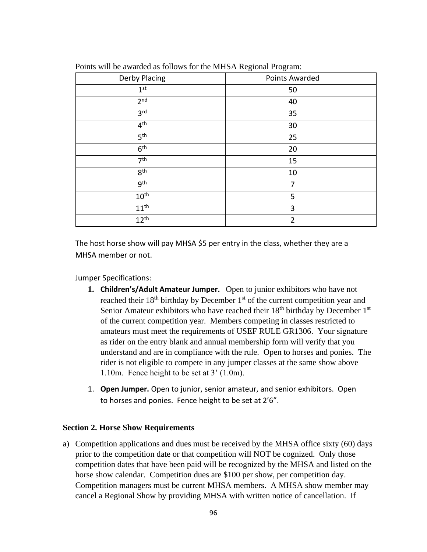| Derby Placing    | Points Awarded |
|------------------|----------------|
| 1 <sup>st</sup>  | 50             |
| 2 <sup>nd</sup>  | 40             |
| 3 <sup>rd</sup>  | 35             |
| 4 <sup>th</sup>  | 30             |
| 5 <sup>th</sup>  | 25             |
| 6 <sup>th</sup>  | 20             |
| 7 <sup>th</sup>  | 15             |
| 8 <sup>th</sup>  | 10             |
| 9 <sup>th</sup>  | 7              |
| $10^{\text{th}}$ | 5              |
| $11^{\text{th}}$ | 3              |
| $12^{th}$        | $\overline{2}$ |
|                  |                |

Points will be awarded as follows for the MHSA Regional Program:

The host horse show will pay MHSA \$5 per entry in the class, whether they are a MHSA member or not.

Jumper Specifications:

- **1. Children's/Adult Amateur Jumper.** Open to junior exhibitors who have not reached their 18<sup>th</sup> birthday by December 1<sup>st</sup> of the current competition year and Senior Amateur exhibitors who have reached their  $18<sup>th</sup>$  birthday by December  $1<sup>st</sup>$ of the current competition year. Members competing in classes restricted to amateurs must meet the requirements of USEF RULE GR1306. Your signature as rider on the entry blank and annual membership form will verify that you understand and are in compliance with the rule. Open to horses and ponies. The rider is not eligible to compete in any jumper classes at the same show above 1.10m. Fence height to be set at 3' (1.0m).
- 1. **Open Jumper.** Open to junior, senior amateur, and senior exhibitors. Open to horses and ponies. Fence height to be set at 2'6".

#### **Section 2. Horse Show Requirements**

a) Competition applications and dues must be received by the MHSA office sixty (60) days prior to the competition date or that competition will NOT be cognized. Only those competition dates that have been paid will be recognized by the MHSA and listed on the horse show calendar. Competition dues are \$100 per show, per competition day. Competition managers must be current MHSA members. A MHSA show member may cancel a Regional Show by providing MHSA with written notice of cancellation. If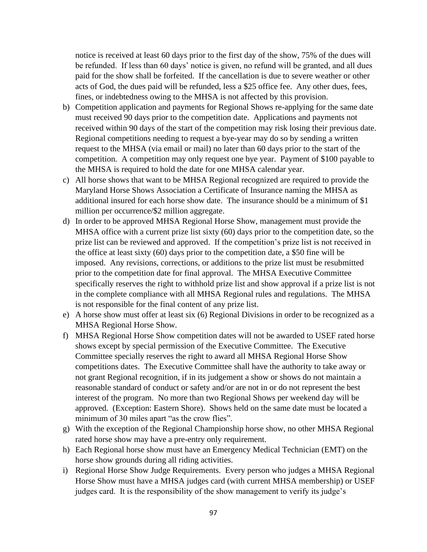notice is received at least 60 days prior to the first day of the show, 75% of the dues will be refunded. If less than 60 days' notice is given, no refund will be granted, and all dues paid for the show shall be forfeited. If the cancellation is due to severe weather or other acts of God, the dues paid will be refunded, less a \$25 office fee. Any other dues, fees, fines, or indebtedness owing to the MHSA is not affected by this provision.

- b) Competition application and payments for Regional Shows re-applying for the same date must received 90 days prior to the competition date. Applications and payments not received within 90 days of the start of the competition may risk losing their previous date. Regional competitions needing to request a bye-year may do so by sending a written request to the MHSA (via email or mail) no later than 60 days prior to the start of the competition. A competition may only request one bye year. Payment of \$100 payable to the MHSA is required to hold the date for one MHSA calendar year.
- c) All horse shows that want to be MHSA Regional recognized are required to provide the Maryland Horse Shows Association a Certificate of Insurance naming the MHSA as additional insured for each horse show date. The insurance should be a minimum of \$1 million per occurrence/\$2 million aggregate.
- d) In order to be approved MHSA Regional Horse Show, management must provide the MHSA office with a current prize list sixty (60) days prior to the competition date, so the prize list can be reviewed and approved. If the competition's prize list is not received in the office at least sixty (60) days prior to the competition date, a \$50 fine will be imposed. Any revisions, corrections, or additions to the prize list must be resubmitted prior to the competition date for final approval. The MHSA Executive Committee specifically reserves the right to withhold prize list and show approval if a prize list is not in the complete compliance with all MHSA Regional rules and regulations. The MHSA is not responsible for the final content of any prize list.
- e) A horse show must offer at least six (6) Regional Divisions in order to be recognized as a MHSA Regional Horse Show.
- f) MHSA Regional Horse Show competition dates will not be awarded to USEF rated horse shows except by special permission of the Executive Committee. The Executive Committee specially reserves the right to award all MHSA Regional Horse Show competitions dates. The Executive Committee shall have the authority to take away or not grant Regional recognition, if in its judgement a show or shows do not maintain a reasonable standard of conduct or safety and/or are not in or do not represent the best interest of the program. No more than two Regional Shows per weekend day will be approved. (Exception: Eastern Shore). Shows held on the same date must be located a minimum of 30 miles apart "as the crow flies".
- g) With the exception of the Regional Championship horse show, no other MHSA Regional rated horse show may have a pre-entry only requirement.
- h) Each Regional horse show must have an Emergency Medical Technician (EMT) on the horse show grounds during all riding activities.
- i) Regional Horse Show Judge Requirements. Every person who judges a MHSA Regional Horse Show must have a MHSA judges card (with current MHSA membership) or USEF judges card. It is the responsibility of the show management to verify its judge's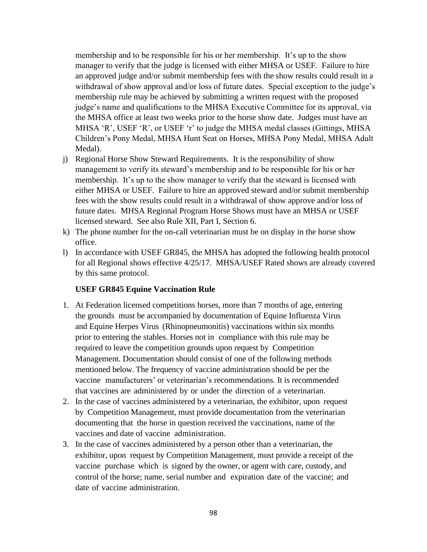membership and to be responsible for his or her membership. It's up to the show manager to verify that the judge is licensed with either MHSA or USEF. Failure to hire an approved judge and/or submit membership fees with the show results could result in a withdrawal of show approval and/or loss of future dates. Special exception to the judge's membership rule may be achieved by submitting a written request with the proposed judge's name and qualifications to the MHSA Executive Committee for its approval, via the MHSA office at least two weeks prior to the horse show date. Judges must have an MHSA 'R', USEF 'R', or USEF 'r' to judge the MHSA medal classes (Gittings, MHSA Children's Pony Medal, MHSA Hunt Seat on Horses, MHSA Pony Medal, MHSA Adult Medal).

- j) Regional Horse Show Steward Requirements. It is the responsibility of show management to verify its steward's membership and to be responsible for his or her membership. It's up to the show manager to verify that the steward is licensed with either MHSA or USEF. Failure to hire an approved steward and/or submit membership fees with the show results could result in a withdrawal of show approve and/or loss of future dates. MHSA Regional Program Horse Shows must have an MHSA or USEF licensed steward. See also Rule XII, Part I, Section 6.
- k) The phone number for the on-call veterinarian must be on display in the horse show office.
- l) In accordance with USEF GR845, the MHSA has adopted the following health protocol for all Regional shows effective 4/25/17. MHSA/USEF Rated shows are already covered by this same protocol.

## **USEF GR845 Equine Vaccination Rule**

- 1. At Federation licensed competitions horses, more than 7 months of age, entering the grounds must be accompanied by documentation of Equine Influenza Virus and Equine Herpes Virus (Rhinopneumonitis) vaccinations within six months prior to entering the stables. Horses not in compliance with this rule may be required to leave the competition grounds upon request by Competition Management. Documentation should consist of one of the following methods mentioned below. The frequency of vaccine administration should be per the vaccine manufacturers' or veterinarian's recommendations. It is recommended that vaccines are administered by or under the direction of a veterinarian.
- 2. In the case of vaccines administered by a veterinarian, the exhibitor, upon request by Competition Management, must provide documentation from the veterinarian documenting that the horse in question received the vaccinations, name of the vaccines and date of vaccine administration.
- 3. In the case of vaccines administered by a person other than a veterinarian, the exhibitor, upon request by Competition Management, must provide a receipt of the vaccine purchase which is signed by the owner, or agent with care, custody, and control of the horse; name, serial number and expiration date of the vaccine; and date of vaccine administration.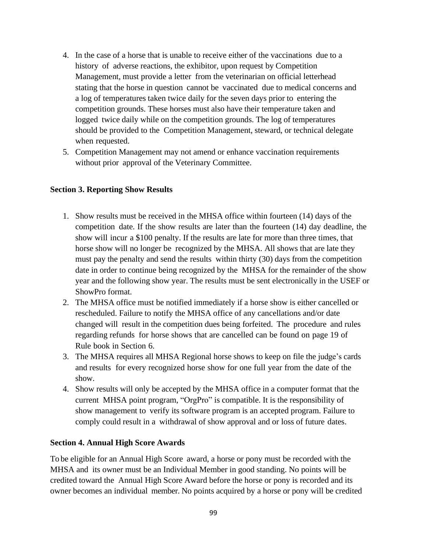- 4. In the case of a horse that is unable to receive either of the vaccinations due to a history of adverse reactions, the exhibitor, upon request by Competition Management, must provide a letter from the veterinarian on official letterhead stating that the horse in question cannot be vaccinated due to medical concerns and a log of temperatures taken twice daily for the seven days prior to entering the competition grounds. These horses must also have their temperature taken and logged twice daily while on the competition grounds. The log of temperatures should be provided to the Competition Management, steward, or technical delegate when requested.
- 5. Competition Management may not amend or enhance vaccination requirements without prior approval of the Veterinary Committee.

## **Section 3. Reporting Show Results**

- 1. Show results must be received in the MHSA office within fourteen (14) days of the competition date. If the show results are later than the fourteen (14) day deadline, the show will incur a \$100 penalty. If the results are late for more than three times, that horse show will no longer be recognized by the MHSA. All shows that are late they must pay the penalty and send the results within thirty (30) days from the competition date in order to continue being recognized by the MHSA for the remainder of the show year and the following show year. The results must be sent electronically in the USEF or ShowPro format.
- 2. The MHSA office must be notified immediately if a horse show is either cancelled or rescheduled. Failure to notify the MHSA office of any cancellations and/or date changed will result in the competition dues being forfeited. The procedure and rules regarding refunds for horse shows that are cancelled can be found on page 19 of Rule book in Section 6.
- 3. The MHSA requires all MHSA Regional horse shows to keep on file the judge's cards and results for every recognized horse show for one full year from the date of the show.
- 4. Show results will only be accepted by the MHSA office in a computer format that the current MHSA point program, "OrgPro" is compatible. It is the responsibility of show management to verify its software program is an accepted program. Failure to comply could result in a withdrawal of show approval and or loss of future dates.

## **Section 4. Annual High Score Awards**

To be eligible for an Annual High Score award, a horse or pony must be recorded with the MHSA and its owner must be an Individual Member in good standing. No points will be credited toward the Annual High Score Award before the horse or pony is recorded and its owner becomes an individual member. No points acquired by a horse or pony will be credited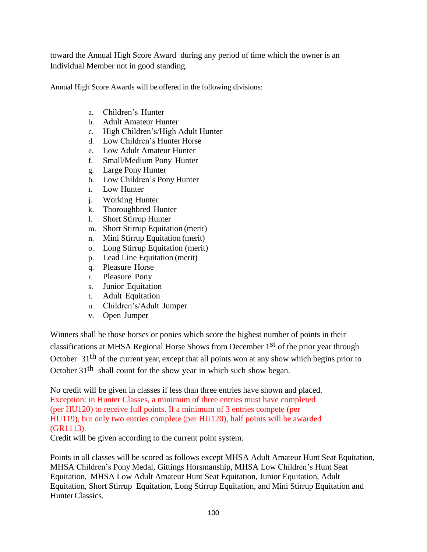toward the Annual High Score Award during any period of time which the owner is an Individual Member not in good standing.

Annual High Score Awards will be offered in the following divisions:

- a. Children's Hunter
- b. Adult Amateur Hunter
- c. High Children's/High Adult Hunter
- d. Low Children's Hunter Horse
- e. Low Adult Amateur Hunter
- f. Small/Medium Pony Hunter
- g. Large Pony Hunter
- h. Low Children's Pony Hunter
- i. Low Hunter
- j. Working Hunter
- k. Thoroughbred Hunter
- l. Short Stirrup Hunter
- m. Short Stirrup Equitation (merit)
- n. Mini Stirrup Equitation (merit)
- o. Long Stirrup Equitation (merit)
- p. Lead Line Equitation (merit)
- q. Pleasure Horse
- r. Pleasure Pony
- s. Junior Equitation
- t. Adult Equitation
- u. Children's/Adult Jumper
- v. Open Jumper

Winners shall be those horses or ponies which score the highest number of points in their classifications at MHSA Regional Horse Shows from December 1<sup>st</sup> of the prior year through October 31<sup>th</sup> of the current year, except that all points won at any show which begins prior to October  $31<sup>th</sup>$  shall count for the show year in which such show began.

No credit will be given in classes if less than three entries have shown and placed. Exception: in Hunter Classes, a minimum of three entries must have completed (per HU120) to receive full points. If a minimum of 3 entries compete (per HU119), but only two entries complete (per HU120), half points will be awarded (GR1113).

Credit will be given according to the current point system.

Points in all classes will be scored as follows except MHSA Adult Amateur Hunt Seat Equitation, MHSA Children's Pony Medal, Gittings Horsmanship, MHSA Low Children's Hunt Seat Equitation, MHSA Low Adult Amateur Hunt Seat Equitation, Junior Equitation, Adult Equitation, Short Stirrup Equitation, Long Stirrup Equitation, and Mini Stirrup Equitation and HunterClassics.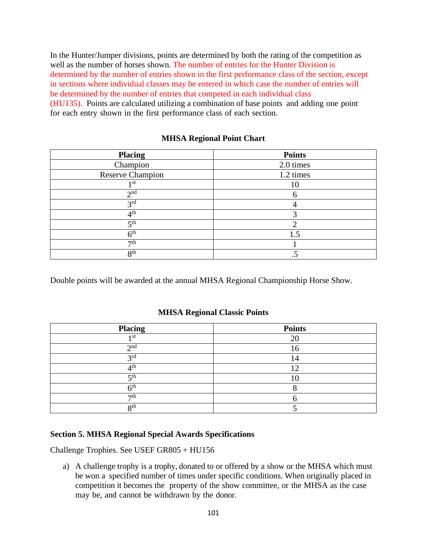In the Hunter/Jumper divisions, points are determined by both the rating of the competition as well as the number of horses shown. The number of entries for the Hunter Division is determined by the number of entries shown in the first performance class of the section, except in sections where individual classes may be entered in which case the number of entries will be determined by the number of entries that competed in each individual class (HU135). Points are calculated utilizing a combination of base points and adding one point for each entry shown in the first performance class of each section.

| <b>MHSA Regional Point Chart</b> |  |
|----------------------------------|--|
|----------------------------------|--|

| <b>Placing</b>          | <b>Points</b> |
|-------------------------|---------------|
| Champion                | 2.0 times     |
| <b>Reserve Champion</b> | 1.2 times     |
| 1 st                    | 10            |
| 2 <sup>nd</sup>         |               |
| 3 <sup>rd</sup>         |               |
| 4 <sup>th</sup>         |               |
| 5 <sup>th</sup>         |               |
| 6 <sup>th</sup>         | 1.5           |
| 7th                     |               |
| 8 <sup>th</sup>         |               |

Double points will be awarded at the annual MHSA Regional Championship Horse Show.

## **MHSA Regional Classic Points**

| <b>Placing</b>  | <b>Points</b> |
|-----------------|---------------|
| 1 st            | 20            |
| $\gamma$ nd     |               |
| 2rd             | ↤             |
| Ath             |               |
| cth             |               |
| ∠tr             |               |
| $\tau$ th       |               |
| R <sup>th</sup> |               |

## **Section 5. MHSA Regional Special Awards Specifications**

Challenge Trophies. See USEF GR805 + HU156

a) A challenge trophy is a trophy, donated to or offered by a show or the MHSA which must be won a specified number of times under specific conditions. When originally placed in competition it becomes the property of the show committee, or the MHSA as the case may be, and cannot be withdrawn by the donor.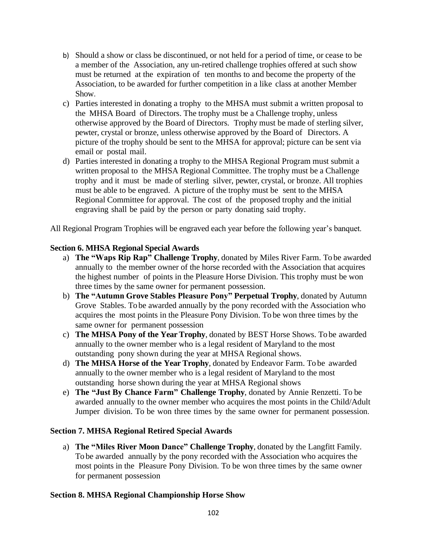- b) Should a show or class be discontinued, or not held for a period of time, or cease to be a member of the Association, any un-retired challenge trophies offered at such show must be returned at the expiration of ten months to and become the property of the Association, to be awarded for further competition in a like class at another Member Show.
- c) Parties interested in donating a trophy to the MHSA must submit a written proposal to the MHSA Board of Directors. The trophy must be a Challenge trophy, unless otherwise approved by the Board of Directors. Trophy must be made of sterling silver, pewter, crystal or bronze, unless otherwise approved by the Board of Directors. A picture of the trophy should be sent to the MHSA for approval; picture can be sent via email or postal mail.
- d) Parties interested in donating a trophy to the MHSA Regional Program must submit a written proposal to the MHSA Regional Committee. The trophy must be a Challenge trophy and it must be made of sterling silver, pewter, crystal, or bronze. All trophies must be able to be engraved. A picture of the trophy must be sent to the MHSA Regional Committee for approval. The cost of the proposed trophy and the initial engraving shall be paid by the person or party donating said trophy.

All Regional Program Trophies will be engraved each year before the following year's banquet.

# **Section 6. MHSA Regional Special Awards**

- a) **The "Waps Rip Rap" Challenge Trophy**, donated by Miles River Farm. To be awarded annually to the member owner of the horse recorded with the Association that acquires the highest number of points in the Pleasure Horse Division. This trophy must be won three times by the same owner for permanent possession.
- b) **The "Autumn Grove Stables Pleasure Pony" Perpetual Trophy**, donated by Autumn Grove Stables. To be awarded annually by the pony recorded with the Association who acquires the most points in the Pleasure Pony Division. To be won three times by the same owner for permanent possession
- c) **The MHSA Pony of the YearTrophy**, donated by BEST Horse Shows. To be awarded annually to the owner member who is a legal resident of Maryland to the most outstanding pony shown during the year at MHSA Regional shows.
- d) **The MHSA Horse of the Year Trophy**, donated by Endeavor Farm. To be awarded annually to the owner member who is a legal resident of Maryland to the most outstanding horse shown during the year at MHSA Regional shows
- e) **The "Just By Chance Farm" Challenge Trophy**, donated by Annie Renzetti. To be awarded annually to the owner member who acquires the most points in the Child/Adult Jumper division. To be won three times by the same owner for permanent possession.

## **Section 7. MHSA Regional Retired Special Awards**

a) **The "Miles River Moon Dance" Challenge Trophy**, donated by the Langfitt Family. To be awarded annually by the pony recorded with the Association who acquires the most points in the Pleasure Pony Division. To be won three times by the same owner for permanent possession

## **Section 8. MHSA Regional Championship Horse Show**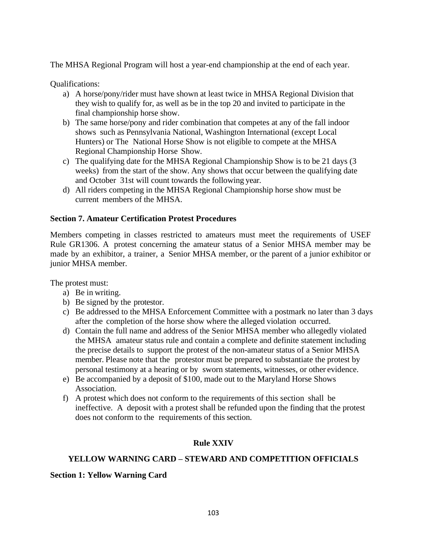The MHSA Regional Program will host a year-end championship at the end of each year.

Qualifications:

- a) A horse/pony/rider must have shown at least twice in MHSA Regional Division that they wish to qualify for, as well as be in the top 20 and invited to participate in the final championship horse show.
- b) The same horse/pony and rider combination that competes at any of the fall indoor shows such as Pennsylvania National, Washington International (except Local Hunters) or The National Horse Show is not eligible to compete at the MHSA Regional Championship Horse Show.
- c) The qualifying date for the MHSA Regional Championship Show is to be 21 days (3 weeks) from the start of the show. Any shows that occur between the qualifying date and October 31st will count towards the following year.
- d) All riders competing in the MHSA Regional Championship horse show must be current members of the MHSA.

# **Section 7. Amateur Certification Protest Procedures**

Members competing in classes restricted to amateurs must meet the requirements of USEF Rule GR1306. A protest concerning the amateur status of a Senior MHSA member may be made by an exhibitor, a trainer, a Senior MHSA member, or the parent of a junior exhibitor or junior MHSA member.

The protest must:

- a) Be in writing.
- b) Be signed by the protestor.
- c) Be addressed to the MHSA Enforcement Committee with a postmark no later than 3 days after the completion of the horse show where the alleged violation occurred.
- d) Contain the full name and address of the Senior MHSA member who allegedly violated the MHSA amateur status rule and contain a complete and definite statement including the precise details to support the protest of the non-amateur status of a Senior MHSA member. Please note that the protestor must be prepared to substantiate the protest by personal testimony at a hearing or by sworn statements, witnesses, or other evidence.
- e) Be accompanied by a deposit of \$100, made out to the Maryland Horse Shows Association.
- f) A protest which does not conform to the requirements of this section shall be ineffective. A deposit with a protest shall be refunded upon the finding that the protest does not conform to the requirements of this section.

# **Rule XXIV**

# **YELLOW WARNING CARD – STEWARD AND COMPETITION OFFICIALS**

## **Section 1: Yellow Warning Card**